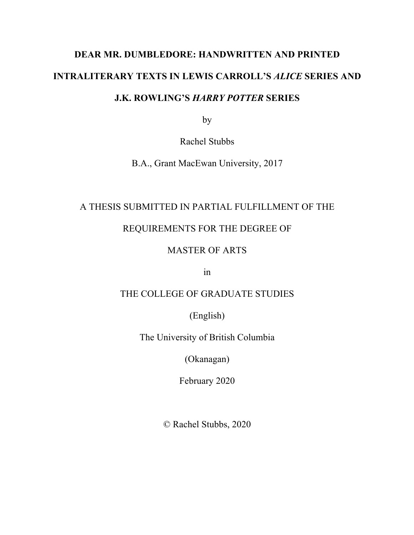# **DEAR MR. DUMBLEDORE: HANDWRITTEN AND PRINTED INTRALITERARY TEXTS IN LEWIS CARROLL'S** *ALICE* **SERIES AND J.K. ROWLING'S** *HARRY POTTER* **SERIES**

by

Rachel Stubbs

B.A., Grant MacEwan University, 2017

### A THESIS SUBMITTED IN PARTIAL FULFILLMENT OF THE

### REQUIREMENTS FOR THE DEGREE OF

## MASTER OF ARTS

in

## THE COLLEGE OF GRADUATE STUDIES

(English)

The University of British Columbia

(Okanagan)

February 2020

© Rachel Stubbs, 2020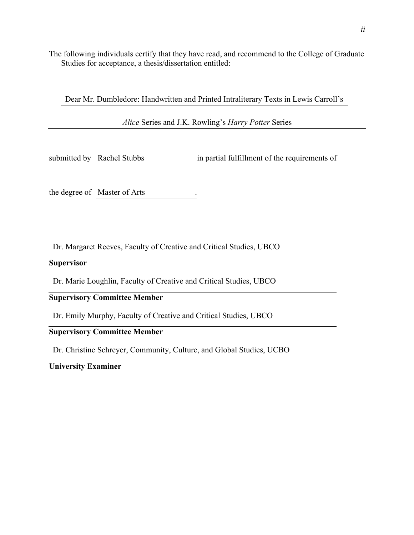The following individuals certify that they have read, and recommend to the College of Graduate Studies for acceptance, a thesis/dissertation entitled:

Dear Mr. Dumbledore: Handwritten and Printed Intraliterary Texts in Lewis Carroll's

*Alice* Series and J.K. Rowling's *Harry Potter* Series

submitted by Rachel Stubbs in partial fulfillment of the requirements of

the degree of Master of Arts .

Dr. Margaret Reeves, Faculty of Creative and Critical Studies, UBCO

#### **Supervisor**

Dr. Marie Loughlin, Faculty of Creative and Critical Studies, UBCO

### **Supervisory Committee Member**

Dr. Emily Murphy, Faculty of Creative and Critical Studies, UBCO

### **Supervisory Committee Member**

Dr. Christine Schreyer, Community, Culture, and Global Studies, UCBO

**University Examiner**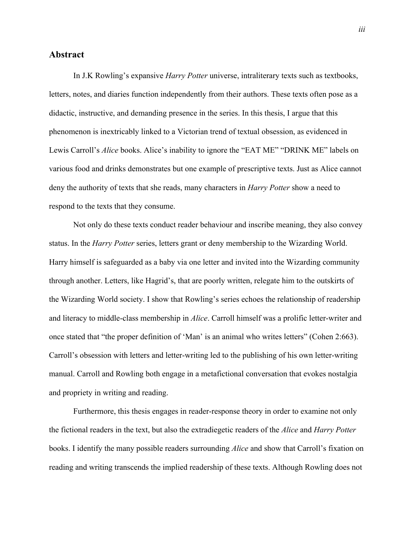#### **Abstract**

In J.K Rowling's expansive *Harry Potter* universe, intraliterary texts such as textbooks, letters, notes, and diaries function independently from their authors. These texts often pose as a didactic, instructive, and demanding presence in the series. In this thesis, I argue that this phenomenon is inextricably linked to a Victorian trend of textual obsession, as evidenced in Lewis Carroll's *Alice* books. Alice's inability to ignore the "EAT ME" "DRINK ME" labels on various food and drinks demonstrates but one example of prescriptive texts. Just as Alice cannot deny the authority of texts that she reads, many characters in *Harry Potter* show a need to respond to the texts that they consume.

Not only do these texts conduct reader behaviour and inscribe meaning, they also convey status. In the *Harry Potter* series, letters grant or deny membership to the Wizarding World. Harry himself is safeguarded as a baby via one letter and invited into the Wizarding community through another. Letters, like Hagrid's, that are poorly written, relegate him to the outskirts of the Wizarding World society. I show that Rowling's series echoes the relationship of readership and literacy to middle-class membership in *Alice*. Carroll himself was a prolific letter-writer and once stated that "the proper definition of 'Man' is an animal who writes letters" (Cohen 2:663). Carroll's obsession with letters and letter-writing led to the publishing of his own letter-writing manual. Carroll and Rowling both engage in a metafictional conversation that evokes nostalgia and propriety in writing and reading.

Furthermore, this thesis engages in reader-response theory in order to examine not only the fictional readers in the text, but also the extradiegetic readers of the *Alice* and *Harry Potter*  books. I identify the many possible readers surrounding *Alice* and show that Carroll's fixation on reading and writing transcends the implied readership of these texts. Although Rowling does not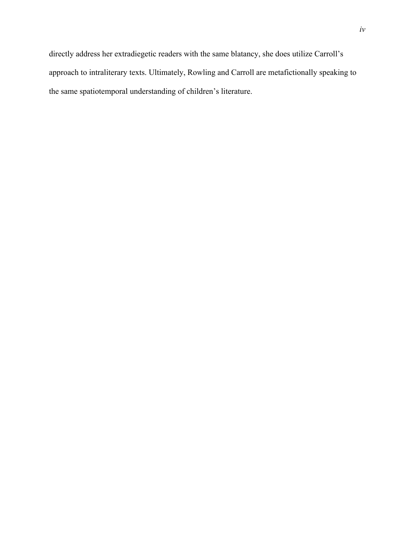the same spatiotemporal understanding of children's literature.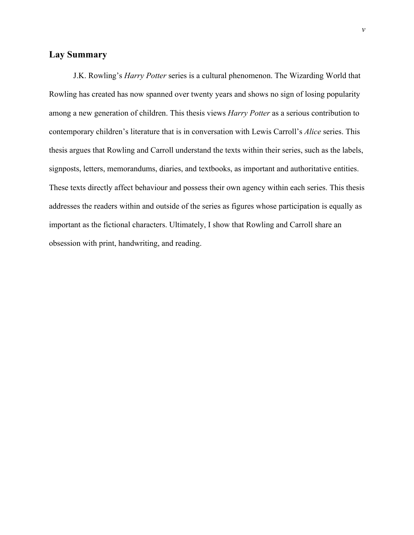### **Lay Summary**

J.K. Rowling's *Harry Potter* series is a cultural phenomenon. The Wizarding World that Rowling has created has now spanned over twenty years and shows no sign of losing popularity among a new generation of children. This thesis views *Harry Potter* as a serious contribution to contemporary children's literature that is in conversation with Lewis Carroll's *Alice* series. This thesis argues that Rowling and Carroll understand the texts within their series, such as the labels, signposts, letters, memorandums, diaries, and textbooks, as important and authoritative entities. These texts directly affect behaviour and possess their own agency within each series. This thesis addresses the readers within and outside of the series as figures whose participation is equally as important as the fictional characters. Ultimately, I show that Rowling and Carroll share an obsession with print, handwriting, and reading.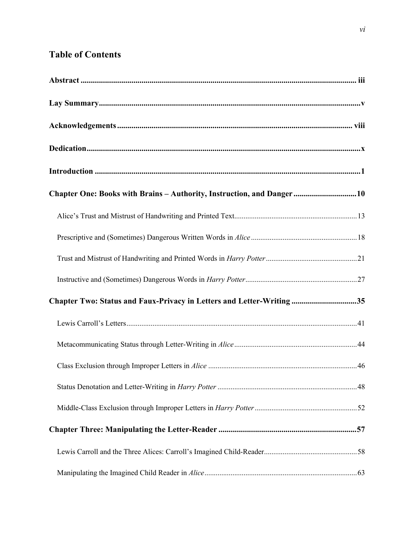# **Table of Contents**

| Chapter One: Books with Brains - Authority, Instruction, and Danger10 |
|-----------------------------------------------------------------------|
|                                                                       |
|                                                                       |
|                                                                       |
|                                                                       |
| Chapter Two: Status and Faux-Privacy in Letters and Letter-Writing35  |
|                                                                       |
|                                                                       |
|                                                                       |
|                                                                       |
|                                                                       |
|                                                                       |
|                                                                       |
|                                                                       |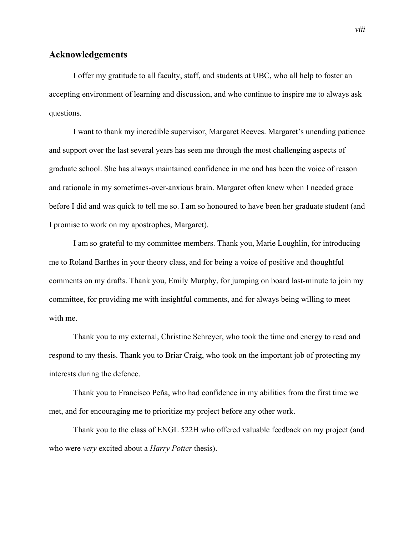#### **Acknowledgements**

I offer my gratitude to all faculty, staff, and students at UBC, who all help to foster an accepting environment of learning and discussion, and who continue to inspire me to always ask questions.

I want to thank my incredible supervisor, Margaret Reeves. Margaret's unending patience and support over the last several years has seen me through the most challenging aspects of graduate school. She has always maintained confidence in me and has been the voice of reason and rationale in my sometimes-over-anxious brain. Margaret often knew when I needed grace before I did and was quick to tell me so. I am so honoured to have been her graduate student (and I promise to work on my apostrophes, Margaret).

I am so grateful to my committee members. Thank you, Marie Loughlin, for introducing me to Roland Barthes in your theory class, and for being a voice of positive and thoughtful comments on my drafts. Thank you, Emily Murphy, for jumping on board last-minute to join my committee, for providing me with insightful comments, and for always being willing to meet with me.

Thank you to my external, Christine Schreyer, who took the time and energy to read and respond to my thesis. Thank you to Briar Craig, who took on the important job of protecting my interests during the defence.

Thank you to Francisco Peña, who had confidence in my abilities from the first time we met, and for encouraging me to prioritize my project before any other work.

Thank you to the class of ENGL 522H who offered valuable feedback on my project (and who were *very* excited about a *Harry Potter* thesis).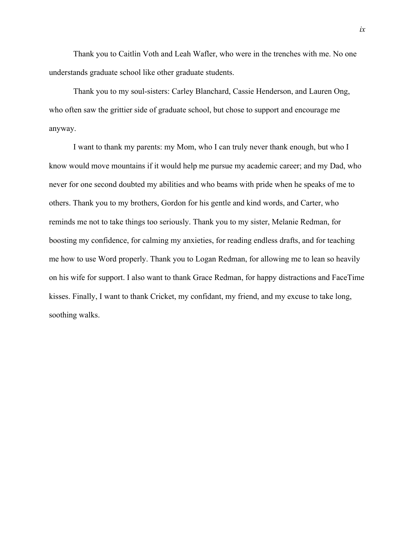Thank you to Caitlin Voth and Leah Wafler, who were in the trenches with me. No one understands graduate school like other graduate students.

Thank you to my soul-sisters: Carley Blanchard, Cassie Henderson, and Lauren Ong, who often saw the grittier side of graduate school, but chose to support and encourage me anyway.

I want to thank my parents: my Mom, who I can truly never thank enough, but who I know would move mountains if it would help me pursue my academic career; and my Dad, who never for one second doubted my abilities and who beams with pride when he speaks of me to others. Thank you to my brothers, Gordon for his gentle and kind words, and Carter, who reminds me not to take things too seriously. Thank you to my sister, Melanie Redman, for boosting my confidence, for calming my anxieties, for reading endless drafts, and for teaching me how to use Word properly. Thank you to Logan Redman, for allowing me to lean so heavily on his wife for support. I also want to thank Grace Redman, for happy distractions and FaceTime kisses. Finally, I want to thank Cricket, my confidant, my friend, and my excuse to take long, soothing walks.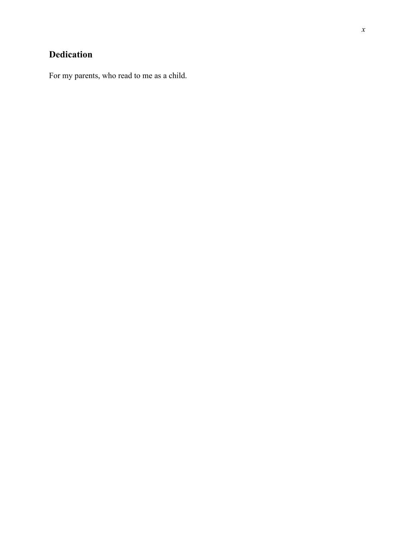# **Dedication**

For my parents, who read to me as a child.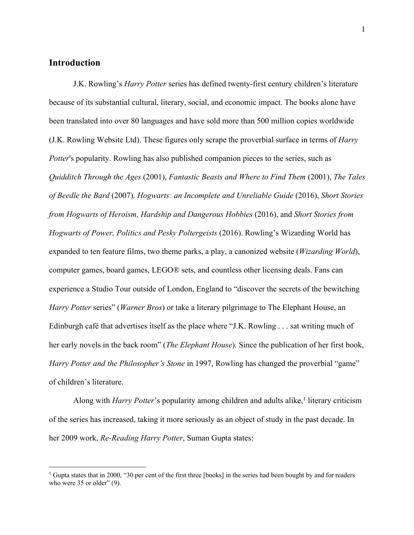#### **Introduction**

J.K. Rowling's *Harry Potter* series has defined twenty-first century children's literature because of its substantial cultural, literary, social, and economic impact. The books alone have been translated into over 80 languages and have sold more than 500 million copies worldwide (J.K. Rowling Website Ltd). These figures only scrape the proverbial surface in terms of *Harry Potter's* popularity. Rowling has also published companion pieces to the series, such as *Quidditch Through the Ages* (2001), *Fantastic Beasts and Where to Find Them* (2001), *The Tales of Beedle the Bard* (2007)*, Hogwarts: an Incomplete and Unreliable Guide* (2016), *Short Stories from Hogwarts of Heroism, Hardship and Dangerous Hobbies* (2016), and *Short Stories from Hogwarts of Power, Politics and Pesky Poltergeists* (2016). Rowling's Wizarding World has expanded to ten feature films, two theme parks, a play, a canonized website (*Wizarding World*), computer games, board games, LEGO® sets, and countless other licensing deals. Fans can experience a Studio Tour outside of London, England to "discover the secrets of the bewitching *Harry Potter* series" (*Warner Bros*) or take a literary pilgrimage to The Elephant House, an Edinburgh café that advertises itself as the place where "J.K. Rowling . . . sat writing much of her early novels in the back room" (*The Elephant House*). Since the publication of her first book, *Harry Potter and the Philosopher's Stone* in 1997, Rowling has changed the proverbial "game" of children's literature.

Along with *Harry Potter*'s popularity among children and adults alike,<sup>1</sup> literary criticism of the series has increased, taking it more seriously as an object of study in the past decade. In her 2009 work, *Re-Reading Harry Potter*, Suman Gupta states:

<sup>&</sup>lt;sup>1</sup> Gupta states that in 2000, "30 per cent of the first three [books] in the series had been bought by and for readers who were 35 or older" (9).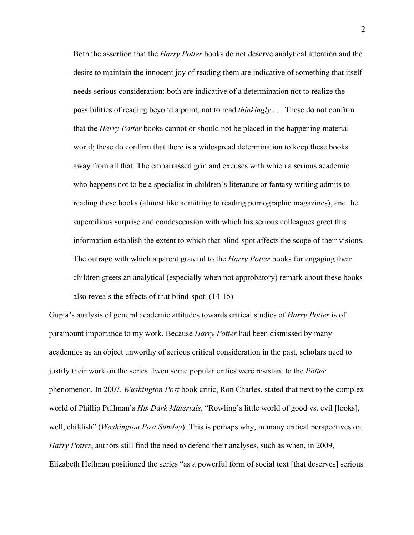Both the assertion that the *Harry Potter* books do not deserve analytical attention and the desire to maintain the innocent joy of reading them are indicative of something that itself needs serious consideration: both are indicative of a determination not to realize the possibilities of reading beyond a point, not to read *thinkingly* . . . These do not confirm that the *Harry Potter* books cannot or should not be placed in the happening material world; these do confirm that there is a widespread determination to keep these books away from all that. The embarrassed grin and excuses with which a serious academic who happens not to be a specialist in children's literature or fantasy writing admits to reading these books (almost like admitting to reading pornographic magazines), and the supercilious surprise and condescension with which his serious colleagues greet this information establish the extent to which that blind-spot affects the scope of their visions. The outrage with which a parent grateful to the *Harry Potter* books for engaging their children greets an analytical (especially when not approbatory) remark about these books also reveals the effects of that blind-spot. (14-15)

Gupta's analysis of general academic attitudes towards critical studies of *Harry Potter* is of paramount importance to my work. Because *Harry Potter* had been dismissed by many academics as an object unworthy of serious critical consideration in the past, scholars need to justify their work on the series. Even some popular critics were resistant to the *Potter* phenomenon. In 2007, *Washington Post* book critic, Ron Charles, stated that next to the complex world of Phillip Pullman's *His Dark Materials*, "Rowling's little world of good vs. evil [looks], well, childish" (*Washington Post Sunday*). This is perhaps why, in many critical perspectives on *Harry Potter*, authors still find the need to defend their analyses, such as when, in 2009, Elizabeth Heilman positioned the series "as a powerful form of social text [that deserves] serious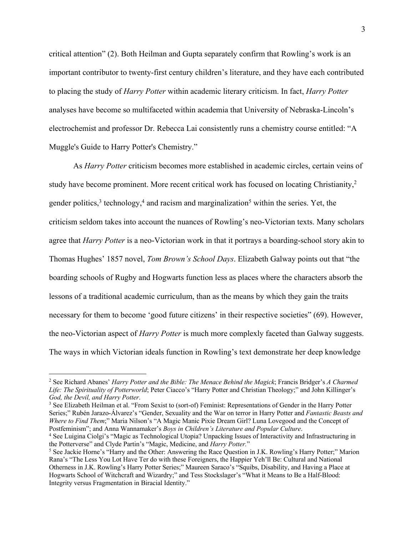critical attention" (2). Both Heilman and Gupta separately confirm that Rowling's work is an important contributor to twenty-first century children's literature, and they have each contributed to placing the study of *Harry Potter* within academic literary criticism. In fact, *Harry Potter*  analyses have become so multifaceted within academia that University of Nebraska-Lincoln's electrochemist and professor Dr. Rebecca Lai consistently runs a chemistry course entitled: "A Muggle's Guide to Harry Potter's Chemistry."

As *Harry Potter* criticism becomes more established in academic circles, certain veins of study have become prominent. More recent critical work has focused on locating Christianity,<sup>2</sup> gender politics,<sup>3</sup> technology,<sup>4</sup> and racism and marginalization<sup>5</sup> within the series. Yet, the criticism seldom takes into account the nuances of Rowling's neo-Victorian texts. Many scholars agree that *Harry Potter* is a neo-Victorian work in that it portrays a boarding-school story akin to Thomas Hughes' 1857 novel, *Tom Brown's School Days*. Elizabeth Galway points out that "the boarding schools of Rugby and Hogwarts function less as places where the characters absorb the lessons of a traditional academic curriculum, than as the means by which they gain the traits necessary for them to become 'good future citizens' in their respective societies" (69). However, the neo-Victorian aspect of *Harry Potter* is much more complexly faceted than Galway suggests. The ways in which Victorian ideals function in Rowling's text demonstrate her deep knowledge

<sup>3</sup> See Elizabeth Heilman et al. "From Sexist to (sort-of) Feminist: Representations of Gender in the Harry Potter Series;" Rubén Jarazo-Álvarez's "Gender, Sexuality and the War on terror in Harry Potter and *Fantastic Beasts and Where to Find Them*;" Maria Nilson's "A Magic Manic Pixie Dream Girl? Luna Lovegood and the Concept of Postfeminism"; and Anna Wannamaker's *Boys in Children's Literature and Popular Culture*.

<sup>2</sup> See Richard Abanes' *Harry Potter and the Bible: The Menace Behind the Magick*; Francis Bridger's *A Charmed Life: The Spirituality of Potterworld*; Peter Ciacco's "Harry Potter and Christian Theology;" and John Killinger's *God, the Devil, and Harry Potter*.

<sup>4</sup> See Luigina Ciolgi's "Magic as Technological Utopia? Unpacking Issues of Interactivity and Infrastructuring in the Potterverse" and Clyde Partin's "Magic, Medicine, and *Harry Potter.*"

<sup>5</sup> See Jackie Horne's "Harry and the Other: Answering the Race Question in J.K. Rowling's Harry Potter;" Marion Rana's "The Less You Lot Have Ter do with these Foreigners, the Happier Yeh'll Be: Cultural and National Otherness in J.K. Rowling's Harry Potter Series;" Maureen Saraco's "Squibs, Disability, and Having a Place at Hogwarts School of Witchcraft and Wizardry;" and Tess Stockslager's "What it Means to Be a Half-Blood: Integrity versus Fragmentation in Biracial Identity."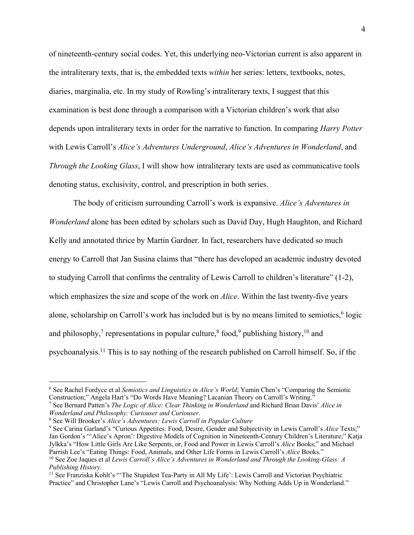of nineteenth-century social codes. Yet, this underlying neo-Victorian current is also apparent in the intraliterary texts, that is, the embedded texts *within* her series: letters, textbooks, notes, diaries, marginalia, etc. In my study of Rowling's intraliterary texts, I suggest that this examination is best done through a comparison with a Victorian children's work that also depends upon intraliterary texts in order for the narrative to function. In comparing *Harry Potter* with Lewis Carroll's *Alice's Adventures Underground*, *Alice's Adventures in Wonderland*, and *Through the Looking Glass*, I will show how intraliterary texts are used as communicative tools denoting status, exclusivity, control, and prescription in both series.

The body of criticism surrounding Carroll's work is expansive. *Alice's Adventures in Wonderland* alone has been edited by scholars such as David Day, Hugh Haughton, and Richard Kelly and annotated thrice by Martin Gardner. In fact, researchers have dedicated so much energy to Carroll that Jan Susina claims that "there has developed an academic industry devoted to studying Carroll that confirms the centrality of Lewis Carroll to children's literature" (1-2), which emphasizes the size and scope of the work on *Alice*. Within the last twenty-five years alone, scholarship on Carroll's work has included but is by no means limited to semiotics, $6$  logic and philosophy,<sup>7</sup> representations in popular culture,<sup>8</sup> food,<sup>9</sup> publishing history,<sup>10</sup> and psychoanalysis.11 This is to say nothing of the research published on Carroll himself. So, if the

<sup>6</sup> See Rachel Fordyce et al *Semiotics and Linguistics in Alice's World*; Yumin Chen's "Comparing the Semiotic Construction;" Angela Hart's "Do Words Have Meaning? Lacanian Theory on Carroll's Writing."

<sup>7</sup> See Bernard Patten's *The Logic of Alice: Clear Thinking in Wonderland* and Richard Brian Davis' *Alice in* 

*Wonderland and Philosophy: Curiouser and Curiouser*. 8 See Will Brooker's *Alice's Adventures: Lewis Carroll in Popular Culture*

<sup>9</sup> See Carina Garland's "Curious Appetites: Food, Desire, Gender and Subjectivity in Lewis Carroll's *Alice* Texts;" Jan Gordon's "'Alice's Apron': Digestive Models of Cognition in Nineteenth-Century Children's Literature;" Katja Jylkka's "How Little Girls Are Like Serpents, or, Food and Power in Lewis Carroll's *Alice* Books;" and Michael Parrish Lee's "Eating Things: Food, Animals, and Other Life Forms in Lewis Carroll's *Alice* Books."

<sup>10</sup> See Zoe Jaques et al *Lewis Carroll's Alice's Adventures in Wonderland and Through the Looking-Glass: A Publishing History.*

<sup>&</sup>lt;sup>11</sup> See Franziska Kohlt's "'The Stupidest Tea-Party in All My Life': Lewis Carroll and Victorian Psychiatric Practice" and Christopher Lane's "Lewis Carroll and Psychoanalysis: Why Nothing Adds Up in Wonderland."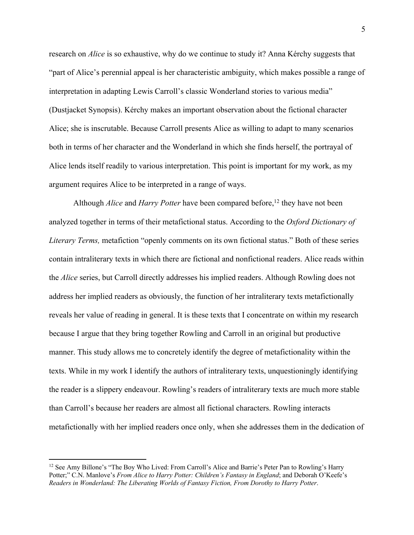research on *Alice* is so exhaustive, why do we continue to study it? Anna Kérchy suggests that "part of Alice's perennial appeal is her characteristic ambiguity, which makes possible a range of interpretation in adapting Lewis Carroll's classic Wonderland stories to various media" (Dustjacket Synopsis). Kérchy makes an important observation about the fictional character Alice; she is inscrutable. Because Carroll presents Alice as willing to adapt to many scenarios both in terms of her character and the Wonderland in which she finds herself, the portrayal of Alice lends itself readily to various interpretation. This point is important for my work, as my argument requires Alice to be interpreted in a range of ways.

Although *Alice* and *Harry Potter* have been compared before,<sup>12</sup> they have not been analyzed together in terms of their metafictional status. According to the *Oxford Dictionary of Literary Terms,* metafiction "openly comments on its own fictional status." Both of these series contain intraliterary texts in which there are fictional and nonfictional readers. Alice reads within the *Alice* series, but Carroll directly addresses his implied readers. Although Rowling does not address her implied readers as obviously, the function of her intraliterary texts metafictionally reveals her value of reading in general. It is these texts that I concentrate on within my research because I argue that they bring together Rowling and Carroll in an original but productive manner. This study allows me to concretely identify the degree of metafictionality within the texts. While in my work I identify the authors of intraliterary texts, unquestioningly identifying the reader is a slippery endeavour. Rowling's readers of intraliterary texts are much more stable than Carroll's because her readers are almost all fictional characters. Rowling interacts metafictionally with her implied readers once only, when she addresses them in the dedication of

<sup>&</sup>lt;sup>12</sup> See Amy Billone's "The Boy Who Lived: From Carroll's Alice and Barrie's Peter Pan to Rowling's Harry Potter;" C.N. Manlove's *From Alice to Harry Potter: Children's Fantasy in England*; and Deborah O'Keefe's *Readers in Wonderland: The Liberating Worlds of Fantasy Fiction, From Dorothy to Harry Potter*.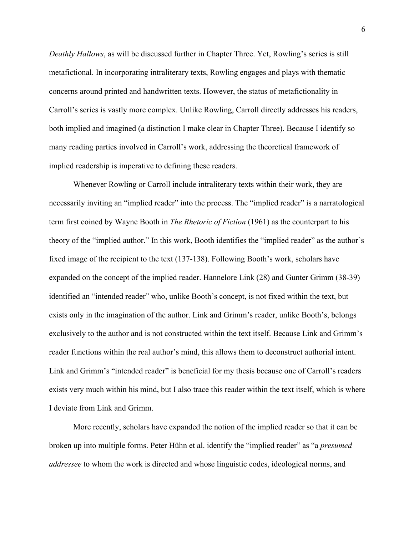*Deathly Hallows*, as will be discussed further in Chapter Three. Yet, Rowling's series is still metafictional. In incorporating intraliterary texts, Rowling engages and plays with thematic concerns around printed and handwritten texts. However, the status of metafictionality in Carroll's series is vastly more complex. Unlike Rowling, Carroll directly addresses his readers, both implied and imagined (a distinction I make clear in Chapter Three). Because I identify so many reading parties involved in Carroll's work, addressing the theoretical framework of implied readership is imperative to defining these readers.

Whenever Rowling or Carroll include intraliterary texts within their work, they are necessarily inviting an "implied reader" into the process. The "implied reader" is a narratological term first coined by Wayne Booth in *The Rhetoric of Fiction* (1961) as the counterpart to his theory of the "implied author." In this work, Booth identifies the "implied reader" as the author's fixed image of the recipient to the text (137-138). Following Booth's work, scholars have expanded on the concept of the implied reader. Hannelore Link (28) and Gunter Grimm (38-39) identified an "intended reader" who, unlike Booth's concept, is not fixed within the text, but exists only in the imagination of the author. Link and Grimm's reader, unlike Booth's, belongs exclusively to the author and is not constructed within the text itself. Because Link and Grimm's reader functions within the real author's mind, this allows them to deconstruct authorial intent. Link and Grimm's "intended reader" is beneficial for my thesis because one of Carroll's readers exists very much within his mind, but I also trace this reader within the text itself, which is where I deviate from Link and Grimm.

More recently, scholars have expanded the notion of the implied reader so that it can be broken up into multiple forms. Peter Hühn et al. identify the "implied reader" as "a *presumed addressee* to whom the work is directed and whose linguistic codes, ideological norms, and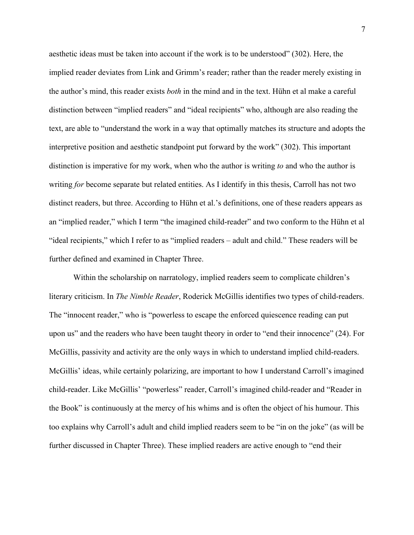aesthetic ideas must be taken into account if the work is to be understood" (302). Here, the implied reader deviates from Link and Grimm's reader; rather than the reader merely existing in the author's mind, this reader exists *both* in the mind and in the text. Hühn et al make a careful distinction between "implied readers" and "ideal recipients" who, although are also reading the text, are able to "understand the work in a way that optimally matches its structure and adopts the interpretive position and aesthetic standpoint put forward by the work" (302). This important distinction is imperative for my work, when who the author is writing *to* and who the author is writing *for* become separate but related entities. As I identify in this thesis, Carroll has not two distinct readers, but three. According to Hühn et al.'s definitions, one of these readers appears as an "implied reader," which I term "the imagined child-reader" and two conform to the Hühn et al "ideal recipients," which I refer to as "implied readers – adult and child." These readers will be further defined and examined in Chapter Three.

Within the scholarship on narratology, implied readers seem to complicate children's literary criticism. In *The Nimble Reader*, Roderick McGillis identifies two types of child-readers. The "innocent reader," who is "powerless to escape the enforced quiescence reading can put upon us" and the readers who have been taught theory in order to "end their innocence" (24). For McGillis, passivity and activity are the only ways in which to understand implied child-readers. McGillis' ideas, while certainly polarizing, are important to how I understand Carroll's imagined child-reader. Like McGillis' "powerless" reader, Carroll's imagined child-reader and "Reader in the Book" is continuously at the mercy of his whims and is often the object of his humour. This too explains why Carroll's adult and child implied readers seem to be "in on the joke" (as will be further discussed in Chapter Three). These implied readers are active enough to "end their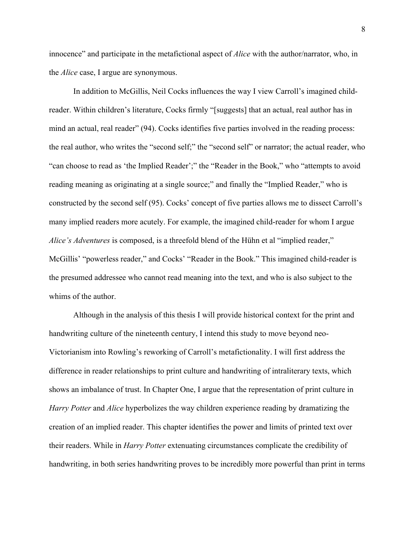innocence" and participate in the metafictional aspect of *Alice* with the author/narrator, who, in the *Alice* case, I argue are synonymous.

In addition to McGillis, Neil Cocks influences the way I view Carroll's imagined childreader. Within children's literature, Cocks firmly "[suggests] that an actual, real author has in mind an actual, real reader" (94). Cocks identifies five parties involved in the reading process: the real author, who writes the "second self;" the "second self" or narrator; the actual reader, who "can choose to read as 'the Implied Reader';" the "Reader in the Book," who "attempts to avoid reading meaning as originating at a single source;" and finally the "Implied Reader," who is constructed by the second self (95). Cocks' concept of five parties allows me to dissect Carroll's many implied readers more acutely. For example, the imagined child-reader for whom I argue *Alice's Adventures* is composed, is a threefold blend of the Hühn et al "implied reader," McGillis' "powerless reader," and Cocks' "Reader in the Book." This imagined child-reader is the presumed addressee who cannot read meaning into the text, and who is also subject to the whims of the author.

Although in the analysis of this thesis I will provide historical context for the print and handwriting culture of the nineteenth century, I intend this study to move beyond neo-Victorianism into Rowling's reworking of Carroll's metafictionality. I will first address the difference in reader relationships to print culture and handwriting of intraliterary texts, which shows an imbalance of trust. In Chapter One, I argue that the representation of print culture in *Harry Potter* and *Alice* hyperbolizes the way children experience reading by dramatizing the creation of an implied reader. This chapter identifies the power and limits of printed text over their readers. While in *Harry Potter* extenuating circumstances complicate the credibility of handwriting, in both series handwriting proves to be incredibly more powerful than print in terms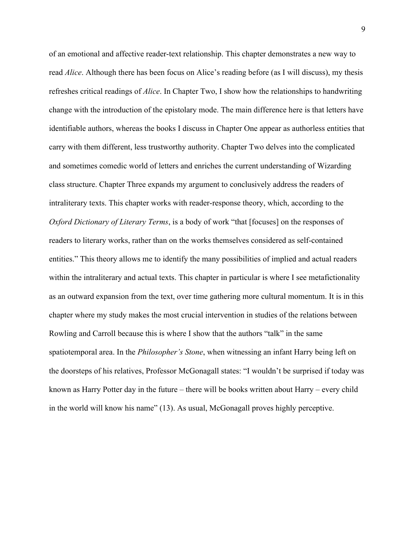of an emotional and affective reader-text relationship. This chapter demonstrates a new way to read *Alice*. Although there has been focus on Alice's reading before (as I will discuss), my thesis refreshes critical readings of *Alice*. In Chapter Two, I show how the relationships to handwriting change with the introduction of the epistolary mode. The main difference here is that letters have identifiable authors, whereas the books I discuss in Chapter One appear as authorless entities that carry with them different, less trustworthy authority. Chapter Two delves into the complicated and sometimes comedic world of letters and enriches the current understanding of Wizarding class structure. Chapter Three expands my argument to conclusively address the readers of intraliterary texts. This chapter works with reader-response theory, which, according to the *Oxford Dictionary of Literary Terms*, is a body of work "that [focuses] on the responses of readers to literary works, rather than on the works themselves considered as self-contained entities." This theory allows me to identify the many possibilities of implied and actual readers within the intraliterary and actual texts. This chapter in particular is where I see metafictionality as an outward expansion from the text, over time gathering more cultural momentum. It is in this chapter where my study makes the most crucial intervention in studies of the relations between Rowling and Carroll because this is where I show that the authors "talk" in the same spatiotemporal area. In the *Philosopher's Stone*, when witnessing an infant Harry being left on the doorsteps of his relatives, Professor McGonagall states: "I wouldn't be surprised if today was known as Harry Potter day in the future – there will be books written about Harry – every child in the world will know his name" (13). As usual, McGonagall proves highly perceptive.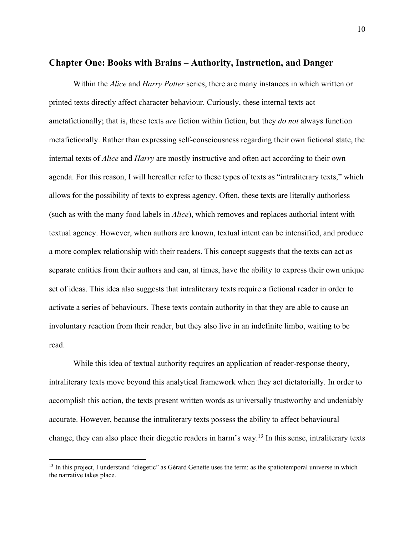#### **Chapter One: Books with Brains – Authority, Instruction, and Danger**

Within the *Alice* and *Harry Potter* series, there are many instances in which written or printed texts directly affect character behaviour. Curiously, these internal texts act ametafictionally; that is, these texts *are* fiction within fiction, but they *do not* always function metafictionally. Rather than expressing self-consciousness regarding their own fictional state, the internal texts of *Alice* and *Harry* are mostly instructive and often act according to their own agenda. For this reason, I will hereafter refer to these types of texts as "intraliterary texts," which allows for the possibility of texts to express agency. Often, these texts are literally authorless (such as with the many food labels in *Alice*), which removes and replaces authorial intent with textual agency. However, when authors are known, textual intent can be intensified, and produce a more complex relationship with their readers. This concept suggests that the texts can act as separate entities from their authors and can, at times, have the ability to express their own unique set of ideas. This idea also suggests that intraliterary texts require a fictional reader in order to activate a series of behaviours. These texts contain authority in that they are able to cause an involuntary reaction from their reader, but they also live in an indefinite limbo, waiting to be read.

While this idea of textual authority requires an application of reader-response theory, intraliterary texts move beyond this analytical framework when they act dictatorially. In order to accomplish this action, the texts present written words as universally trustworthy and undeniably accurate. However, because the intraliterary texts possess the ability to affect behavioural change, they can also place their diegetic readers in harm's way.13 In this sense, intraliterary texts

<sup>&</sup>lt;sup>13</sup> In this project, I understand "diegetic" as Gérard Genette uses the term: as the spatiotemporal universe in which the narrative takes place.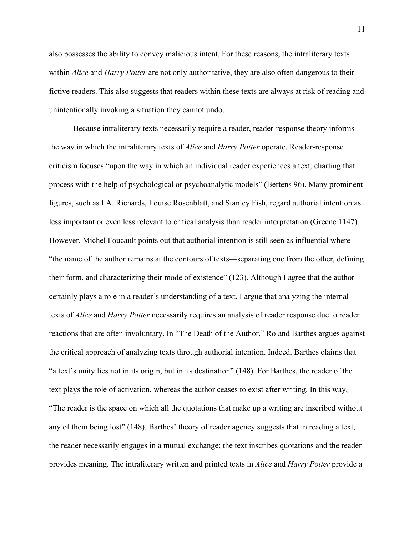also possesses the ability to convey malicious intent. For these reasons, the intraliterary texts within *Alice* and *Harry Potter* are not only authoritative, they are also often dangerous to their fictive readers. This also suggests that readers within these texts are always at risk of reading and unintentionally invoking a situation they cannot undo.

Because intraliterary texts necessarily require a reader, reader-response theory informs the way in which the intraliterary texts of *Alice* and *Harry Potter* operate. Reader-response criticism focuses "upon the way in which an individual reader experiences a text, charting that process with the help of psychological or psychoanalytic models" (Bertens 96). Many prominent figures, such as I.A. Richards, Louise Rosenblatt, and Stanley Fish, regard authorial intention as less important or even less relevant to critical analysis than reader interpretation (Greene 1147). However, Michel Foucault points out that authorial intention is still seen as influential where "the name of the author remains at the contours of texts—separating one from the other, defining their form, and characterizing their mode of existence" (123). Although I agree that the author certainly plays a role in a reader's understanding of a text, I argue that analyzing the internal texts of *Alice* and *Harry Potter* necessarily requires an analysis of reader response due to reader reactions that are often involuntary. In "The Death of the Author," Roland Barthes argues against the critical approach of analyzing texts through authorial intention. Indeed, Barthes claims that "a text's unity lies not in its origin, but in its destination" (148). For Barthes, the reader of the text plays the role of activation, whereas the author ceases to exist after writing. In this way, "The reader is the space on which all the quotations that make up a writing are inscribed without any of them being lost" (148). Barthes' theory of reader agency suggests that in reading a text, the reader necessarily engages in a mutual exchange; the text inscribes quotations and the reader provides meaning. The intraliterary written and printed texts in *Alice* and *Harry Potter* provide a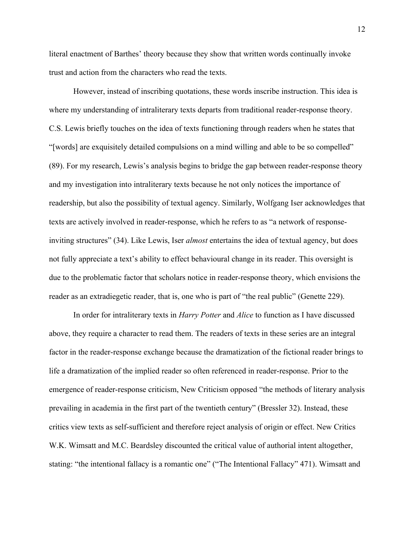literal enactment of Barthes' theory because they show that written words continually invoke trust and action from the characters who read the texts.

However, instead of inscribing quotations, these words inscribe instruction. This idea is where my understanding of intraliterary texts departs from traditional reader-response theory. C.S. Lewis briefly touches on the idea of texts functioning through readers when he states that "[words] are exquisitely detailed compulsions on a mind willing and able to be so compelled" (89). For my research, Lewis's analysis begins to bridge the gap between reader-response theory and my investigation into intraliterary texts because he not only notices the importance of readership, but also the possibility of textual agency. Similarly, Wolfgang Iser acknowledges that texts are actively involved in reader-response, which he refers to as "a network of responseinviting structures" (34). Like Lewis, Iser *almost* entertains the idea of textual agency, but does not fully appreciate a text's ability to effect behavioural change in its reader. This oversight is due to the problematic factor that scholars notice in reader-response theory, which envisions the reader as an extradiegetic reader, that is, one who is part of "the real public" (Genette 229).

In order for intraliterary texts in *Harry Potter* and *Alice* to function as I have discussed above, they require a character to read them. The readers of texts in these series are an integral factor in the reader-response exchange because the dramatization of the fictional reader brings to life a dramatization of the implied reader so often referenced in reader-response. Prior to the emergence of reader-response criticism, New Criticism opposed "the methods of literary analysis prevailing in academia in the first part of the twentieth century" (Bressler 32). Instead, these critics view texts as self-sufficient and therefore reject analysis of origin or effect. New Critics W.K. Wimsatt and M.C. Beardsley discounted the critical value of authorial intent altogether, stating: "the intentional fallacy is a romantic one" ("The Intentional Fallacy" 471). Wimsatt and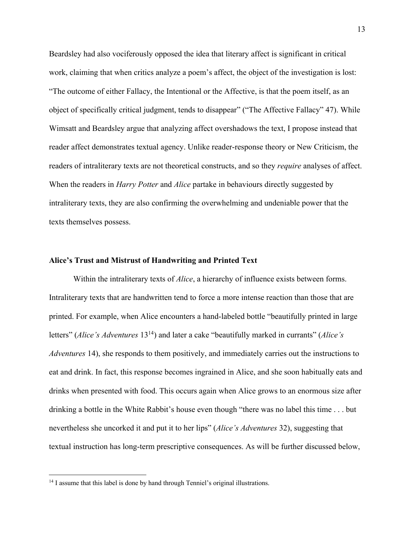Beardsley had also vociferously opposed the idea that literary affect is significant in critical work, claiming that when critics analyze a poem's affect, the object of the investigation is lost: "The outcome of either Fallacy, the Intentional or the Affective, is that the poem itself, as an object of specifically critical judgment, tends to disappear" ("The Affective Fallacy" 47). While Wimsatt and Beardsley argue that analyzing affect overshadows the text, I propose instead that reader affect demonstrates textual agency. Unlike reader-response theory or New Criticism, the readers of intraliterary texts are not theoretical constructs, and so they *require* analyses of affect. When the readers in *Harry Potter* and *Alice* partake in behaviours directly suggested by intraliterary texts, they are also confirming the overwhelming and undeniable power that the texts themselves possess.

#### **Alice's Trust and Mistrust of Handwriting and Printed Text**

Within the intraliterary texts of *Alice*, a hierarchy of influence exists between forms. Intraliterary texts that are handwritten tend to force a more intense reaction than those that are printed. For example, when Alice encounters a hand-labeled bottle "beautifully printed in large letters" (*Alice's Adventures* 1314) and later a cake "beautifully marked in currants" (*Alice's Adventures* 14), she responds to them positively, and immediately carries out the instructions to eat and drink. In fact, this response becomes ingrained in Alice, and she soon habitually eats and drinks when presented with food. This occurs again when Alice grows to an enormous size after drinking a bottle in the White Rabbit's house even though "there was no label this time . . . but nevertheless she uncorked it and put it to her lips" (*Alice's Adventures* 32), suggesting that textual instruction has long-term prescriptive consequences. As will be further discussed below,

<sup>&</sup>lt;sup>14</sup> I assume that this label is done by hand through Tenniel's original illustrations.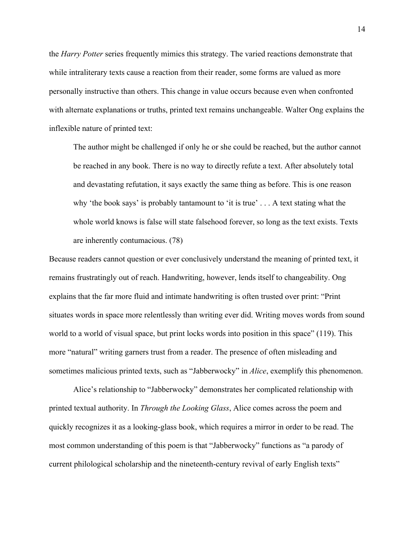the *Harry Potter* series frequently mimics this strategy. The varied reactions demonstrate that while intraliterary texts cause a reaction from their reader, some forms are valued as more personally instructive than others. This change in value occurs because even when confronted with alternate explanations or truths, printed text remains unchangeable. Walter Ong explains the inflexible nature of printed text:

The author might be challenged if only he or she could be reached, but the author cannot be reached in any book. There is no way to directly refute a text. After absolutely total and devastating refutation, it says exactly the same thing as before. This is one reason why 'the book says' is probably tantamount to 'it is true' . . . A text stating what the whole world knows is false will state falsehood forever, so long as the text exists. Texts are inherently contumacious. (78)

Because readers cannot question or ever conclusively understand the meaning of printed text, it remains frustratingly out of reach. Handwriting, however, lends itself to changeability. Ong explains that the far more fluid and intimate handwriting is often trusted over print: "Print situates words in space more relentlessly than writing ever did. Writing moves words from sound world to a world of visual space, but print locks words into position in this space" (119). This more "natural" writing garners trust from a reader. The presence of often misleading and sometimes malicious printed texts, such as "Jabberwocky" in *Alice*, exemplify this phenomenon.

Alice's relationship to "Jabberwocky" demonstrates her complicated relationship with printed textual authority. In *Through the Looking Glass*, Alice comes across the poem and quickly recognizes it as a looking-glass book, which requires a mirror in order to be read. The most common understanding of this poem is that "Jabberwocky" functions as "a parody of current philological scholarship and the nineteenth-century revival of early English texts"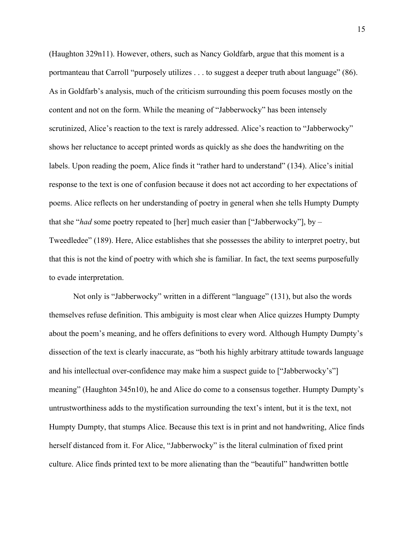(Haughton 329n11). However, others, such as Nancy Goldfarb, argue that this moment is a portmanteau that Carroll "purposely utilizes . . . to suggest a deeper truth about language" (86). As in Goldfarb's analysis, much of the criticism surrounding this poem focuses mostly on the content and not on the form. While the meaning of "Jabberwocky" has been intensely scrutinized, Alice's reaction to the text is rarely addressed. Alice's reaction to "Jabberwocky" shows her reluctance to accept printed words as quickly as she does the handwriting on the labels. Upon reading the poem, Alice finds it "rather hard to understand" (134). Alice's initial response to the text is one of confusion because it does not act according to her expectations of poems. Alice reflects on her understanding of poetry in general when she tells Humpty Dumpty that she "*had* some poetry repeated to [her] much easier than ["Jabberwocky"], by – Tweedledee" (189). Here, Alice establishes that she possesses the ability to interpret poetry, but that this is not the kind of poetry with which she is familiar. In fact, the text seems purposefully to evade interpretation.

Not only is "Jabberwocky" written in a different "language" (131), but also the words themselves refuse definition. This ambiguity is most clear when Alice quizzes Humpty Dumpty about the poem's meaning, and he offers definitions to every word. Although Humpty Dumpty's dissection of the text is clearly inaccurate, as "both his highly arbitrary attitude towards language and his intellectual over-confidence may make him a suspect guide to ["Jabberwocky's"] meaning" (Haughton 345n10), he and Alice do come to a consensus together. Humpty Dumpty's untrustworthiness adds to the mystification surrounding the text's intent, but it is the text, not Humpty Dumpty, that stumps Alice. Because this text is in print and not handwriting, Alice finds herself distanced from it. For Alice, "Jabberwocky" is the literal culmination of fixed print culture. Alice finds printed text to be more alienating than the "beautiful" handwritten bottle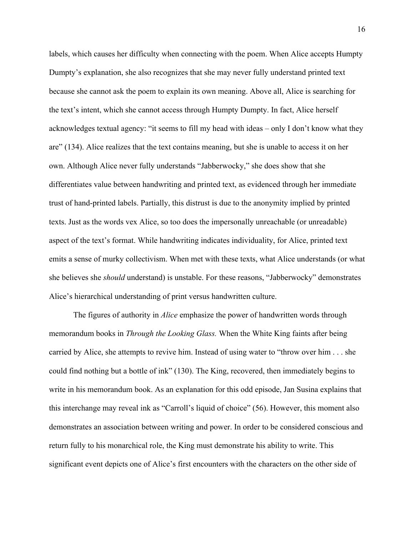labels, which causes her difficulty when connecting with the poem. When Alice accepts Humpty Dumpty's explanation, she also recognizes that she may never fully understand printed text because she cannot ask the poem to explain its own meaning. Above all, Alice is searching for the text's intent, which she cannot access through Humpty Dumpty. In fact, Alice herself acknowledges textual agency: "it seems to fill my head with ideas – only I don't know what they are" (134). Alice realizes that the text contains meaning, but she is unable to access it on her own. Although Alice never fully understands "Jabberwocky," she does show that she differentiates value between handwriting and printed text, as evidenced through her immediate trust of hand-printed labels. Partially, this distrust is due to the anonymity implied by printed texts. Just as the words vex Alice, so too does the impersonally unreachable (or unreadable) aspect of the text's format. While handwriting indicates individuality, for Alice, printed text emits a sense of murky collectivism. When met with these texts, what Alice understands (or what she believes she *should* understand) is unstable. For these reasons, "Jabberwocky" demonstrates Alice's hierarchical understanding of print versus handwritten culture.

The figures of authority in *Alice* emphasize the power of handwritten words through memorandum books in *Through the Looking Glass.* When the White King faints after being carried by Alice, she attempts to revive him. Instead of using water to "throw over him . . . she could find nothing but a bottle of ink" (130). The King, recovered, then immediately begins to write in his memorandum book. As an explanation for this odd episode, Jan Susina explains that this interchange may reveal ink as "Carroll's liquid of choice" (56). However, this moment also demonstrates an association between writing and power. In order to be considered conscious and return fully to his monarchical role, the King must demonstrate his ability to write. This significant event depicts one of Alice's first encounters with the characters on the other side of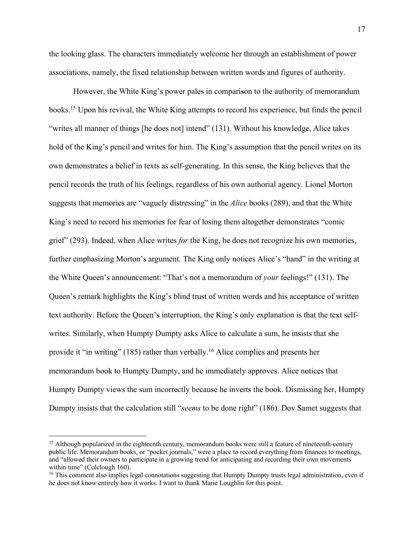the looking glass. The characters immediately welcome her through an establishment of power associations, namely, the fixed relationship between written words and figures of authority.

However, the White King's power pales in comparison to the authority of memorandum books.15 Upon his revival, the White King attempts to record his experience, but finds the pencil "writes all manner of things [he does not] intend" (131). Without his knowledge, Alice takes hold of the King's pencil and writes for him. The King's assumption that the pencil writes on its own demonstrates a belief in texts as self-generating. In this sense, the King believes that the pencil records the truth of his feelings, regardless of his own authorial agency. Lionel Morton suggests that memories are "vaguely distressing" in the *Alice* books (289), and that the White King's need to record his memories for fear of losing them altogether demonstrates "comic grief" (293). Indeed, when Alice writes *for* the King, he does not recognize his own memories, further emphasizing Morton's argument. The King only notices Alice's "hand" in the writing at the White Queen's announcement: "That's not a memorandum of *your* feelings!" (131). The Queen's remark highlights the King's blind trust of written words and his acceptance of written text authority. Before the Queen's interruption, the King's only explanation is that the text selfwrites. Similarly, when Humpty Dumpty asks Alice to calculate a sum, he insists that she provide it "in writing" (185) rather than verbally.16 Alice complies and presents her memorandum book to Humpty Dumpty, and he immediately approves. Alice notices that Humpty Dumpty views the sum incorrectly because he inverts the book. Dismissing her, Humpty Dumpty insists that the calculation still "*seems* to be done right" (186). Dov Samet suggests that

<sup>&</sup>lt;sup>15</sup> Although popularized in the eighteenth century, memorandum books were still a feature of nineteenth-century public life. Memorandum books, or "pocket journals," were a place to record everything from finances to meetings, and "allowed their owners to participate in a growing trend for anticipating and recording their own movements within time" (Colclough 160).

<sup>&</sup>lt;sup>16</sup> This comment also implies legal connotations suggesting that Humpty Dumpty trusts legal administration, even if he does not know entirely how it works. I want to thank Marie Loughlin for this point.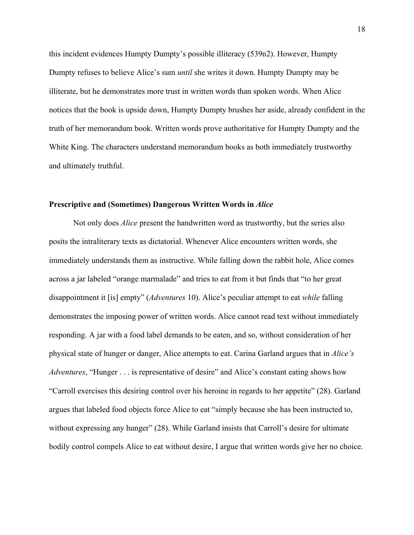this incident evidences Humpty Dumpty's possible illiteracy (539n2). However, Humpty Dumpty refuses to believe Alice's sum *until* she writes it down. Humpty Dumpty may be illiterate, but he demonstrates more trust in written words than spoken words. When Alice notices that the book is upside down, Humpty Dumpty brushes her aside, already confident in the truth of her memorandum book. Written words prove authoritative for Humpty Dumpty and the White King. The characters understand memorandum books as both immediately trustworthy and ultimately truthful.

#### **Prescriptive and (Sometimes) Dangerous Written Words in** *Alice*

Not only does *Alice* present the handwritten word as trustworthy, but the series also posits the intraliterary texts as dictatorial. Whenever Alice encounters written words, she immediately understands them as instructive. While falling down the rabbit hole, Alice comes across a jar labeled "orange marmalade" and tries to eat from it but finds that "to her great disappointment it [is] empty" (*Adventures* 10). Alice's peculiar attempt to eat *while* falling demonstrates the imposing power of written words. Alice cannot read text without immediately responding. A jar with a food label demands to be eaten, and so, without consideration of her physical state of hunger or danger, Alice attempts to eat. Carina Garland argues that in *Alice's Adventures*, "Hunger . . . is representative of desire" and Alice's constant eating shows how "Carroll exercises this desiring control over his heroine in regards to her appetite" (28). Garland argues that labeled food objects force Alice to eat "simply because she has been instructed to, without expressing any hunger" (28). While Garland insists that Carroll's desire for ultimate bodily control compels Alice to eat without desire, I argue that written words give her no choice.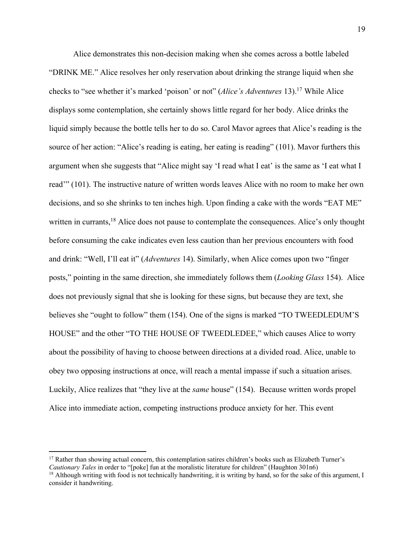Alice demonstrates this non-decision making when she comes across a bottle labeled "DRINK ME." Alice resolves her only reservation about drinking the strange liquid when she checks to "see whether it's marked 'poison' or not" (*Alice's Adventures* 13).17 While Alice displays some contemplation, she certainly shows little regard for her body. Alice drinks the liquid simply because the bottle tells her to do so. Carol Mavor agrees that Alice's reading is the source of her action: "Alice's reading is eating, her eating is reading" (101). Mavor furthers this argument when she suggests that "Alice might say 'I read what I eat' is the same as 'I eat what I read'" (101). The instructive nature of written words leaves Alice with no room to make her own decisions, and so she shrinks to ten inches high. Upon finding a cake with the words "EAT ME" written in currants,<sup>18</sup> Alice does not pause to contemplate the consequences. Alice's only thought before consuming the cake indicates even less caution than her previous encounters with food and drink: "Well, I'll eat it" (*Adventures* 14). Similarly, when Alice comes upon two "finger posts," pointing in the same direction, she immediately follows them (*Looking Glass* 154). Alice does not previously signal that she is looking for these signs, but because they are text, she believes she "ought to follow" them (154). One of the signs is marked "TO TWEEDLEDUM'S HOUSE" and the other "TO THE HOUSE OF TWEEDLEDEE," which causes Alice to worry about the possibility of having to choose between directions at a divided road. Alice, unable to obey two opposing instructions at once, will reach a mental impasse if such a situation arises. Luckily, Alice realizes that "they live at the *same* house" (154). Because written words propel Alice into immediate action, competing instructions produce anxiety for her. This event

<sup>&</sup>lt;sup>17</sup> Rather than showing actual concern, this contemplation satires children's books such as Elizabeth Turner's *Cautionary Tales* in order to "[poke] fun at the moralistic literature for children" (Haughton 301n6)

 $18$  Although writing with food is not technically handwriting, it is writing by hand, so for the sake of this argument, I consider it handwriting.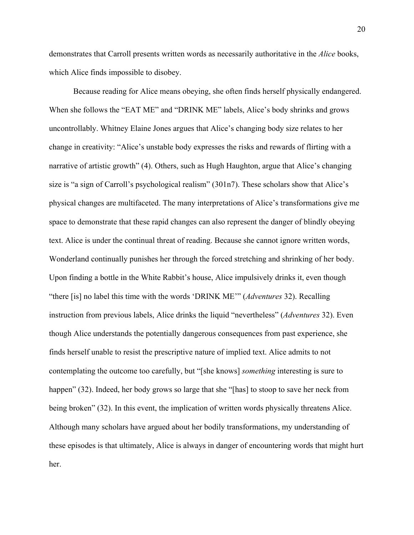demonstrates that Carroll presents written words as necessarily authoritative in the *Alice* books, which Alice finds impossible to disobey.

Because reading for Alice means obeying, she often finds herself physically endangered. When she follows the "EAT ME" and "DRINK ME" labels, Alice's body shrinks and grows uncontrollably. Whitney Elaine Jones argues that Alice's changing body size relates to her change in creativity: "Alice's unstable body expresses the risks and rewards of flirting with a narrative of artistic growth" (4). Others, such as Hugh Haughton, argue that Alice's changing size is "a sign of Carroll's psychological realism" (301n7). These scholars show that Alice's physical changes are multifaceted. The many interpretations of Alice's transformations give me space to demonstrate that these rapid changes can also represent the danger of blindly obeying text. Alice is under the continual threat of reading. Because she cannot ignore written words, Wonderland continually punishes her through the forced stretching and shrinking of her body. Upon finding a bottle in the White Rabbit's house, Alice impulsively drinks it, even though "there [is] no label this time with the words 'DRINK ME'" (*Adventures* 32). Recalling instruction from previous labels, Alice drinks the liquid "nevertheless" (*Adventures* 32). Even though Alice understands the potentially dangerous consequences from past experience, she finds herself unable to resist the prescriptive nature of implied text. Alice admits to not contemplating the outcome too carefully, but "[she knows] *something* interesting is sure to happen" (32). Indeed, her body grows so large that she "[has] to stoop to save her neck from being broken" (32). In this event, the implication of written words physically threatens Alice. Although many scholars have argued about her bodily transformations, my understanding of these episodes is that ultimately, Alice is always in danger of encountering words that might hurt her.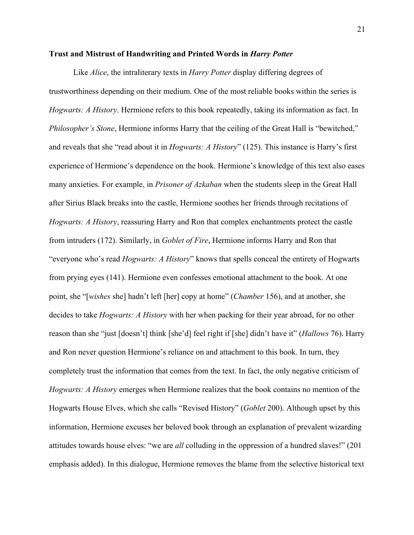#### **Trust and Mistrust of Handwriting and Printed Words in** *Harry Potter*

Like *Alice*, the intraliterary texts in *Harry Potter* display differing degrees of trustworthiness depending on their medium. One of the most reliable books within the series is *Hogwarts: A History*. Hermione refers to this book repeatedly, taking its information as fact. In *Philosopher's Stone*, Hermione informs Harry that the ceiling of the Great Hall is "bewitched," and reveals that she "read about it in *Hogwarts: A History*" (125). This instance is Harry's first experience of Hermione's dependence on the book. Hermione's knowledge of this text also eases many anxieties. For example, in *Prisoner of Azkaban* when the students sleep in the Great Hall after Sirius Black breaks into the castle, Hermione soothes her friends through recitations of *Hogwarts: A History*, reassuring Harry and Ron that complex enchantments protect the castle from intruders (172). Similarly, in *Goblet of Fire*, Hermione informs Harry and Ron that "everyone who's read *Hogwarts: A History*" knows that spells conceal the entirety of Hogwarts from prying eyes (141). Hermione even confesses emotional attachment to the book. At one point, she "[*wishes* she] hadn't left [her] copy at home" (*Chamber* 156), and at another, she decides to take *Hogwarts: A History* with her when packing for their year abroad, for no other reason than she "just [doesn't] think [she'd] feel right if [she] didn't have it" (*Hallows* 76). Harry and Ron never question Hermione's reliance on and attachment to this book. In turn, they completely trust the information that comes from the text. In fact, the only negative criticism of *Hogwarts: A History* emerges when Hermione realizes that the book contains no mention of the Hogwarts House Elves, which she calls "Revised History" (*Goblet* 200). Although upset by this information, Hermione excuses her beloved book through an explanation of prevalent wizarding attitudes towards house elves: "we are *all* colluding in the oppression of a hundred slaves!" (201 emphasis added). In this dialogue, Hermione removes the blame from the selective historical text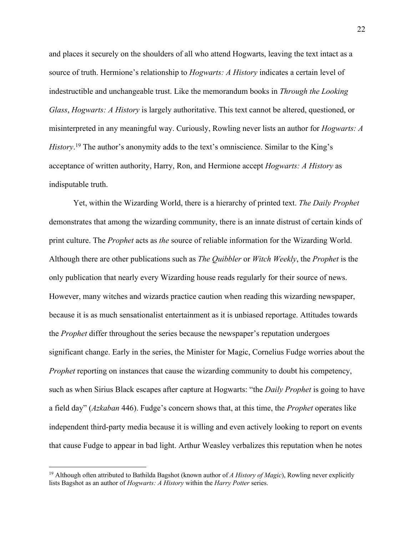and places it securely on the shoulders of all who attend Hogwarts, leaving the text intact as a source of truth. Hermione's relationship to *Hogwarts: A History* indicates a certain level of indestructible and unchangeable trust. Like the memorandum books in *Through the Looking Glass*, *Hogwarts: A History* is largely authoritative. This text cannot be altered, questioned, or misinterpreted in any meaningful way. Curiously, Rowling never lists an author for *Hogwarts: A History*. <sup>19</sup> The author's anonymity adds to the text's omniscience. Similar to the King's acceptance of written authority, Harry, Ron, and Hermione accept *Hogwarts: A History* as indisputable truth.

Yet, within the Wizarding World, there is a hierarchy of printed text. *The Daily Prophet*  demonstrates that among the wizarding community, there is an innate distrust of certain kinds of print culture. The *Prophet* acts as *the* source of reliable information for the Wizarding World. Although there are other publications such as *The Quibbler* or *Witch Weekly*, the *Prophet* is the only publication that nearly every Wizarding house reads regularly for their source of news. However, many witches and wizards practice caution when reading this wizarding newspaper, because it is as much sensationalist entertainment as it is unbiased reportage. Attitudes towards the *Prophet* differ throughout the series because the newspaper's reputation undergoes significant change. Early in the series, the Minister for Magic, Cornelius Fudge worries about the *Prophet* reporting on instances that cause the wizarding community to doubt his competency, such as when Sirius Black escapes after capture at Hogwarts: "the *Daily Prophet* is going to have a field day" (*Azkaban* 446). Fudge's concern shows that, at this time, the *Prophet* operates like independent third-party media because it is willing and even actively looking to report on events that cause Fudge to appear in bad light. Arthur Weasley verbalizes this reputation when he notes

<sup>19</sup> Although often attributed to Bathilda Bagshot (known author of *A History of Magic*), Rowling never explicitly lists Bagshot as an author of *Hogwarts: A History* within the *Harry Potter* series.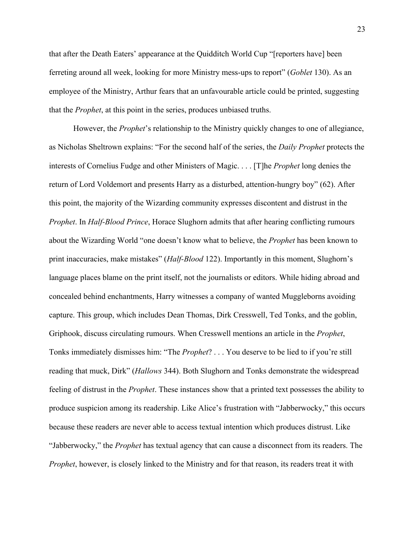that after the Death Eaters' appearance at the Quidditch World Cup "[reporters have] been ferreting around all week, looking for more Ministry mess-ups to report" (*Goblet* 130). As an employee of the Ministry, Arthur fears that an unfavourable article could be printed, suggesting that the *Prophet*, at this point in the series, produces unbiased truths.

However, the *Prophet*'s relationship to the Ministry quickly changes to one of allegiance, as Nicholas Sheltrown explains: "For the second half of the series, the *Daily Prophet* protects the interests of Cornelius Fudge and other Ministers of Magic. . . . [T]he *Prophet* long denies the return of Lord Voldemort and presents Harry as a disturbed, attention-hungry boy" (62). After this point, the majority of the Wizarding community expresses discontent and distrust in the *Prophet*. In *Half-Blood Prince*, Horace Slughorn admits that after hearing conflicting rumours about the Wizarding World "one doesn't know what to believe, the *Prophet* has been known to print inaccuracies, make mistakes" (*Half-Blood* 122). Importantly in this moment, Slughorn's language places blame on the print itself, not the journalists or editors. While hiding abroad and concealed behind enchantments, Harry witnesses a company of wanted Muggleborns avoiding capture. This group, which includes Dean Thomas, Dirk Cresswell, Ted Tonks, and the goblin, Griphook, discuss circulating rumours. When Cresswell mentions an article in the *Prophet*, Tonks immediately dismisses him: "The *Prophet*? . . . You deserve to be lied to if you're still reading that muck, Dirk" (*Hallows* 344). Both Slughorn and Tonks demonstrate the widespread feeling of distrust in the *Prophet*. These instances show that a printed text possesses the ability to produce suspicion among its readership. Like Alice's frustration with "Jabberwocky," this occurs because these readers are never able to access textual intention which produces distrust. Like "Jabberwocky," the *Prophet* has textual agency that can cause a disconnect from its readers. The *Prophet*, however, is closely linked to the Ministry and for that reason, its readers treat it with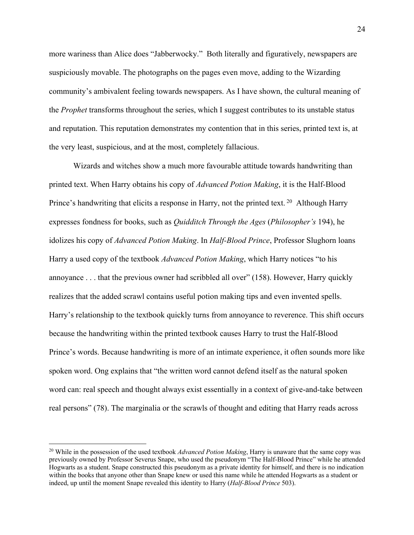more wariness than Alice does "Jabberwocky." Both literally and figuratively, newspapers are suspiciously movable. The photographs on the pages even move, adding to the Wizarding community's ambivalent feeling towards newspapers. As I have shown, the cultural meaning of the *Prophet* transforms throughout the series, which I suggest contributes to its unstable status and reputation. This reputation demonstrates my contention that in this series, printed text is, at the very least, suspicious, and at the most, completely fallacious.

Wizards and witches show a much more favourable attitude towards handwriting than printed text. When Harry obtains his copy of *Advanced Potion Making*, it is the Half-Blood Prince's handwriting that elicits a response in Harry, not the printed text.<sup>20</sup> Although Harry expresses fondness for books, such as *Quidditch Through the Ages* (*Philosopher's* 194), he idolizes his copy of *Advanced Potion Making*. In *Half-Blood Prince*, Professor Slughorn loans Harry a used copy of the textbook *Advanced Potion Making*, which Harry notices "to his annoyance . . . that the previous owner had scribbled all over" (158). However, Harry quickly realizes that the added scrawl contains useful potion making tips and even invented spells. Harry's relationship to the textbook quickly turns from annoyance to reverence. This shift occurs because the handwriting within the printed textbook causes Harry to trust the Half-Blood Prince's words. Because handwriting is more of an intimate experience, it often sounds more like spoken word. Ong explains that "the written word cannot defend itself as the natural spoken word can: real speech and thought always exist essentially in a context of give-and-take between real persons" (78). The marginalia or the scrawls of thought and editing that Harry reads across

<sup>&</sup>lt;sup>20</sup> While in the possession of the used textbook *Advanced Potion Making*, Harry is unaware that the same copy was previously owned by Professor Severus Snape, who used the pseudonym "The Half-Blood Prince" while he attended Hogwarts as a student. Snape constructed this pseudonym as a private identity for himself, and there is no indication within the books that anyone other than Snape knew or used this name while he attended Hogwarts as a student or indeed, up until the moment Snape revealed this identity to Harry (*Half-Blood Prince* 503).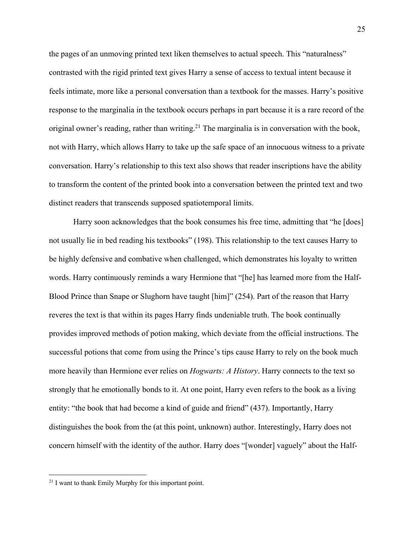the pages of an unmoving printed text liken themselves to actual speech. This "naturalness" contrasted with the rigid printed text gives Harry a sense of access to textual intent because it feels intimate, more like a personal conversation than a textbook for the masses. Harry's positive response to the marginalia in the textbook occurs perhaps in part because it is a rare record of the original owner's reading, rather than writing.<sup>21</sup> The marginalia is in conversation with the book, not with Harry, which allows Harry to take up the safe space of an innocuous witness to a private conversation. Harry's relationship to this text also shows that reader inscriptions have the ability to transform the content of the printed book into a conversation between the printed text and two distinct readers that transcends supposed spatiotemporal limits.

Harry soon acknowledges that the book consumes his free time, admitting that "he [does] not usually lie in bed reading his textbooks" (198). This relationship to the text causes Harry to be highly defensive and combative when challenged, which demonstrates his loyalty to written words. Harry continuously reminds a wary Hermione that "[he] has learned more from the Half-Blood Prince than Snape or Slughorn have taught [him]" (254). Part of the reason that Harry reveres the text is that within its pages Harry finds undeniable truth. The book continually provides improved methods of potion making, which deviate from the official instructions. The successful potions that come from using the Prince's tips cause Harry to rely on the book much more heavily than Hermione ever relies on *Hogwarts: A History*. Harry connects to the text so strongly that he emotionally bonds to it. At one point, Harry even refers to the book as a living entity: "the book that had become a kind of guide and friend" (437). Importantly, Harry distinguishes the book from the (at this point, unknown) author. Interestingly, Harry does not concern himself with the identity of the author. Harry does "[wonder] vaguely" about the Half-

<sup>&</sup>lt;sup>21</sup> I want to thank Emily Murphy for this important point.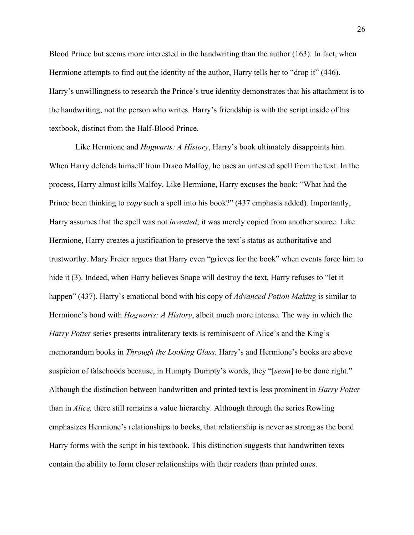Blood Prince but seems more interested in the handwriting than the author (163). In fact, when Hermione attempts to find out the identity of the author, Harry tells her to "drop it" (446). Harry's unwillingness to research the Prince's true identity demonstrates that his attachment is to the handwriting, not the person who writes. Harry's friendship is with the script inside of his textbook, distinct from the Half-Blood Prince.

Like Hermione and *Hogwarts: A History*, Harry's book ultimately disappoints him. When Harry defends himself from Draco Malfoy, he uses an untested spell from the text. In the process, Harry almost kills Malfoy. Like Hermione, Harry excuses the book: "What had the Prince been thinking to *copy* such a spell into his book?" (437 emphasis added). Importantly, Harry assumes that the spell was not *invented*; it was merely copied from another source. Like Hermione, Harry creates a justification to preserve the text's status as authoritative and trustworthy. Mary Freier argues that Harry even "grieves for the book" when events force him to hide it (3). Indeed, when Harry believes Snape will destroy the text, Harry refuses to "let it happen" (437). Harry's emotional bond with his copy of *Advanced Potion Making* is similar to Hermione's bond with *Hogwarts: A History*, albeit much more intense*.* The way in which the *Harry Potter* series presents intraliterary texts is reminiscent of Alice's and the King's memorandum books in *Through the Looking Glass.* Harry's and Hermione's books are above suspicion of falsehoods because, in Humpty Dumpty's words, they "[*seem*] to be done right." Although the distinction between handwritten and printed text is less prominent in *Harry Potter*  than in *Alice,* there still remains a value hierarchy. Although through the series Rowling emphasizes Hermione's relationships to books, that relationship is never as strong as the bond Harry forms with the script in his textbook. This distinction suggests that handwritten texts contain the ability to form closer relationships with their readers than printed ones.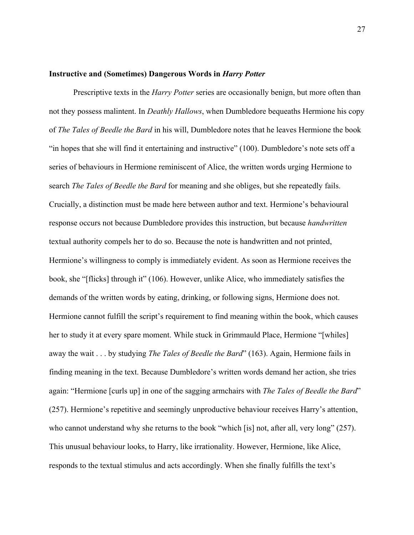#### **Instructive and (Sometimes) Dangerous Words in** *Harry Potter*

Prescriptive texts in the *Harry Potter* series are occasionally benign, but more often than not they possess malintent. In *Deathly Hallows*, when Dumbledore bequeaths Hermione his copy of *The Tales of Beedle the Bard* in his will, Dumbledore notes that he leaves Hermione the book "in hopes that she will find it entertaining and instructive" (100). Dumbledore's note sets off a series of behaviours in Hermione reminiscent of Alice, the written words urging Hermione to search *The Tales of Beedle the Bard* for meaning and she obliges, but she repeatedly fails. Crucially, a distinction must be made here between author and text. Hermione's behavioural response occurs not because Dumbledore provides this instruction, but because *handwritten* textual authority compels her to do so. Because the note is handwritten and not printed, Hermione's willingness to comply is immediately evident. As soon as Hermione receives the book, she "[flicks] through it" (106). However, unlike Alice, who immediately satisfies the demands of the written words by eating, drinking, or following signs, Hermione does not. Hermione cannot fulfill the script's requirement to find meaning within the book, which causes her to study it at every spare moment. While stuck in Grimmauld Place, Hermione "[whiles] away the wait . . . by studying *The Tales of Beedle the Bard*" (163). Again, Hermione fails in finding meaning in the text. Because Dumbledore's written words demand her action, she tries again: "Hermione [curls up] in one of the sagging armchairs with *The Tales of Beedle the Bard*" (257). Hermione's repetitive and seemingly unproductive behaviour receives Harry's attention, who cannot understand why she returns to the book "which [is] not, after all, very long" (257). This unusual behaviour looks, to Harry, like irrationality. However, Hermione, like Alice, responds to the textual stimulus and acts accordingly. When she finally fulfills the text's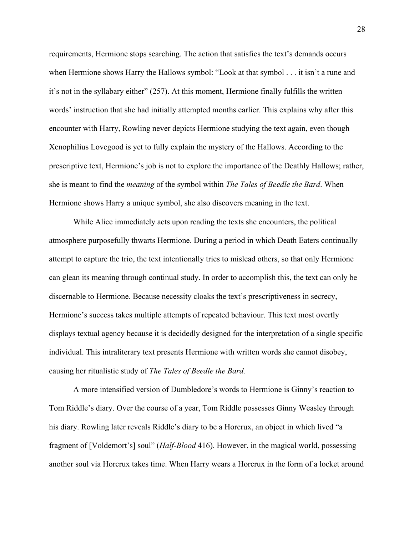requirements, Hermione stops searching. The action that satisfies the text's demands occurs when Hermione shows Harry the Hallows symbol: "Look at that symbol . . . it isn't a rune and it's not in the syllabary either" (257). At this moment, Hermione finally fulfills the written words' instruction that she had initially attempted months earlier. This explains why after this encounter with Harry, Rowling never depicts Hermione studying the text again, even though Xenophilius Lovegood is yet to fully explain the mystery of the Hallows. According to the prescriptive text, Hermione's job is not to explore the importance of the Deathly Hallows; rather, she is meant to find the *meaning* of the symbol within *The Tales of Beedle the Bard*. When Hermione shows Harry a unique symbol, she also discovers meaning in the text.

While Alice immediately acts upon reading the texts she encounters, the political atmosphere purposefully thwarts Hermione. During a period in which Death Eaters continually attempt to capture the trio, the text intentionally tries to mislead others, so that only Hermione can glean its meaning through continual study. In order to accomplish this, the text can only be discernable to Hermione. Because necessity cloaks the text's prescriptiveness in secrecy, Hermione's success takes multiple attempts of repeated behaviour. This text most overtly displays textual agency because it is decidedly designed for the interpretation of a single specific individual. This intraliterary text presents Hermione with written words she cannot disobey, causing her ritualistic study of *The Tales of Beedle the Bard.* 

A more intensified version of Dumbledore's words to Hermione is Ginny's reaction to Tom Riddle's diary. Over the course of a year, Tom Riddle possesses Ginny Weasley through his diary. Rowling later reveals Riddle's diary to be a Horcrux, an object in which lived "a fragment of [Voldemort's] soul" (*Half-Blood* 416). However, in the magical world, possessing another soul via Horcrux takes time. When Harry wears a Horcrux in the form of a locket around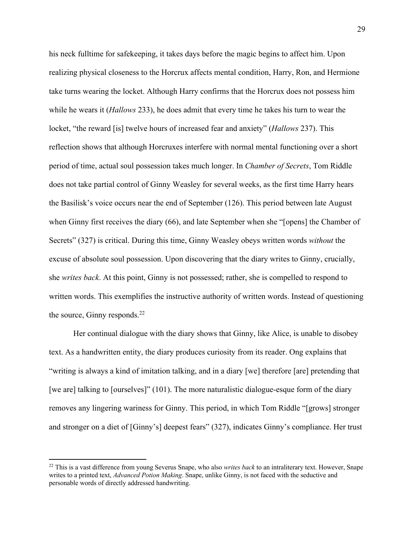his neck fulltime for safekeeping, it takes days before the magic begins to affect him. Upon realizing physical closeness to the Horcrux affects mental condition, Harry, Ron, and Hermione take turns wearing the locket. Although Harry confirms that the Horcrux does not possess him while he wears it (*Hallows* 233), he does admit that every time he takes his turn to wear the locket, "the reward [is] twelve hours of increased fear and anxiety" (*Hallows* 237). This reflection shows that although Horcruxes interfere with normal mental functioning over a short period of time, actual soul possession takes much longer. In *Chamber of Secrets*, Tom Riddle does not take partial control of Ginny Weasley for several weeks, as the first time Harry hears the Basilisk's voice occurs near the end of September (126). This period between late August when Ginny first receives the diary (66), and late September when she "[opens] the Chamber of Secrets" (327) is critical. During this time, Ginny Weasley obeys written words *without* the excuse of absolute soul possession. Upon discovering that the diary writes to Ginny, crucially, she *writes back*. At this point, Ginny is not possessed; rather, she is compelled to respond to written words. This exemplifies the instructive authority of written words. Instead of questioning the source, Ginny responds. $^{22}$ 

Her continual dialogue with the diary shows that Ginny, like Alice, is unable to disobey text. As a handwritten entity, the diary produces curiosity from its reader. Ong explains that "writing is always a kind of imitation talking, and in a diary [we] therefore [are] pretending that [we are] talking to [ourselves]" (101). The more naturalistic dialogue-esque form of the diary removes any lingering wariness for Ginny. This period, in which Tom Riddle "[grows] stronger and stronger on a diet of [Ginny's] deepest fears" (327), indicates Ginny's compliance. Her trust

<sup>22</sup> This is a vast difference from young Severus Snape, who also *writes back* to an intraliterary text. However, Snape writes to a printed text, *Advanced Potion Making*. Snape, unlike Ginny, is not faced with the seductive and personable words of directly addressed handwriting.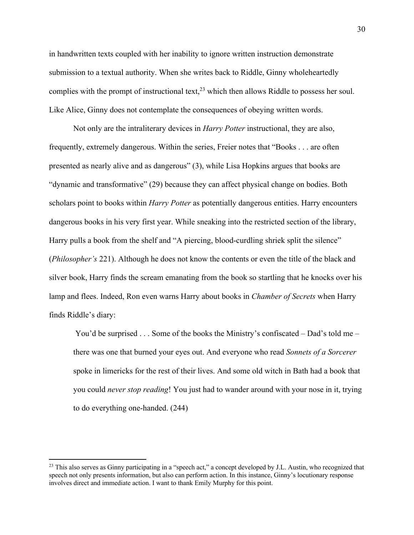in handwritten texts coupled with her inability to ignore written instruction demonstrate submission to a textual authority. When she writes back to Riddle, Ginny wholeheartedly complies with the prompt of instructional text,  $2<sup>3</sup>$  which then allows Riddle to possess her soul. Like Alice, Ginny does not contemplate the consequences of obeying written words.

Not only are the intraliterary devices in *Harry Potter* instructional, they are also, frequently, extremely dangerous. Within the series, Freier notes that "Books . . . are often presented as nearly alive and as dangerous" (3), while Lisa Hopkins argues that books are "dynamic and transformative" (29) because they can affect physical change on bodies. Both scholars point to books within *Harry Potter* as potentially dangerous entities. Harry encounters dangerous books in his very first year. While sneaking into the restricted section of the library, Harry pulls a book from the shelf and "A piercing, blood-curdling shriek split the silence" (*Philosopher's* 221). Although he does not know the contents or even the title of the black and silver book, Harry finds the scream emanating from the book so startling that he knocks over his lamp and flees. Indeed, Ron even warns Harry about books in *Chamber of Secrets* when Harry finds Riddle's diary:

You'd be surprised . . . Some of the books the Ministry's confiscated – Dad's told me – there was one that burned your eyes out. And everyone who read *Sonnets of a Sorcerer* spoke in limericks for the rest of their lives. And some old witch in Bath had a book that you could *never stop reading*! You just had to wander around with your nose in it, trying to do everything one-handed. (244)

<sup>&</sup>lt;sup>23</sup> This also serves as Ginny participating in a "speech act," a concept developed by J.L. Austin, who recognized that speech not only presents information, but also can perform action. In this instance, Ginny's locutionary response involves direct and immediate action. I want to thank Emily Murphy for this point.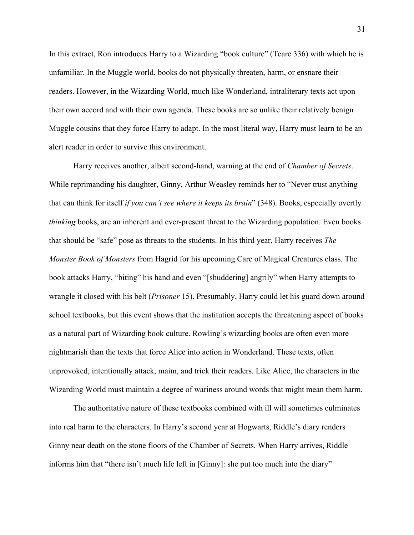In this extract, Ron introduces Harry to a Wizarding "book culture" (Teare 336) with which he is unfamiliar. In the Muggle world, books do not physically threaten, harm, or ensnare their readers. However, in the Wizarding World, much like Wonderland, intraliterary texts act upon their own accord and with their own agenda. These books are so unlike their relatively benign Muggle cousins that they force Harry to adapt. In the most literal way, Harry must learn to be an alert reader in order to survive this environment.

Harry receives another, albeit second-hand, warning at the end of *Chamber of Secrets*. While reprimanding his daughter, Ginny, Arthur Weasley reminds her to "Never trust anything that can think for itself *if you can't see where it keeps its brain*" (348). Books, especially overtly *thinking* books, are an inherent and ever-present threat to the Wizarding population. Even books that should be "safe" pose as threats to the students. In his third year, Harry receives *The Monster Book of Monsters* from Hagrid for his upcoming Care of Magical Creatures class. The book attacks Harry, "biting" his hand and even "[shuddering] angrily" when Harry attempts to wrangle it closed with his belt (*Prisoner* 15). Presumably, Harry could let his guard down around school textbooks, but this event shows that the institution accepts the threatening aspect of books as a natural part of Wizarding book culture. Rowling's wizarding books are often even more nightmarish than the texts that force Alice into action in Wonderland. These texts, often unprovoked, intentionally attack, maim, and trick their readers. Like Alice, the characters in the Wizarding World must maintain a degree of wariness around words that might mean them harm.

The authoritative nature of these textbooks combined with ill will sometimes culminates into real harm to the characters*.* In Harry's second year at Hogwarts, Riddle's diary renders Ginny near death on the stone floors of the Chamber of Secrets. When Harry arrives, Riddle informs him that "there isn't much life left in [Ginny]: she put too much into the diary"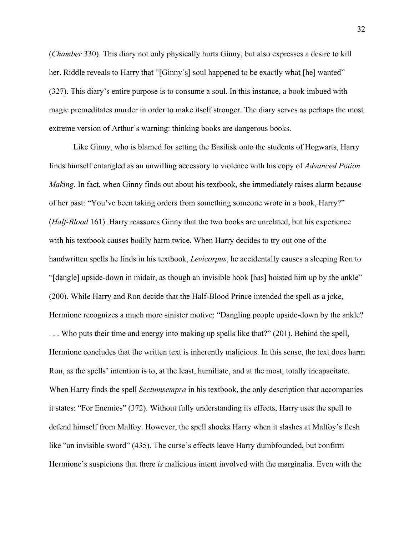(*Chamber* 330). This diary not only physically hurts Ginny, but also expresses a desire to kill her. Riddle reveals to Harry that "[Ginny's] soul happened to be exactly what [he] wanted" (327). This diary's entire purpose is to consume a soul. In this instance, a book imbued with magic premeditates murder in order to make itself stronger. The diary serves as perhaps the most extreme version of Arthur's warning: thinking books are dangerous books.

Like Ginny, who is blamed for setting the Basilisk onto the students of Hogwarts, Harry finds himself entangled as an unwilling accessory to violence with his copy of *Advanced Potion Making.* In fact, when Ginny finds out about his textbook, she immediately raises alarm because of her past: "You've been taking orders from something someone wrote in a book, Harry?" (*Half-Blood* 161). Harry reassures Ginny that the two books are unrelated, but his experience with his textbook causes bodily harm twice. When Harry decides to try out one of the handwritten spells he finds in his textbook, *Levicorpus*, he accidentally causes a sleeping Ron to "[dangle] upside-down in midair, as though an invisible hook [has] hoisted him up by the ankle" (200). While Harry and Ron decide that the Half-Blood Prince intended the spell as a joke, Hermione recognizes a much more sinister motive: "Dangling people upside-down by the ankle? . . . Who puts their time and energy into making up spells like that?" (201). Behind the spell, Hermione concludes that the written text is inherently malicious. In this sense, the text does harm Ron, as the spells' intention is to, at the least, humiliate, and at the most, totally incapacitate. When Harry finds the spell *Sectumsempra* in his textbook, the only description that accompanies it states: "For Enemies" (372). Without fully understanding its effects, Harry uses the spell to defend himself from Malfoy. However, the spell shocks Harry when it slashes at Malfoy's flesh like "an invisible sword" (435). The curse's effects leave Harry dumbfounded, but confirm Hermione's suspicions that there *is* malicious intent involved with the marginalia. Even with the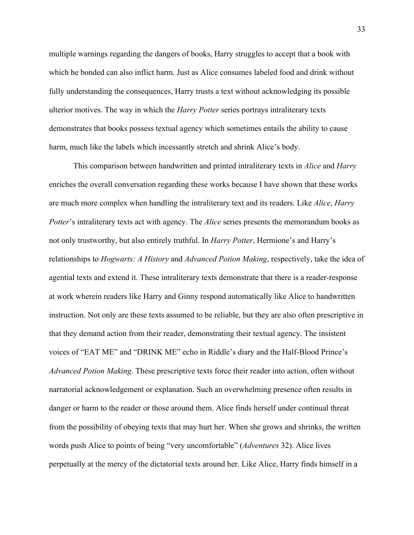multiple warnings regarding the dangers of books, Harry struggles to accept that a book with which he bonded can also inflict harm. Just as Alice consumes labeled food and drink without fully understanding the consequences, Harry trusts a text without acknowledging its possible ulterior motives. The way in which the *Harry Potter* series portrays intraliterary texts demonstrates that books possess textual agency which sometimes entails the ability to cause harm, much like the labels which incessantly stretch and shrink Alice's body.

This comparison between handwritten and printed intraliterary texts in *Alice* and *Harry* enriches the overall conversation regarding these works because I have shown that these works are much more complex when handling the intraliterary text and its readers. Like *Alice*, *Harry Potter's* intraliterary texts act with agency. The *Alice* series presents the memorandum books as not only trustworthy, but also entirely truthful. In *Harry Potter*, Hermione's and Harry's relationships to *Hogwarts: A History* and *Advanced Potion Making*, respectively, take the idea of agential texts and extend it. These intraliterary texts demonstrate that there is a reader-response at work wherein readers like Harry and Ginny respond automatically like Alice to handwritten instruction. Not only are these texts assumed to be reliable, but they are also often prescriptive in that they demand action from their reader, demonstrating their textual agency. The insistent voices of "EAT ME" and "DRINK ME" echo in Riddle's diary and the Half-Blood Prince's *Advanced Potion Making*. These prescriptive texts force their reader into action, often without narratorial acknowledgement or explanation. Such an overwhelming presence often results in danger or harm to the reader or those around them. Alice finds herself under continual threat from the possibility of obeying texts that may hurt her. When she grows and shrinks, the written words push Alice to points of being "very uncomfortable" (*Adventures* 32). Alice lives perpetually at the mercy of the dictatorial texts around her. Like Alice, Harry finds himself in a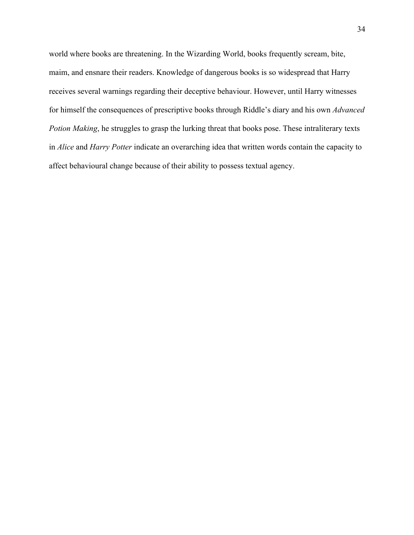world where books are threatening. In the Wizarding World, books frequently scream, bite, maim, and ensnare their readers. Knowledge of dangerous books is so widespread that Harry receives several warnings regarding their deceptive behaviour. However, until Harry witnesses for himself the consequences of prescriptive books through Riddle's diary and his own *Advanced Potion Making*, he struggles to grasp the lurking threat that books pose. These intraliterary texts in *Alice* and *Harry Potter* indicate an overarching idea that written words contain the capacity to affect behavioural change because of their ability to possess textual agency.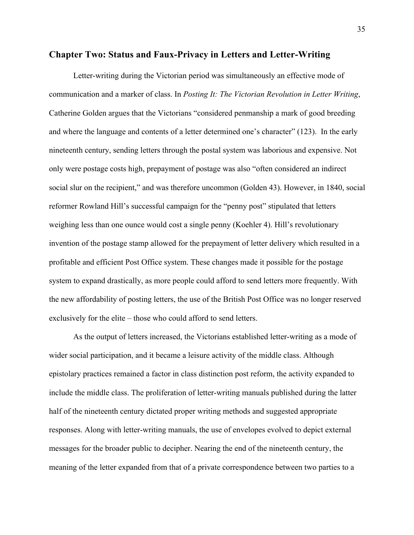## **Chapter Two: Status and Faux-Privacy in Letters and Letter-Writing**

Letter-writing during the Victorian period was simultaneously an effective mode of communication and a marker of class. In *Posting It: The Victorian Revolution in Letter Writing*, Catherine Golden argues that the Victorians "considered penmanship a mark of good breeding and where the language and contents of a letter determined one's character" (123). In the early nineteenth century, sending letters through the postal system was laborious and expensive. Not only were postage costs high, prepayment of postage was also "often considered an indirect social slur on the recipient," and was therefore uncommon (Golden 43). However, in 1840, social reformer Rowland Hill's successful campaign for the "penny post" stipulated that letters weighing less than one ounce would cost a single penny (Koehler 4). Hill's revolutionary invention of the postage stamp allowed for the prepayment of letter delivery which resulted in a profitable and efficient Post Office system. These changes made it possible for the postage system to expand drastically, as more people could afford to send letters more frequently. With the new affordability of posting letters, the use of the British Post Office was no longer reserved exclusively for the elite – those who could afford to send letters.

As the output of letters increased, the Victorians established letter-writing as a mode of wider social participation, and it became a leisure activity of the middle class. Although epistolary practices remained a factor in class distinction post reform, the activity expanded to include the middle class. The proliferation of letter-writing manuals published during the latter half of the nineteenth century dictated proper writing methods and suggested appropriate responses. Along with letter-writing manuals, the use of envelopes evolved to depict external messages for the broader public to decipher. Nearing the end of the nineteenth century, the meaning of the letter expanded from that of a private correspondence between two parties to a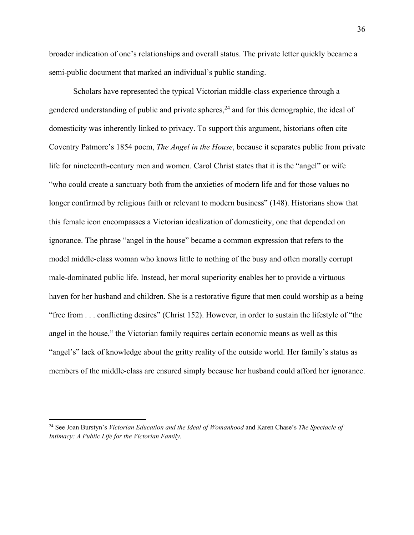broader indication of one's relationships and overall status. The private letter quickly became a semi-public document that marked an individual's public standing.

Scholars have represented the typical Victorian middle-class experience through a gendered understanding of public and private spheres,  $^{24}$  and for this demographic, the ideal of domesticity was inherently linked to privacy. To support this argument, historians often cite Coventry Patmore's 1854 poem, *The Angel in the House*, because it separates public from private life for nineteenth-century men and women. Carol Christ states that it is the "angel" or wife "who could create a sanctuary both from the anxieties of modern life and for those values no longer confirmed by religious faith or relevant to modern business" (148). Historians show that this female icon encompasses a Victorian idealization of domesticity, one that depended on ignorance. The phrase "angel in the house" became a common expression that refers to the model middle-class woman who knows little to nothing of the busy and often morally corrupt male-dominated public life. Instead, her moral superiority enables her to provide a virtuous haven for her husband and children. She is a restorative figure that men could worship as a being "free from . . . conflicting desires" (Christ 152). However, in order to sustain the lifestyle of "the angel in the house," the Victorian family requires certain economic means as well as this "angel's" lack of knowledge about the gritty reality of the outside world. Her family's status as members of the middle-class are ensured simply because her husband could afford her ignorance.

<sup>24</sup> See Joan Burstyn's *Victorian Education and the Ideal of Womanhood* and Karen Chase's *The Spectacle of Intimacy: A Public Life for the Victorian Family*.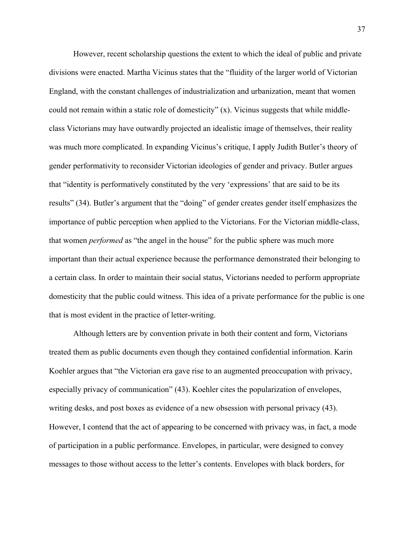However, recent scholarship questions the extent to which the ideal of public and private divisions were enacted. Martha Vicinus states that the "fluidity of the larger world of Victorian England, with the constant challenges of industrialization and urbanization, meant that women could not remain within a static role of domesticity" (x). Vicinus suggests that while middleclass Victorians may have outwardly projected an idealistic image of themselves, their reality was much more complicated. In expanding Vicinus's critique, I apply Judith Butler's theory of gender performativity to reconsider Victorian ideologies of gender and privacy. Butler argues that "identity is performatively constituted by the very 'expressions' that are said to be its results" (34). Butler's argument that the "doing" of gender creates gender itself emphasizes the importance of public perception when applied to the Victorians. For the Victorian middle-class, that women *performed* as "the angel in the house" for the public sphere was much more important than their actual experience because the performance demonstrated their belonging to a certain class. In order to maintain their social status, Victorians needed to perform appropriate domesticity that the public could witness. This idea of a private performance for the public is one that is most evident in the practice of letter-writing.

Although letters are by convention private in both their content and form, Victorians treated them as public documents even though they contained confidential information. Karin Koehler argues that "the Victorian era gave rise to an augmented preoccupation with privacy, especially privacy of communication" (43). Koehler cites the popularization of envelopes, writing desks, and post boxes as evidence of a new obsession with personal privacy (43). However, I contend that the act of appearing to be concerned with privacy was, in fact, a mode of participation in a public performance. Envelopes, in particular, were designed to convey messages to those without access to the letter's contents. Envelopes with black borders, for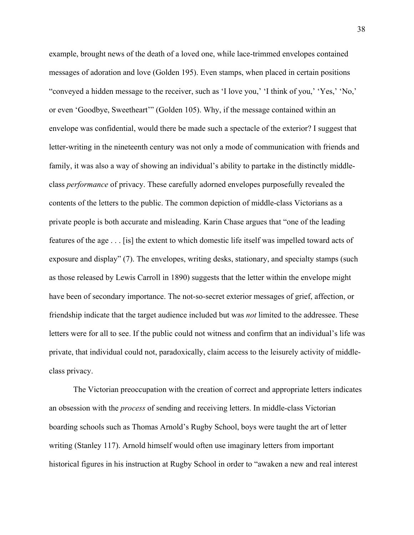example, brought news of the death of a loved one, while lace-trimmed envelopes contained messages of adoration and love (Golden 195). Even stamps, when placed in certain positions "conveyed a hidden message to the receiver, such as 'I love you,' 'I think of you,' 'Yes,' 'No,' or even 'Goodbye, Sweetheart'" (Golden 105). Why, if the message contained within an envelope was confidential, would there be made such a spectacle of the exterior? I suggest that letter-writing in the nineteenth century was not only a mode of communication with friends and family, it was also a way of showing an individual's ability to partake in the distinctly middleclass *performance* of privacy. These carefully adorned envelopes purposefully revealed the contents of the letters to the public. The common depiction of middle-class Victorians as a private people is both accurate and misleading. Karin Chase argues that "one of the leading features of the age . . . [is] the extent to which domestic life itself was impelled toward acts of exposure and display" (7). The envelopes, writing desks, stationary, and specialty stamps (such as those released by Lewis Carroll in 1890) suggests that the letter within the envelope might have been of secondary importance. The not-so-secret exterior messages of grief, affection, or friendship indicate that the target audience included but was *not* limited to the addressee. These letters were for all to see. If the public could not witness and confirm that an individual's life was private, that individual could not, paradoxically, claim access to the leisurely activity of middleclass privacy.

The Victorian preoccupation with the creation of correct and appropriate letters indicates an obsession with the *process* of sending and receiving letters. In middle-class Victorian boarding schools such as Thomas Arnold's Rugby School, boys were taught the art of letter writing (Stanley 117). Arnold himself would often use imaginary letters from important historical figures in his instruction at Rugby School in order to "awaken a new and real interest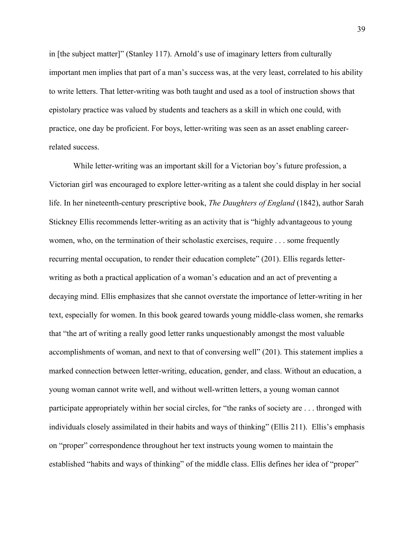in [the subject matter]" (Stanley 117). Arnold's use of imaginary letters from culturally important men implies that part of a man's success was, at the very least, correlated to his ability to write letters. That letter-writing was both taught and used as a tool of instruction shows that epistolary practice was valued by students and teachers as a skill in which one could, with practice, one day be proficient. For boys, letter-writing was seen as an asset enabling careerrelated success.

While letter-writing was an important skill for a Victorian boy's future profession, a Victorian girl was encouraged to explore letter-writing as a talent she could display in her social life. In her nineteenth-century prescriptive book, *The Daughters of England* (1842), author Sarah Stickney Ellis recommends letter-writing as an activity that is "highly advantageous to young women, who, on the termination of their scholastic exercises, require . . . some frequently recurring mental occupation, to render their education complete" (201). Ellis regards letterwriting as both a practical application of a woman's education and an act of preventing a decaying mind. Ellis emphasizes that she cannot overstate the importance of letter-writing in her text, especially for women. In this book geared towards young middle-class women, she remarks that "the art of writing a really good letter ranks unquestionably amongst the most valuable accomplishments of woman, and next to that of conversing well" (201). This statement implies a marked connection between letter-writing, education, gender, and class. Without an education, a young woman cannot write well, and without well-written letters, a young woman cannot participate appropriately within her social circles, for "the ranks of society are . . . thronged with individuals closely assimilated in their habits and ways of thinking" (Ellis 211). Ellis's emphasis on "proper" correspondence throughout her text instructs young women to maintain the established "habits and ways of thinking" of the middle class. Ellis defines her idea of "proper"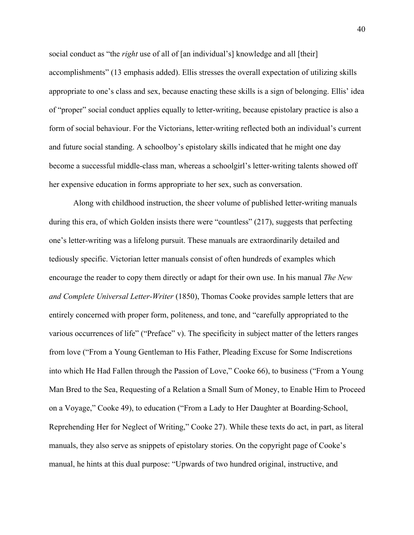social conduct as "the *right* use of all of [an individual's] knowledge and all [their] accomplishments" (13 emphasis added). Ellis stresses the overall expectation of utilizing skills appropriate to one's class and sex, because enacting these skills is a sign of belonging. Ellis' idea of "proper" social conduct applies equally to letter-writing, because epistolary practice is also a form of social behaviour. For the Victorians, letter-writing reflected both an individual's current and future social standing. A schoolboy's epistolary skills indicated that he might one day become a successful middle-class man, whereas a schoolgirl's letter-writing talents showed off her expensive education in forms appropriate to her sex, such as conversation.

Along with childhood instruction, the sheer volume of published letter-writing manuals during this era, of which Golden insists there were "countless" (217), suggests that perfecting one's letter-writing was a lifelong pursuit. These manuals are extraordinarily detailed and tediously specific. Victorian letter manuals consist of often hundreds of examples which encourage the reader to copy them directly or adapt for their own use. In his manual *The New and Complete Universal Letter-Writer* (1850), Thomas Cooke provides sample letters that are entirely concerned with proper form, politeness, and tone, and "carefully appropriated to the various occurrences of life" ("Preface" v). The specificity in subject matter of the letters ranges from love ("From a Young Gentleman to His Father, Pleading Excuse for Some Indiscretions into which He Had Fallen through the Passion of Love," Cooke 66), to business ("From a Young Man Bred to the Sea, Requesting of a Relation a Small Sum of Money, to Enable Him to Proceed on a Voyage," Cooke 49), to education ("From a Lady to Her Daughter at Boarding-School, Reprehending Her for Neglect of Writing," Cooke 27). While these texts do act, in part, as literal manuals, they also serve as snippets of epistolary stories. On the copyright page of Cooke's manual, he hints at this dual purpose: "Upwards of two hundred original, instructive, and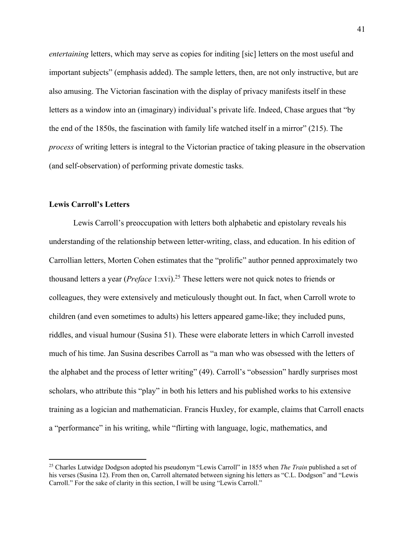*entertaining* letters, which may serve as copies for inditing [sic] letters on the most useful and important subjects" (emphasis added). The sample letters, then, are not only instructive, but are also amusing. The Victorian fascination with the display of privacy manifests itself in these letters as a window into an (imaginary) individual's private life. Indeed, Chase argues that "by the end of the 1850s, the fascination with family life watched itself in a mirror" (215). The *process* of writing letters is integral to the Victorian practice of taking pleasure in the observation (and self-observation) of performing private domestic tasks.

# **Lewis Carroll's Letters**

Lewis Carroll's preoccupation with letters both alphabetic and epistolary reveals his understanding of the relationship between letter-writing, class, and education. In his edition of Carrollian letters, Morten Cohen estimates that the "prolific" author penned approximately two thousand letters a year (*Preface* 1:xvi).25 These letters were not quick notes to friends or colleagues, they were extensively and meticulously thought out. In fact, when Carroll wrote to children (and even sometimes to adults) his letters appeared game-like; they included puns, riddles, and visual humour (Susina 51). These were elaborate letters in which Carroll invested much of his time. Jan Susina describes Carroll as "a man who was obsessed with the letters of the alphabet and the process of letter writing" (49). Carroll's "obsession" hardly surprises most scholars, who attribute this "play" in both his letters and his published works to his extensive training as a logician and mathematician. Francis Huxley, for example, claims that Carroll enacts a "performance" in his writing, while "flirting with language, logic, mathematics, and

<sup>25</sup> Charles Lutwidge Dodgson adopted his pseudonym "Lewis Carroll" in 1855 when *The Train* published a set of his verses (Susina 12). From then on, Carroll alternated between signing his letters as "C.L. Dodgson" and "Lewis Carroll." For the sake of clarity in this section, I will be using "Lewis Carroll."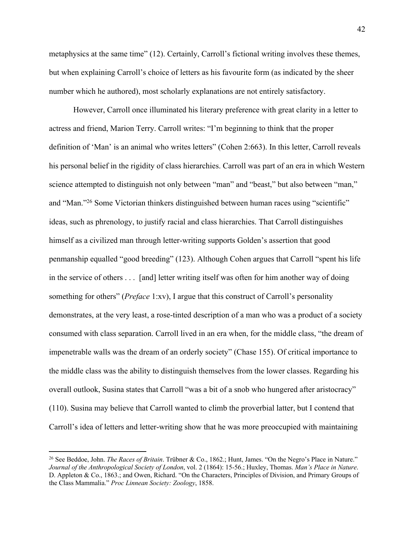metaphysics at the same time" (12). Certainly, Carroll's fictional writing involves these themes, but when explaining Carroll's choice of letters as his favourite form (as indicated by the sheer number which he authored), most scholarly explanations are not entirely satisfactory.

However, Carroll once illuminated his literary preference with great clarity in a letter to actress and friend, Marion Terry. Carroll writes: "I'm beginning to think that the proper definition of 'Man' is an animal who writes letters" (Cohen 2:663). In this letter, Carroll reveals his personal belief in the rigidity of class hierarchies. Carroll was part of an era in which Western science attempted to distinguish not only between "man" and "beast," but also between "man," and "Man."26 Some Victorian thinkers distinguished between human races using "scientific" ideas, such as phrenology, to justify racial and class hierarchies. That Carroll distinguishes himself as a civilized man through letter-writing supports Golden's assertion that good penmanship equalled "good breeding" (123). Although Cohen argues that Carroll "spent his life in the service of others . . . [and] letter writing itself was often for him another way of doing something for others" (*Preface* 1:xv), I argue that this construct of Carroll's personality demonstrates, at the very least, a rose-tinted description of a man who was a product of a society consumed with class separation. Carroll lived in an era when, for the middle class, "the dream of impenetrable walls was the dream of an orderly society" (Chase 155). Of critical importance to the middle class was the ability to distinguish themselves from the lower classes. Regarding his overall outlook, Susina states that Carroll "was a bit of a snob who hungered after aristocracy" (110). Susina may believe that Carroll wanted to climb the proverbial latter, but I contend that Carroll's idea of letters and letter-writing show that he was more preoccupied with maintaining

<sup>26</sup> See Beddoe, John. *The Races of Britain*. Trübner & Co., 1862.; Hunt, James. "On the Negro's Place in Nature." *Journal of the Anthropological Society of London*, vol. 2 (1864): 15-56.; Huxley, Thomas. *Man's Place in Nature*. D. Appleton & Co., 1863.; and Owen, Richard. "On the Characters, Principles of Division, and Primary Groups of the Class Mammalia." *Proc Linnean Society: Zoology*, 1858.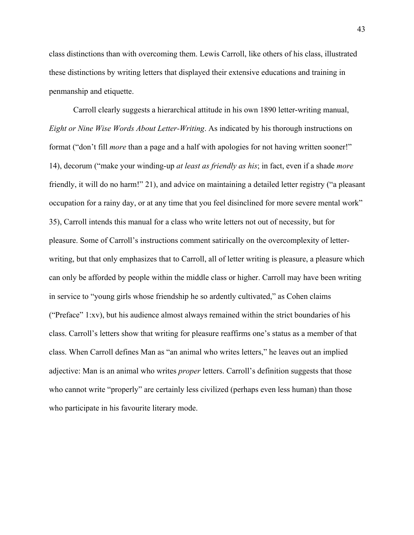class distinctions than with overcoming them. Lewis Carroll, like others of his class, illustrated these distinctions by writing letters that displayed their extensive educations and training in penmanship and etiquette.

Carroll clearly suggests a hierarchical attitude in his own 1890 letter-writing manual, *Eight or Nine Wise Words About Letter-Writing*. As indicated by his thorough instructions on format ("don't fill *more* than a page and a half with apologies for not having written sooner!" 14), decorum ("make your winding-up *at least as friendly as his*; in fact, even if a shade *more*  friendly, it will do no harm!" 21), and advice on maintaining a detailed letter registry ("a pleasant occupation for a rainy day, or at any time that you feel disinclined for more severe mental work" 35), Carroll intends this manual for a class who write letters not out of necessity, but for pleasure. Some of Carroll's instructions comment satirically on the overcomplexity of letterwriting, but that only emphasizes that to Carroll, all of letter writing is pleasure, a pleasure which can only be afforded by people within the middle class or higher. Carroll may have been writing in service to "young girls whose friendship he so ardently cultivated," as Cohen claims ("Preface" 1:xv), but his audience almost always remained within the strict boundaries of his class. Carroll's letters show that writing for pleasure reaffirms one's status as a member of that class. When Carroll defines Man as "an animal who writes letters," he leaves out an implied adjective: Man is an animal who writes *proper* letters. Carroll's definition suggests that those who cannot write "properly" are certainly less civilized (perhaps even less human) than those who participate in his favourite literary mode.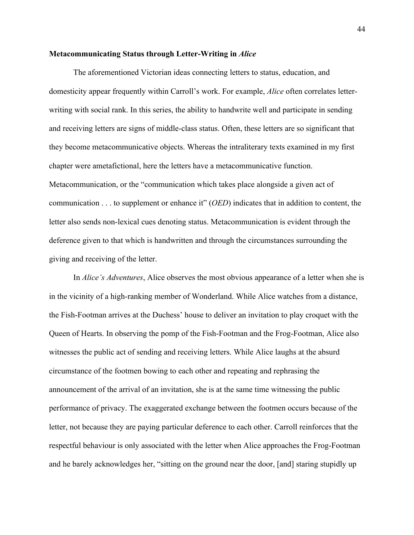### **Metacommunicating Status through Letter-Writing in** *Alice*

The aforementioned Victorian ideas connecting letters to status, education, and domesticity appear frequently within Carroll's work. For example, *Alice* often correlates letterwriting with social rank. In this series, the ability to handwrite well and participate in sending and receiving letters are signs of middle-class status. Often, these letters are so significant that they become metacommunicative objects. Whereas the intraliterary texts examined in my first chapter were ametafictional, here the letters have a metacommunicative function. Metacommunication, or the "communication which takes place alongside a given act of communication . . . to supplement or enhance it" (*OED*) indicates that in addition to content, the letter also sends non-lexical cues denoting status. Metacommunication is evident through the deference given to that which is handwritten and through the circumstances surrounding the giving and receiving of the letter.

In *Alice's Adventures*, Alice observes the most obvious appearance of a letter when she is in the vicinity of a high-ranking member of Wonderland. While Alice watches from a distance, the Fish-Footman arrives at the Duchess' house to deliver an invitation to play croquet with the Queen of Hearts. In observing the pomp of the Fish-Footman and the Frog-Footman, Alice also witnesses the public act of sending and receiving letters. While Alice laughs at the absurd circumstance of the footmen bowing to each other and repeating and rephrasing the announcement of the arrival of an invitation, she is at the same time witnessing the public performance of privacy. The exaggerated exchange between the footmen occurs because of the letter, not because they are paying particular deference to each other. Carroll reinforces that the respectful behaviour is only associated with the letter when Alice approaches the Frog-Footman and he barely acknowledges her, "sitting on the ground near the door, [and] staring stupidly up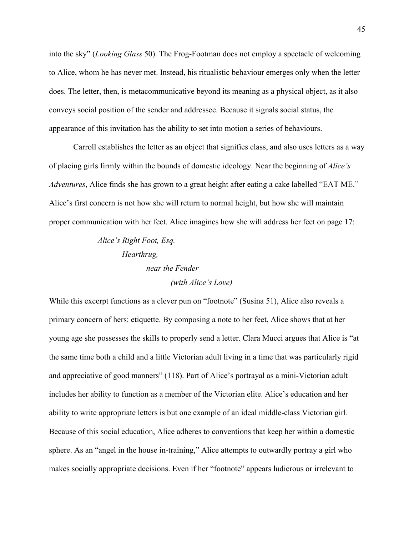into the sky" (*Looking Glass* 50). The Frog-Footman does not employ a spectacle of welcoming to Alice, whom he has never met. Instead, his ritualistic behaviour emerges only when the letter does. The letter, then, is metacommunicative beyond its meaning as a physical object, as it also conveys social position of the sender and addressee. Because it signals social status, the appearance of this invitation has the ability to set into motion a series of behaviours.

Carroll establishes the letter as an object that signifies class, and also uses letters as a way of placing girls firmly within the bounds of domestic ideology. Near the beginning of *Alice's Adventures*, Alice finds she has grown to a great height after eating a cake labelled "EAT ME." Alice's first concern is not how she will return to normal height, but how she will maintain proper communication with her feet. Alice imagines how she will address her feet on page 17:

# *Alice's Right Foot, Esq. Hearthrug, near the Fender (with Alice's Love)*

While this excerpt functions as a clever pun on "footnote" (Susina 51), Alice also reveals a primary concern of hers: etiquette. By composing a note to her feet, Alice shows that at her young age she possesses the skills to properly send a letter. Clara Mucci argues that Alice is "at the same time both a child and a little Victorian adult living in a time that was particularly rigid and appreciative of good manners" (118). Part of Alice's portrayal as a mini-Victorian adult includes her ability to function as a member of the Victorian elite. Alice's education and her ability to write appropriate letters is but one example of an ideal middle-class Victorian girl. Because of this social education, Alice adheres to conventions that keep her within a domestic sphere. As an "angel in the house in-training," Alice attempts to outwardly portray a girl who makes socially appropriate decisions. Even if her "footnote" appears ludicrous or irrelevant to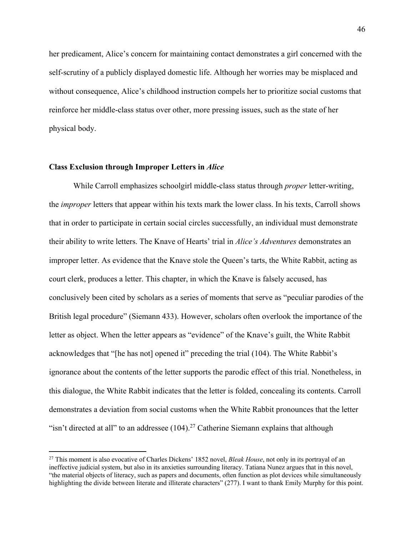her predicament, Alice's concern for maintaining contact demonstrates a girl concerned with the self-scrutiny of a publicly displayed domestic life. Although her worries may be misplaced and without consequence, Alice's childhood instruction compels her to prioritize social customs that reinforce her middle-class status over other, more pressing issues, such as the state of her physical body.

# **Class Exclusion through Improper Letters in** *Alice*

While Carroll emphasizes schoolgirl middle-class status through *proper* letter-writing, the *improper* letters that appear within his texts mark the lower class. In his texts, Carroll shows that in order to participate in certain social circles successfully, an individual must demonstrate their ability to write letters. The Knave of Hearts' trial in *Alice's Adventures* demonstrates an improper letter. As evidence that the Knave stole the Queen's tarts, the White Rabbit, acting as court clerk, produces a letter. This chapter, in which the Knave is falsely accused, has conclusively been cited by scholars as a series of moments that serve as "peculiar parodies of the British legal procedure" (Siemann 433). However, scholars often overlook the importance of the letter as object. When the letter appears as "evidence" of the Knave's guilt, the White Rabbit acknowledges that "[he has not] opened it" preceding the trial (104). The White Rabbit's ignorance about the contents of the letter supports the parodic effect of this trial. Nonetheless, in this dialogue, the White Rabbit indicates that the letter is folded, concealing its contents. Carroll demonstrates a deviation from social customs when the White Rabbit pronounces that the letter "isn't directed at all" to an addressee  $(104)$ .<sup>27</sup> Catherine Siemann explains that although

<sup>27</sup> This moment is also evocative of Charles Dickens' 1852 novel, *Bleak House*, not only in its portrayal of an ineffective judicial system, but also in its anxieties surrounding literacy. Tatiana Nunez argues that in this novel, "the material objects of literacy, such as papers and documents, often function as plot devices while simultaneously highlighting the divide between literate and illiterate characters" (277). I want to thank Emily Murphy for this point.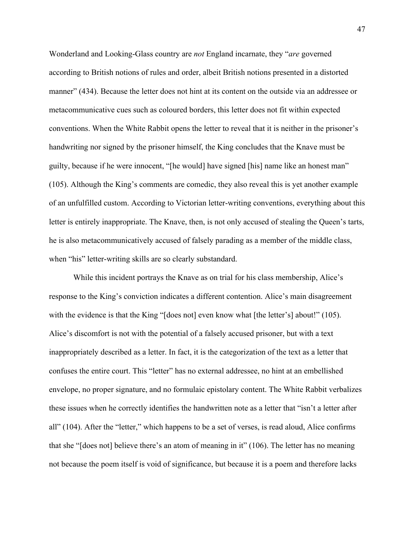Wonderland and Looking-Glass country are *not* England incarnate, they "*are* governed according to British notions of rules and order, albeit British notions presented in a distorted manner" (434). Because the letter does not hint at its content on the outside via an addressee or metacommunicative cues such as coloured borders, this letter does not fit within expected conventions. When the White Rabbit opens the letter to reveal that it is neither in the prisoner's handwriting nor signed by the prisoner himself, the King concludes that the Knave must be guilty, because if he were innocent, "[he would] have signed [his] name like an honest man" (105). Although the King's comments are comedic, they also reveal this is yet another example of an unfulfilled custom. According to Victorian letter-writing conventions, everything about this letter is entirely inappropriate. The Knave, then, is not only accused of stealing the Queen's tarts, he is also metacommunicatively accused of falsely parading as a member of the middle class, when "his" letter-writing skills are so clearly substandard.

While this incident portrays the Knave as on trial for his class membership, Alice's response to the King's conviction indicates a different contention. Alice's main disagreement with the evidence is that the King "[does not] even know what [the letter's] about!" (105). Alice's discomfort is not with the potential of a falsely accused prisoner, but with a text inappropriately described as a letter. In fact, it is the categorization of the text as a letter that confuses the entire court. This "letter" has no external addressee, no hint at an embellished envelope, no proper signature, and no formulaic epistolary content. The White Rabbit verbalizes these issues when he correctly identifies the handwritten note as a letter that "isn't a letter after all" (104). After the "letter," which happens to be a set of verses, is read aloud, Alice confirms that she "[does not] believe there's an atom of meaning in it" (106). The letter has no meaning not because the poem itself is void of significance, but because it is a poem and therefore lacks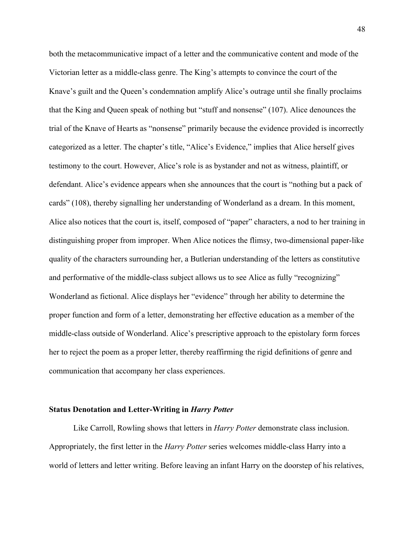both the metacommunicative impact of a letter and the communicative content and mode of the Victorian letter as a middle-class genre. The King's attempts to convince the court of the Knave's guilt and the Queen's condemnation amplify Alice's outrage until she finally proclaims that the King and Queen speak of nothing but "stuff and nonsense" (107). Alice denounces the trial of the Knave of Hearts as "nonsense" primarily because the evidence provided is incorrectly categorized as a letter. The chapter's title, "Alice's Evidence," implies that Alice herself gives testimony to the court. However, Alice's role is as bystander and not as witness, plaintiff, or defendant. Alice's evidence appears when she announces that the court is "nothing but a pack of cards" (108), thereby signalling her understanding of Wonderland as a dream. In this moment, Alice also notices that the court is, itself, composed of "paper" characters, a nod to her training in distinguishing proper from improper. When Alice notices the flimsy, two-dimensional paper-like quality of the characters surrounding her, a Butlerian understanding of the letters as constitutive and performative of the middle-class subject allows us to see Alice as fully "recognizing" Wonderland as fictional. Alice displays her "evidence" through her ability to determine the proper function and form of a letter, demonstrating her effective education as a member of the middle-class outside of Wonderland. Alice's prescriptive approach to the epistolary form forces her to reject the poem as a proper letter, thereby reaffirming the rigid definitions of genre and communication that accompany her class experiences.

## **Status Denotation and Letter-Writing in** *Harry Potter*

Like Carroll, Rowling shows that letters in *Harry Potter* demonstrate class inclusion. Appropriately, the first letter in the *Harry Potter* series welcomes middle-class Harry into a world of letters and letter writing. Before leaving an infant Harry on the doorstep of his relatives,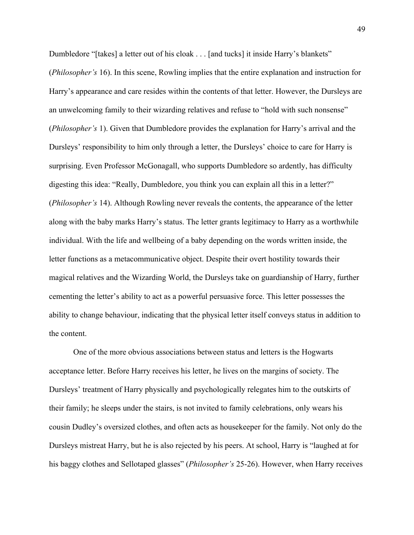Dumbledore "[takes] a letter out of his cloak . . . [and tucks] it inside Harry's blankets" (*Philosopher's* 16). In this scene, Rowling implies that the entire explanation and instruction for Harry's appearance and care resides within the contents of that letter. However, the Dursleys are an unwelcoming family to their wizarding relatives and refuse to "hold with such nonsense" (*Philosopher's* 1). Given that Dumbledore provides the explanation for Harry's arrival and the Dursleys' responsibility to him only through a letter, the Dursleys' choice to care for Harry is surprising. Even Professor McGonagall, who supports Dumbledore so ardently, has difficulty digesting this idea: "Really, Dumbledore, you think you can explain all this in a letter?" (*Philosopher's* 14). Although Rowling never reveals the contents, the appearance of the letter along with the baby marks Harry's status. The letter grants legitimacy to Harry as a worthwhile individual. With the life and wellbeing of a baby depending on the words written inside, the letter functions as a metacommunicative object. Despite their overt hostility towards their magical relatives and the Wizarding World, the Dursleys take on guardianship of Harry, further cementing the letter's ability to act as a powerful persuasive force. This letter possesses the ability to change behaviour, indicating that the physical letter itself conveys status in addition to the content.

One of the more obvious associations between status and letters is the Hogwarts acceptance letter. Before Harry receives his letter, he lives on the margins of society. The Dursleys' treatment of Harry physically and psychologically relegates him to the outskirts of their family; he sleeps under the stairs, is not invited to family celebrations, only wears his cousin Dudley's oversized clothes, and often acts as housekeeper for the family. Not only do the Dursleys mistreat Harry, but he is also rejected by his peers. At school, Harry is "laughed at for his baggy clothes and Sellotaped glasses" (*Philosopher's* 25-26). However, when Harry receives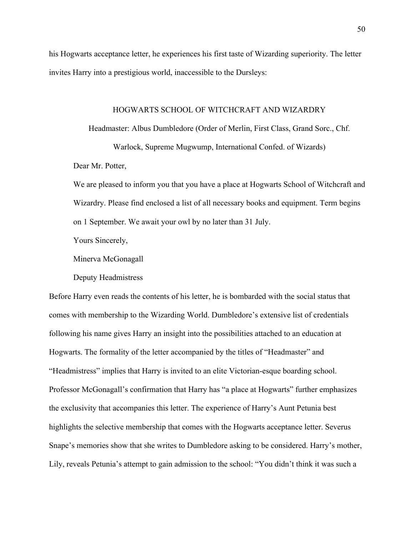his Hogwarts acceptance letter, he experiences his first taste of Wizarding superiority. The letter invites Harry into a prestigious world, inaccessible to the Dursleys:

### HOGWARTS SCHOOL OF WITCHCRAFT AND WIZARDRY

Headmaster: Albus Dumbledore (Order of Merlin, First Class, Grand Sorc., Chf.

Warlock, Supreme Mugwump, International Confed. of Wizards)

Dear Mr. Potter,

We are pleased to inform you that you have a place at Hogwarts School of Witchcraft and Wizardry. Please find enclosed a list of all necessary books and equipment. Term begins on 1 September. We await your owl by no later than 31 July.

Yours Sincerely,

Minerva McGonagall

Deputy Headmistress

Before Harry even reads the contents of his letter, he is bombarded with the social status that comes with membership to the Wizarding World. Dumbledore's extensive list of credentials following his name gives Harry an insight into the possibilities attached to an education at Hogwarts. The formality of the letter accompanied by the titles of "Headmaster" and "Headmistress" implies that Harry is invited to an elite Victorian-esque boarding school. Professor McGonagall's confirmation that Harry has "a place at Hogwarts" further emphasizes the exclusivity that accompanies this letter. The experience of Harry's Aunt Petunia best highlights the selective membership that comes with the Hogwarts acceptance letter. Severus Snape's memories show that she writes to Dumbledore asking to be considered. Harry's mother, Lily, reveals Petunia's attempt to gain admission to the school: "You didn't think it was such a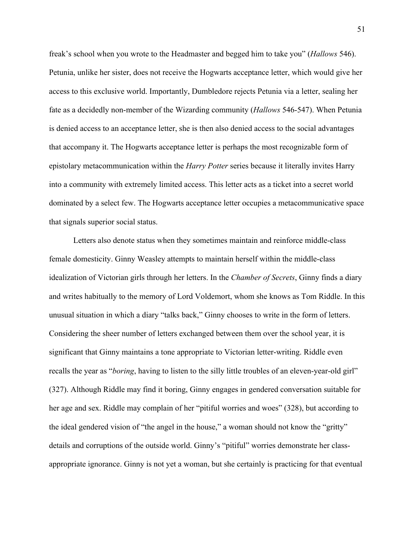freak's school when you wrote to the Headmaster and begged him to take you" (*Hallows* 546). Petunia, unlike her sister, does not receive the Hogwarts acceptance letter, which would give her access to this exclusive world. Importantly, Dumbledore rejects Petunia via a letter, sealing her fate as a decidedly non-member of the Wizarding community (*Hallows* 546-547). When Petunia is denied access to an acceptance letter, she is then also denied access to the social advantages that accompany it. The Hogwarts acceptance letter is perhaps the most recognizable form of epistolary metacommunication within the *Harry Potter* series because it literally invites Harry into a community with extremely limited access. This letter acts as a ticket into a secret world dominated by a select few. The Hogwarts acceptance letter occupies a metacommunicative space that signals superior social status.

Letters also denote status when they sometimes maintain and reinforce middle-class female domesticity. Ginny Weasley attempts to maintain herself within the middle-class idealization of Victorian girls through her letters. In the *Chamber of Secrets*, Ginny finds a diary and writes habitually to the memory of Lord Voldemort, whom she knows as Tom Riddle. In this unusual situation in which a diary "talks back," Ginny chooses to write in the form of letters. Considering the sheer number of letters exchanged between them over the school year, it is significant that Ginny maintains a tone appropriate to Victorian letter-writing. Riddle even recalls the year as "*boring*, having to listen to the silly little troubles of an eleven-year-old girl" (327). Although Riddle may find it boring, Ginny engages in gendered conversation suitable for her age and sex. Riddle may complain of her "pitiful worries and woes" (328), but according to the ideal gendered vision of "the angel in the house," a woman should not know the "gritty" details and corruptions of the outside world. Ginny's "pitiful" worries demonstrate her classappropriate ignorance. Ginny is not yet a woman, but she certainly is practicing for that eventual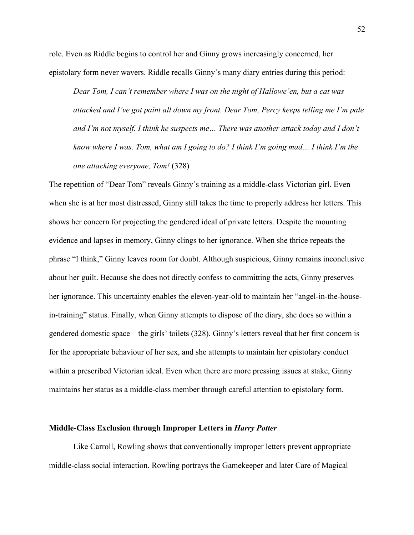role. Even as Riddle begins to control her and Ginny grows increasingly concerned, her epistolary form never wavers. Riddle recalls Ginny's many diary entries during this period:

*Dear Tom, I can't remember where I was on the night of Hallowe'en, but a cat was attacked and I've got paint all down my front. Dear Tom, Percy keeps telling me I'm pale and I'm not myself. I think he suspects me… There was another attack today and I don't know where I was. Tom, what am I going to do? I think I'm going mad… I think I'm the one attacking everyone, Tom!* (328)

The repetition of "Dear Tom" reveals Ginny's training as a middle-class Victorian girl. Even when she is at her most distressed, Ginny still takes the time to properly address her letters. This shows her concern for projecting the gendered ideal of private letters. Despite the mounting evidence and lapses in memory, Ginny clings to her ignorance. When she thrice repeats the phrase "I think," Ginny leaves room for doubt. Although suspicious, Ginny remains inconclusive about her guilt. Because she does not directly confess to committing the acts, Ginny preserves her ignorance. This uncertainty enables the eleven-year-old to maintain her "angel-in-the-housein-training" status. Finally, when Ginny attempts to dispose of the diary, she does so within a gendered domestic space – the girls' toilets (328). Ginny's letters reveal that her first concern is for the appropriate behaviour of her sex, and she attempts to maintain her epistolary conduct within a prescribed Victorian ideal. Even when there are more pressing issues at stake, Ginny maintains her status as a middle-class member through careful attention to epistolary form.

## **Middle-Class Exclusion through Improper Letters in** *Harry Potter*

Like Carroll, Rowling shows that conventionally improper letters prevent appropriate middle-class social interaction. Rowling portrays the Gamekeeper and later Care of Magical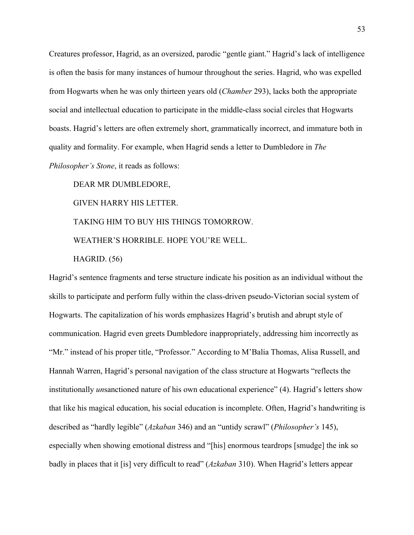Creatures professor, Hagrid, as an oversized, parodic "gentle giant." Hagrid's lack of intelligence is often the basis for many instances of humour throughout the series. Hagrid, who was expelled from Hogwarts when he was only thirteen years old (*Chamber* 293), lacks both the appropriate social and intellectual education to participate in the middle-class social circles that Hogwarts boasts. Hagrid's letters are often extremely short, grammatically incorrect, and immature both in quality and formality. For example, when Hagrid sends a letter to Dumbledore in *The Philosopher's Stone*, it reads as follows:

DEAR MR DUMBLEDORE, GIVEN HARRY HIS LETTER. TAKING HIM TO BUY HIS THINGS TOMORROW. WEATHER'S HORRIBLE. HOPE YOU'RE WELL.

HAGRID. (56)

Hagrid's sentence fragments and terse structure indicate his position as an individual without the skills to participate and perform fully within the class-driven pseudo-Victorian social system of Hogwarts. The capitalization of his words emphasizes Hagrid's brutish and abrupt style of communication. Hagrid even greets Dumbledore inappropriately, addressing him incorrectly as "Mr." instead of his proper title, "Professor." According to M'Balia Thomas, Alisa Russell, and Hannah Warren, Hagrid's personal navigation of the class structure at Hogwarts "reflects the institutionally *un*sanctioned nature of his own educational experience" (4). Hagrid's letters show that like his magical education, his social education is incomplete. Often, Hagrid's handwriting is described as "hardly legible" (*Azkaban* 346) and an "untidy scrawl" (*Philosopher's* 145), especially when showing emotional distress and "[his] enormous teardrops [smudge] the ink so badly in places that it [is] very difficult to read" (*Azkaban* 310). When Hagrid's letters appear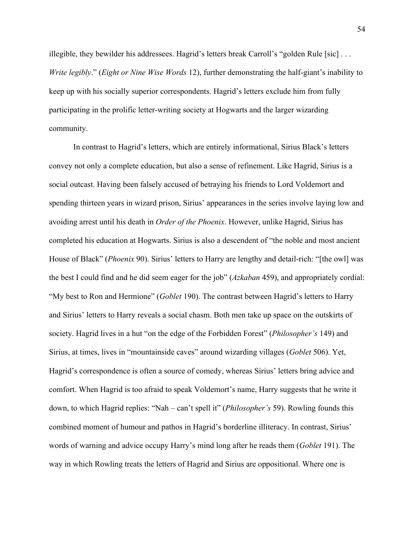illegible, they bewilder his addressees. Hagrid's letters break Carroll's "golden Rule [sic]  $\dots$ *Write legibly*." (*Eight or Nine Wise Words* 12), further demonstrating the half-giant's inability to keep up with his socially superior correspondents. Hagrid's letters exclude him from fully participating in the prolific letter-writing society at Hogwarts and the larger wizarding community.

In contrast to Hagrid's letters, which are entirely informational, Sirius Black's letters convey not only a complete education, but also a sense of refinement. Like Hagrid, Sirius is a social outcast. Having been falsely accused of betraying his friends to Lord Voldemort and spending thirteen years in wizard prison, Sirius' appearances in the series involve laying low and avoiding arrest until his death in *Order of the Phoenix*. However, unlike Hagrid, Sirius has completed his education at Hogwarts. Sirius is also a descendent of "the noble and most ancient House of Black" (*Phoenix* 90). Sirius' letters to Harry are lengthy and detail-rich: "[the owl] was the best I could find and he did seem eager for the job" (*Azkaban* 459), and appropriately cordial: "My best to Ron and Hermione" (*Goblet* 190). The contrast between Hagrid's letters to Harry and Sirius' letters to Harry reveals a social chasm. Both men take up space on the outskirts of society. Hagrid lives in a hut "on the edge of the Forbidden Forest" (*Philosopher's* 149) and Sirius, at times, lives in "mountainside caves" around wizarding villages (*Goblet* 506). Yet, Hagrid's correspondence is often a source of comedy, whereas Sirius' letters bring advice and comfort. When Hagrid is too afraid to speak Voldemort's name, Harry suggests that he write it down, to which Hagrid replies: "Nah – can't spell it" (*Philosopher's* 59). Rowling founds this combined moment of humour and pathos in Hagrid's borderline illiteracy. In contrast, Sirius' words of warning and advice occupy Harry's mind long after he reads them (*Goblet* 191). The way in which Rowling treats the letters of Hagrid and Sirius are oppositional. Where one is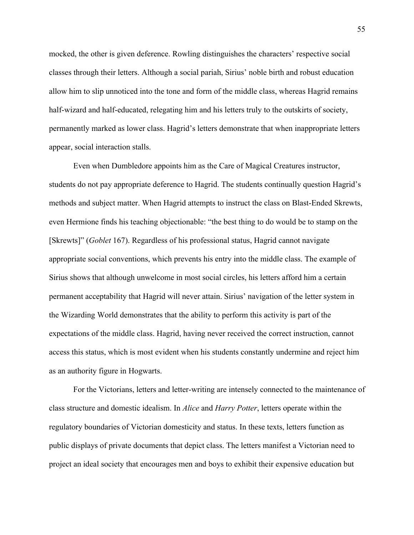mocked, the other is given deference. Rowling distinguishes the characters' respective social classes through their letters. Although a social pariah, Sirius' noble birth and robust education allow him to slip unnoticed into the tone and form of the middle class, whereas Hagrid remains half-wizard and half-educated, relegating him and his letters truly to the outskirts of society, permanently marked as lower class. Hagrid's letters demonstrate that when inappropriate letters appear, social interaction stalls.

Even when Dumbledore appoints him as the Care of Magical Creatures instructor, students do not pay appropriate deference to Hagrid. The students continually question Hagrid's methods and subject matter. When Hagrid attempts to instruct the class on Blast-Ended Skrewts, even Hermione finds his teaching objectionable: "the best thing to do would be to stamp on the [Skrewts]" (*Goblet* 167). Regardless of his professional status, Hagrid cannot navigate appropriate social conventions, which prevents his entry into the middle class. The example of Sirius shows that although unwelcome in most social circles, his letters afford him a certain permanent acceptability that Hagrid will never attain. Sirius' navigation of the letter system in the Wizarding World demonstrates that the ability to perform this activity is part of the expectations of the middle class. Hagrid, having never received the correct instruction, cannot access this status, which is most evident when his students constantly undermine and reject him as an authority figure in Hogwarts.

For the Victorians, letters and letter-writing are intensely connected to the maintenance of class structure and domestic idealism. In *Alice* and *Harry Potter*, letters operate within the regulatory boundaries of Victorian domesticity and status. In these texts, letters function as public displays of private documents that depict class. The letters manifest a Victorian need to project an ideal society that encourages men and boys to exhibit their expensive education but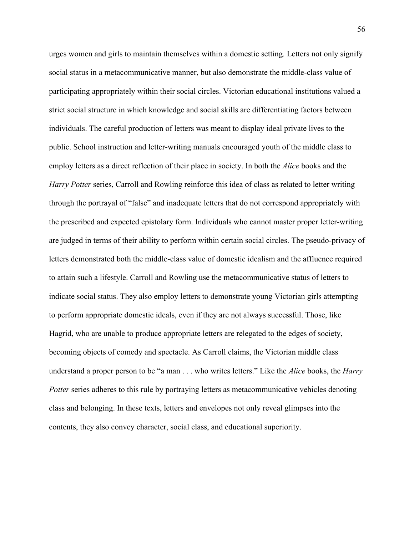urges women and girls to maintain themselves within a domestic setting. Letters not only signify social status in a metacommunicative manner, but also demonstrate the middle-class value of participating appropriately within their social circles. Victorian educational institutions valued a strict social structure in which knowledge and social skills are differentiating factors between individuals. The careful production of letters was meant to display ideal private lives to the public. School instruction and letter-writing manuals encouraged youth of the middle class to employ letters as a direct reflection of their place in society. In both the *Alice* books and the *Harry Potter* series, Carroll and Rowling reinforce this idea of class as related to letter writing through the portrayal of "false" and inadequate letters that do not correspond appropriately with the prescribed and expected epistolary form. Individuals who cannot master proper letter-writing are judged in terms of their ability to perform within certain social circles. The pseudo-privacy of letters demonstrated both the middle-class value of domestic idealism and the affluence required to attain such a lifestyle. Carroll and Rowling use the metacommunicative status of letters to indicate social status. They also employ letters to demonstrate young Victorian girls attempting to perform appropriate domestic ideals, even if they are not always successful. Those, like Hagrid, who are unable to produce appropriate letters are relegated to the edges of society, becoming objects of comedy and spectacle. As Carroll claims, the Victorian middle class understand a proper person to be "a man . . . who writes letters." Like the *Alice* books, the *Harry Potter* series adheres to this rule by portraying letters as metacommunicative vehicles denoting class and belonging. In these texts, letters and envelopes not only reveal glimpses into the contents, they also convey character, social class, and educational superiority.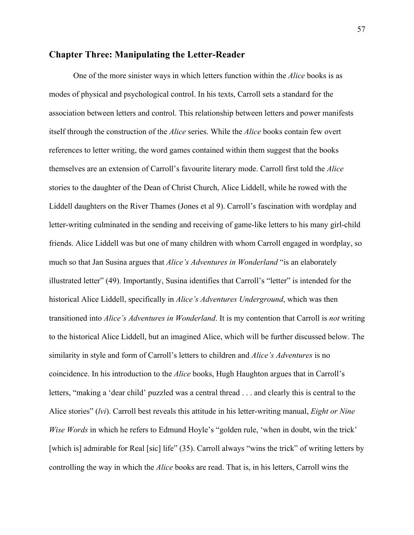# **Chapter Three: Manipulating the Letter-Reader**

One of the more sinister ways in which letters function within the *Alice* books is as modes of physical and psychological control. In his texts, Carroll sets a standard for the association between letters and control. This relationship between letters and power manifests itself through the construction of the *Alice* series. While the *Alice* books contain few overt references to letter writing, the word games contained within them suggest that the books themselves are an extension of Carroll's favourite literary mode. Carroll first told the *Alice* stories to the daughter of the Dean of Christ Church, Alice Liddell, while he rowed with the Liddell daughters on the River Thames (Jones et al 9). Carroll's fascination with wordplay and letter-writing culminated in the sending and receiving of game-like letters to his many girl-child friends. Alice Liddell was but one of many children with whom Carroll engaged in wordplay, so much so that Jan Susina argues that *Alice's Adventures in Wonderland* "is an elaborately illustrated letter" (49). Importantly, Susina identifies that Carroll's "letter" is intended for the historical Alice Liddell, specifically in *Alice's Adventures Underground*, which was then transitioned into *Alice's Adventures in Wonderland*. It is my contention that Carroll is *not* writing to the historical Alice Liddell, but an imagined Alice, which will be further discussed below. The similarity in style and form of Carroll's letters to children and *Alice's Adventures* is no coincidence. In his introduction to the *Alice* books, Hugh Haughton argues that in Carroll's letters, "making a 'dear child' puzzled was a central thread . . . and clearly this is central to the Alice stories" (*lvi*). Carroll best reveals this attitude in his letter-writing manual, *Eight or Nine Wise Words* in which he refers to Edmund Hoyle's "golden rule, 'when in doubt, win the trick' [which is] admirable for Real [sic] life" (35). Carroll always "wins the trick" of writing letters by controlling the way in which the *Alice* books are read. That is, in his letters, Carroll wins the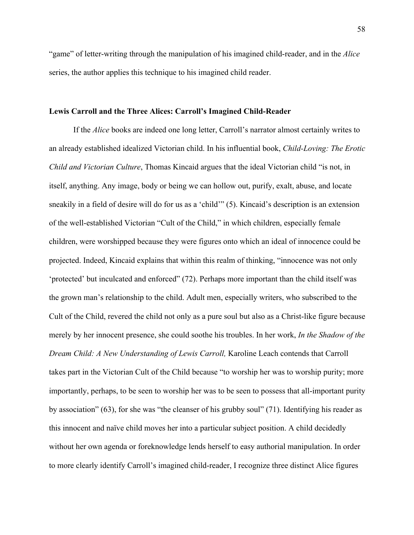"game" of letter-writing through the manipulation of his imagined child-reader, and in the *Alice*  series, the author applies this technique to his imagined child reader.

# **Lewis Carroll and the Three Alices: Carroll's Imagined Child-Reader**

If the *Alice* books are indeed one long letter, Carroll's narrator almost certainly writes to an already established idealized Victorian child. In his influential book, *Child-Loving: The Erotic Child and Victorian Culture*, Thomas Kincaid argues that the ideal Victorian child "is not, in itself, anything. Any image, body or being we can hollow out, purify, exalt, abuse, and locate sneakily in a field of desire will do for us as a 'child'" (5). Kincaid's description is an extension of the well-established Victorian "Cult of the Child," in which children, especially female children, were worshipped because they were figures onto which an ideal of innocence could be projected. Indeed, Kincaid explains that within this realm of thinking, "innocence was not only 'protected' but inculcated and enforced" (72). Perhaps more important than the child itself was the grown man's relationship to the child. Adult men, especially writers, who subscribed to the Cult of the Child, revered the child not only as a pure soul but also as a Christ-like figure because merely by her innocent presence, she could soothe his troubles. In her work, *In the Shadow of the Dream Child: A New Understanding of Lewis Carroll,* Karoline Leach contends that Carroll takes part in the Victorian Cult of the Child because "to worship her was to worship purity; more importantly, perhaps, to be seen to worship her was to be seen to possess that all-important purity by association" (63), for she was "the cleanser of his grubby soul" (71). Identifying his reader as this innocent and naïve child moves her into a particular subject position. A child decidedly without her own agenda or foreknowledge lends herself to easy authorial manipulation. In order to more clearly identify Carroll's imagined child-reader, I recognize three distinct Alice figures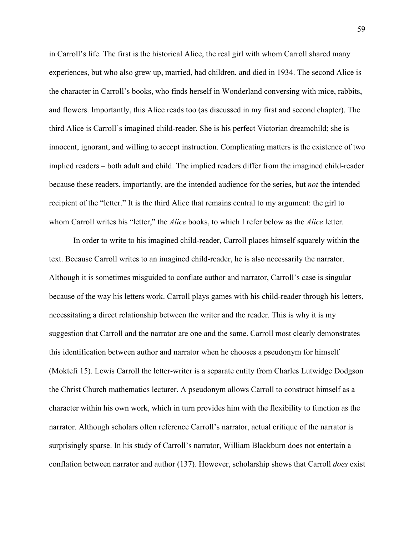in Carroll's life. The first is the historical Alice, the real girl with whom Carroll shared many experiences, but who also grew up, married, had children, and died in 1934. The second Alice is the character in Carroll's books, who finds herself in Wonderland conversing with mice, rabbits, and flowers. Importantly, this Alice reads too (as discussed in my first and second chapter). The third Alice is Carroll's imagined child-reader. She is his perfect Victorian dreamchild; she is innocent, ignorant, and willing to accept instruction. Complicating matters is the existence of two implied readers – both adult and child. The implied readers differ from the imagined child-reader because these readers, importantly, are the intended audience for the series, but *not* the intended recipient of the "letter." It is the third Alice that remains central to my argument: the girl to whom Carroll writes his "letter," the *Alice* books, to which I refer below as the *Alice* letter.

In order to write to his imagined child-reader, Carroll places himself squarely within the text. Because Carroll writes to an imagined child-reader, he is also necessarily the narrator. Although it is sometimes misguided to conflate author and narrator, Carroll's case is singular because of the way his letters work. Carroll plays games with his child-reader through his letters, necessitating a direct relationship between the writer and the reader. This is why it is my suggestion that Carroll and the narrator are one and the same. Carroll most clearly demonstrates this identification between author and narrator when he chooses a pseudonym for himself (Moktefi 15). Lewis Carroll the letter-writer is a separate entity from Charles Lutwidge Dodgson the Christ Church mathematics lecturer. A pseudonym allows Carroll to construct himself as a character within his own work, which in turn provides him with the flexibility to function as the narrator. Although scholars often reference Carroll's narrator, actual critique of the narrator is surprisingly sparse. In his study of Carroll's narrator, William Blackburn does not entertain a conflation between narrator and author (137). However, scholarship shows that Carroll *does* exist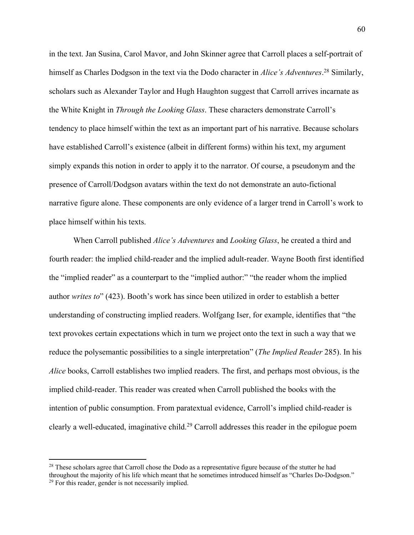in the text. Jan Susina, Carol Mavor, and John Skinner agree that Carroll places a self-portrait of himself as Charles Dodgson in the text via the Dodo character in *Alice's Adventures*. <sup>28</sup> Similarly, scholars such as Alexander Taylor and Hugh Haughton suggest that Carroll arrives incarnate as the White Knight in *Through the Looking Glass*. These characters demonstrate Carroll's tendency to place himself within the text as an important part of his narrative. Because scholars have established Carroll's existence (albeit in different forms) within his text, my argument simply expands this notion in order to apply it to the narrator. Of course, a pseudonym and the presence of Carroll/Dodgson avatars within the text do not demonstrate an auto-fictional narrative figure alone. These components are only evidence of a larger trend in Carroll's work to place himself within his texts.

When Carroll published *Alice's Adventures* and *Looking Glass*, he created a third and fourth reader: the implied child-reader and the implied adult-reader. Wayne Booth first identified the "implied reader" as a counterpart to the "implied author:" "the reader whom the implied author *writes to*" (423). Booth's work has since been utilized in order to establish a better understanding of constructing implied readers. Wolfgang Iser, for example, identifies that "the text provokes certain expectations which in turn we project onto the text in such a way that we reduce the polysemantic possibilities to a single interpretation" (*The Implied Reader* 285). In his *Alice* books, Carroll establishes two implied readers. The first, and perhaps most obvious, is the implied child-reader. This reader was created when Carroll published the books with the intention of public consumption. From paratextual evidence, Carroll's implied child-reader is clearly a well-educated, imaginative child.<sup>29</sup> Carroll addresses this reader in the epilogue poem

<sup>&</sup>lt;sup>28</sup> These scholars agree that Carroll chose the Dodo as a representative figure because of the stutter he had throughout the majority of his life which meant that he sometimes introduced himself as "Charles Do-Dodgson." <sup>29</sup> For this reader, gender is not necessarily implied.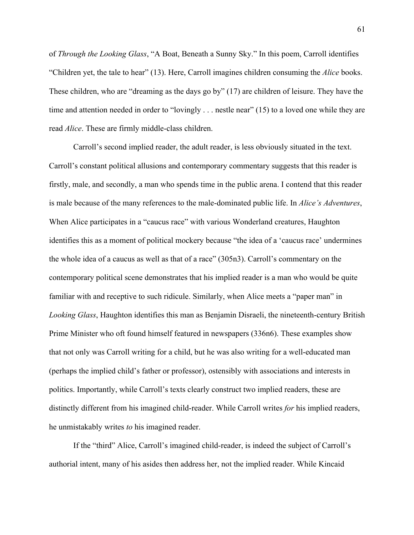of *Through the Looking Glass*, "A Boat, Beneath a Sunny Sky." In this poem, Carroll identifies "Children yet, the tale to hear" (13). Here, Carroll imagines children consuming the *Alice* books. These children, who are "dreaming as the days go by" (17) are children of leisure. They have the time and attention needed in order to "lovingly . . . nestle near" (15) to a loved one while they are read *Alice*. These are firmly middle-class children.

Carroll's second implied reader, the adult reader, is less obviously situated in the text. Carroll's constant political allusions and contemporary commentary suggests that this reader is firstly, male, and secondly, a man who spends time in the public arena. I contend that this reader is male because of the many references to the male-dominated public life. In *Alice's Adventures*, When Alice participates in a "caucus race" with various Wonderland creatures, Haughton identifies this as a moment of political mockery because "the idea of a 'caucus race' undermines the whole idea of a caucus as well as that of a race" (305n3). Carroll's commentary on the contemporary political scene demonstrates that his implied reader is a man who would be quite familiar with and receptive to such ridicule. Similarly, when Alice meets a "paper man" in *Looking Glass*, Haughton identifies this man as Benjamin Disraeli, the nineteenth-century British Prime Minister who oft found himself featured in newspapers (336n6). These examples show that not only was Carroll writing for a child, but he was also writing for a well-educated man (perhaps the implied child's father or professor), ostensibly with associations and interests in politics. Importantly, while Carroll's texts clearly construct two implied readers, these are distinctly different from his imagined child-reader. While Carroll writes *for* his implied readers, he unmistakably writes *to* his imagined reader.

If the "third" Alice, Carroll's imagined child-reader, is indeed the subject of Carroll's authorial intent, many of his asides then address her, not the implied reader. While Kincaid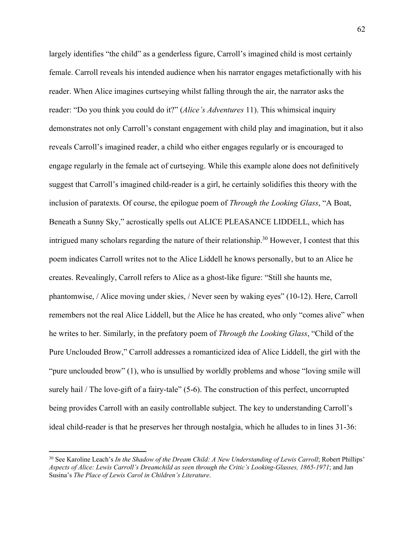largely identifies "the child" as a genderless figure, Carroll's imagined child is most certainly female. Carroll reveals his intended audience when his narrator engages metafictionally with his reader. When Alice imagines curtseying whilst falling through the air, the narrator asks the reader: "Do you think you could do it?" (*Alice's Adventures* 11). This whimsical inquiry demonstrates not only Carroll's constant engagement with child play and imagination, but it also reveals Carroll's imagined reader, a child who either engages regularly or is encouraged to engage regularly in the female act of curtseying. While this example alone does not definitively suggest that Carroll's imagined child-reader is a girl, he certainly solidifies this theory with the inclusion of paratexts. Of course, the epilogue poem of *Through the Looking Glass*, "A Boat, Beneath a Sunny Sky," acrostically spells out ALICE PLEASANCE LIDDELL, which has intrigued many scholars regarding the nature of their relationship.30 However, I contest that this poem indicates Carroll writes not to the Alice Liddell he knows personally, but to an Alice he creates. Revealingly, Carroll refers to Alice as a ghost-like figure: "Still she haunts me, phantomwise, / Alice moving under skies, / Never seen by waking eyes" (10-12). Here, Carroll remembers not the real Alice Liddell, but the Alice he has created, who only "comes alive" when he writes to her. Similarly, in the prefatory poem of *Through the Looking Glass*, "Child of the Pure Unclouded Brow," Carroll addresses a romanticized idea of Alice Liddell, the girl with the "pure unclouded brow" (1), who is unsullied by worldly problems and whose "loving smile will surely hail / The love-gift of a fairy-tale" (5-6). The construction of this perfect, uncorrupted being provides Carroll with an easily controllable subject. The key to understanding Carroll's ideal child-reader is that he preserves her through nostalgia, which he alludes to in lines 31-36:

<sup>&</sup>lt;sup>30</sup> See Karoline Leach's *In the Shadow of the Dream Child: A New Understanding of Lewis Carroll*; Robert Phillips' *Aspects of Alice: Lewis Carroll's Dreamchild as seen through the Critic's Looking-Glasses, 1865-1971*; and Jan Susina's *The Place of Lewis Carol in Children's Literature*.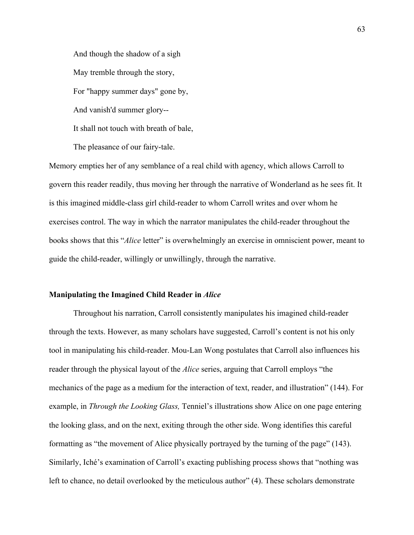And though the shadow of a sigh May tremble through the story, For "happy summer days" gone by, And vanish'd summer glory-- It shall not touch with breath of bale, The pleasance of our fairy-tale.

Memory empties her of any semblance of a real child with agency, which allows Carroll to govern this reader readily, thus moving her through the narrative of Wonderland as he sees fit. It is this imagined middle-class girl child-reader to whom Carroll writes and over whom he exercises control. The way in which the narrator manipulates the child-reader throughout the books shows that this "*Alice* letter" is overwhelmingly an exercise in omniscient power, meant to guide the child-reader, willingly or unwillingly, through the narrative.

### **Manipulating the Imagined Child Reader in** *Alice*

Throughout his narration, Carroll consistently manipulates his imagined child-reader through the texts. However, as many scholars have suggested, Carroll's content is not his only tool in manipulating his child-reader. Mou-Lan Wong postulates that Carroll also influences his reader through the physical layout of the *Alice* series, arguing that Carroll employs "the mechanics of the page as a medium for the interaction of text, reader, and illustration" (144). For example, in *Through the Looking Glass,* Tenniel's illustrations show Alice on one page entering the looking glass, and on the next, exiting through the other side. Wong identifies this careful formatting as "the movement of Alice physically portrayed by the turning of the page" (143). Similarly, Iché's examination of Carroll's exacting publishing process shows that "nothing was left to chance, no detail overlooked by the meticulous author" (4). These scholars demonstrate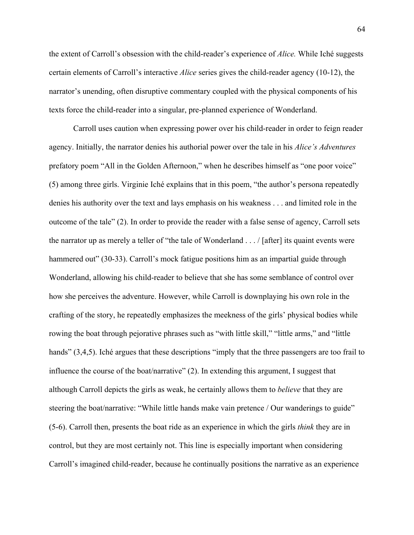the extent of Carroll's obsession with the child-reader's experience of *Alice.* While Iché suggests certain elements of Carroll's interactive *Alice* series gives the child-reader agency (10-12), the narrator's unending, often disruptive commentary coupled with the physical components of his texts force the child-reader into a singular, pre-planned experience of Wonderland.

Carroll uses caution when expressing power over his child-reader in order to feign reader agency. Initially, the narrator denies his authorial power over the tale in his *Alice's Adventures* prefatory poem "All in the Golden Afternoon," when he describes himself as "one poor voice" (5) among three girls. Virginie Iché explains that in this poem, "the author's persona repeatedly denies his authority over the text and lays emphasis on his weakness . . . and limited role in the outcome of the tale" (2). In order to provide the reader with a false sense of agency, Carroll sets the narrator up as merely a teller of "the tale of Wonderland . . . / [after] its quaint events were hammered out" (30-33). Carroll's mock fatigue positions him as an impartial guide through Wonderland, allowing his child-reader to believe that she has some semblance of control over how she perceives the adventure. However, while Carroll is downplaying his own role in the crafting of the story, he repeatedly emphasizes the meekness of the girls' physical bodies while rowing the boat through pejorative phrases such as "with little skill," "little arms," and "little hands" (3,4,5). Iché argues that these descriptions "imply that the three passengers are too frail to influence the course of the boat/narrative" (2). In extending this argument, I suggest that although Carroll depicts the girls as weak, he certainly allows them to *believe* that they are steering the boat/narrative: "While little hands make vain pretence / Our wanderings to guide" (5-6). Carroll then, presents the boat ride as an experience in which the girls *think* they are in control, but they are most certainly not. This line is especially important when considering Carroll's imagined child-reader, because he continually positions the narrative as an experience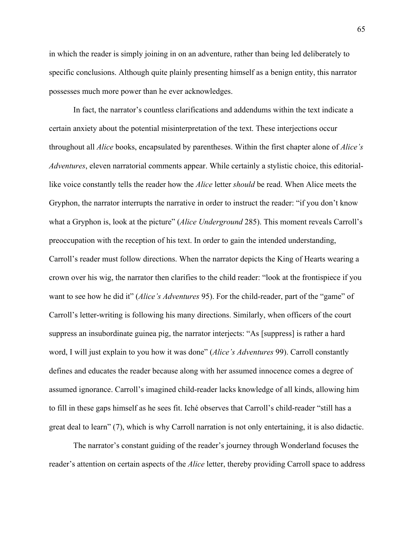in which the reader is simply joining in on an adventure, rather than being led deliberately to specific conclusions. Although quite plainly presenting himself as a benign entity, this narrator possesses much more power than he ever acknowledges.

In fact, the narrator's countless clarifications and addendums within the text indicate a certain anxiety about the potential misinterpretation of the text. These interjections occur throughout all *Alice* books, encapsulated by parentheses. Within the first chapter alone of *Alice's Adventures*, eleven narratorial comments appear. While certainly a stylistic choice, this editoriallike voice constantly tells the reader how the *Alice* letter *should* be read. When Alice meets the Gryphon, the narrator interrupts the narrative in order to instruct the reader: "if you don't know what a Gryphon is, look at the picture" (*Alice Underground* 285). This moment reveals Carroll's preoccupation with the reception of his text. In order to gain the intended understanding, Carroll's reader must follow directions. When the narrator depicts the King of Hearts wearing a crown over his wig, the narrator then clarifies to the child reader: "look at the frontispiece if you want to see how he did it" (*Alice's Adventures* 95). For the child-reader, part of the "game" of Carroll's letter-writing is following his many directions. Similarly, when officers of the court suppress an insubordinate guinea pig, the narrator interjects: "As [suppress] is rather a hard word, I will just explain to you how it was done" (*Alice's Adventures* 99). Carroll constantly defines and educates the reader because along with her assumed innocence comes a degree of assumed ignorance. Carroll's imagined child-reader lacks knowledge of all kinds, allowing him to fill in these gaps himself as he sees fit. Iché observes that Carroll's child-reader "still has a great deal to learn" (7), which is why Carroll narration is not only entertaining, it is also didactic.

The narrator's constant guiding of the reader's journey through Wonderland focuses the reader's attention on certain aspects of the *Alice* letter, thereby providing Carroll space to address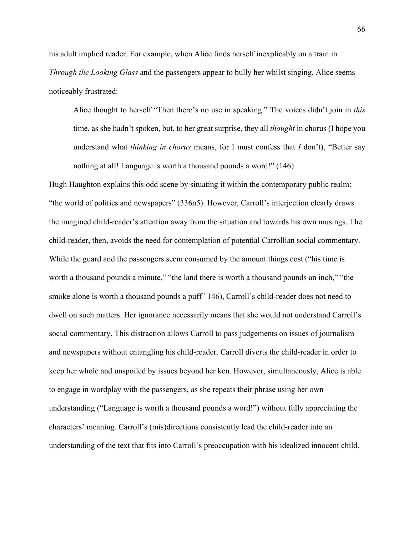his adult implied reader. For example, when Alice finds herself inexplicably on a train in *Through the Looking Glass* and the passengers appear to bully her whilst singing, Alice seems noticeably frustrated:

Alice thought to herself "Then there's no use in speaking." The voices didn't join in *this*  time, as she hadn't spoken, but, to her great surprise, they all *thought* in chorus (I hope you understand what *thinking in chorus* means, for I must confess that *I* don't), "Better say nothing at all! Language is worth a thousand pounds a word!" (146)

Hugh Haughton explains this odd scene by situating it within the contemporary public realm: "the world of politics and newspapers" (336n5). However, Carroll's interjection clearly draws the imagined child-reader's attention away from the situation and towards his own musings. The child-reader, then, avoids the need for contemplation of potential Carrollian social commentary. While the guard and the passengers seem consumed by the amount things cost ("his time is worth a thousand pounds a minute," "the land there is worth a thousand pounds an inch," "the smoke alone is worth a thousand pounds a puff" 146), Carroll's child-reader does not need to dwell on such matters. Her ignorance necessarily means that she would not understand Carroll's social commentary. This distraction allows Carroll to pass judgements on issues of journalism and newspapers without entangling his child-reader. Carroll diverts the child-reader in order to keep her whole and unspoiled by issues beyond her ken. However, simultaneously, Alice is able to engage in wordplay with the passengers, as she repeats their phrase using her own understanding ("Language is worth a thousand pounds a word!") without fully appreciating the characters' meaning. Carroll's (mis)directions consistently lead the child-reader into an understanding of the text that fits into Carroll's preoccupation with his idealized innocent child.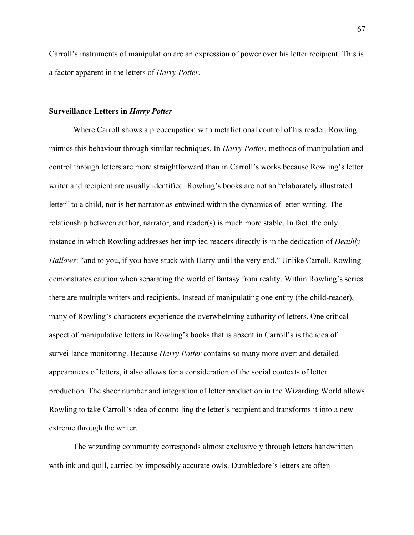Carroll's instruments of manipulation are an expression of power over his letter recipient. This is a factor apparent in the letters of *Harry Potter*.

### **Surveillance Letters in** *Harry Potter*

Where Carroll shows a preoccupation with metafictional control of his reader, Rowling mimics this behaviour through similar techniques. In *Harry Potter*, methods of manipulation and control through letters are more straightforward than in Carroll's works because Rowling's letter writer and recipient are usually identified. Rowling's books are not an "elaborately illustrated letter" to a child, nor is her narrator as entwined within the dynamics of letter-writing. The relationship between author, narrator, and reader(s) is much more stable. In fact, the only instance in which Rowling addresses her implied readers directly is in the dedication of *Deathly Hallows*: "and to you, if you have stuck with Harry until the very end." Unlike Carroll, Rowling demonstrates caution when separating the world of fantasy from reality. Within Rowling's series there are multiple writers and recipients. Instead of manipulating one entity (the child-reader), many of Rowling's characters experience the overwhelming authority of letters. One critical aspect of manipulative letters in Rowling's books that is absent in Carroll's is the idea of surveillance monitoring. Because *Harry Potter* contains so many more overt and detailed appearances of letters, it also allows for a consideration of the social contexts of letter production. The sheer number and integration of letter production in the Wizarding World allows Rowling to take Carroll's idea of controlling the letter's recipient and transforms it into a new extreme through the writer.

The wizarding community corresponds almost exclusively through letters handwritten with ink and quill, carried by impossibly accurate owls. Dumbledore's letters are often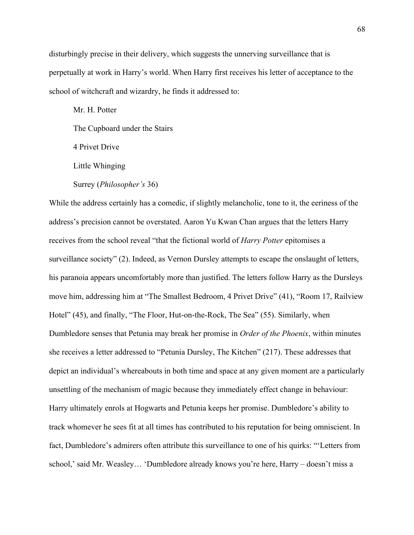disturbingly precise in their delivery, which suggests the unnerving surveillance that is perpetually at work in Harry's world. When Harry first receives his letter of acceptance to the school of witchcraft and wizardry, he finds it addressed to:

Mr. H. Potter The Cupboard under the Stairs 4 Privet Drive Little Whinging Surrey (*Philosopher's* 36)

While the address certainly has a comedic, if slightly melancholic, tone to it, the eeriness of the address's precision cannot be overstated. Aaron Yu Kwan Chan argues that the letters Harry receives from the school reveal "that the fictional world of *Harry Potter* epitomises a surveillance society" (2). Indeed, as Vernon Dursley attempts to escape the onslaught of letters, his paranoia appears uncomfortably more than justified. The letters follow Harry as the Dursleys move him, addressing him at "The Smallest Bedroom, 4 Privet Drive" (41), "Room 17, Railview Hotel" (45), and finally, "The Floor, Hut-on-the-Rock, The Sea" (55). Similarly, when Dumbledore senses that Petunia may break her promise in *Order of the Phoenix*, within minutes she receives a letter addressed to "Petunia Dursley, The Kitchen" (217). These addresses that depict an individual's whereabouts in both time and space at any given moment are a particularly unsettling of the mechanism of magic because they immediately effect change in behaviour: Harry ultimately enrols at Hogwarts and Petunia keeps her promise. Dumbledore's ability to track whomever he sees fit at all times has contributed to his reputation for being omniscient. In fact, Dumbledore's admirers often attribute this surveillance to one of his quirks: "'Letters from school,' said Mr. Weasley… 'Dumbledore already knows you're here, Harry – doesn't miss a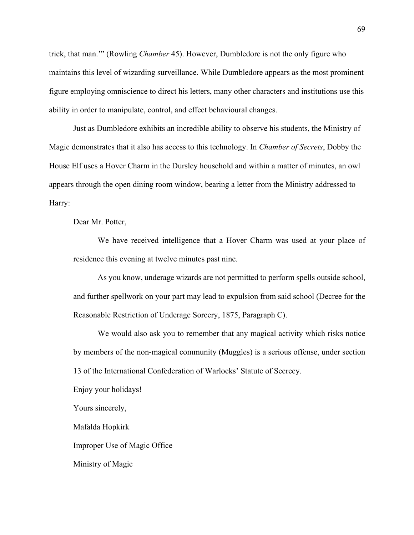trick, that man.'" (Rowling *Chamber* 45). However, Dumbledore is not the only figure who maintains this level of wizarding surveillance. While Dumbledore appears as the most prominent figure employing omniscience to direct his letters, many other characters and institutions use this ability in order to manipulate, control, and effect behavioural changes.

Just as Dumbledore exhibits an incredible ability to observe his students, the Ministry of Magic demonstrates that it also has access to this technology. In *Chamber of Secrets*, Dobby the House Elf uses a Hover Charm in the Dursley household and within a matter of minutes, an owl appears through the open dining room window, bearing a letter from the Ministry addressed to Harry:

Dear Mr. Potter,

We have received intelligence that a Hover Charm was used at your place of residence this evening at twelve minutes past nine.

As you know, underage wizards are not permitted to perform spells outside school, and further spellwork on your part may lead to expulsion from said school (Decree for the Reasonable Restriction of Underage Sorcery, 1875, Paragraph C).

We would also ask you to remember that any magical activity which risks notice by members of the non-magical community (Muggles) is a serious offense, under section 13 of the International Confederation of Warlocks' Statute of Secrecy.

Enjoy your holidays!

Yours sincerely,

Mafalda Hopkirk

Improper Use of Magic Office

Ministry of Magic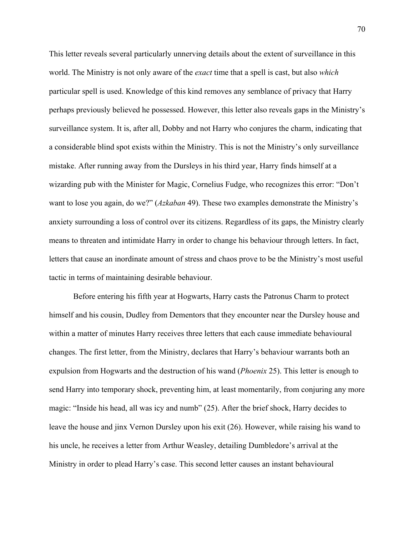This letter reveals several particularly unnerving details about the extent of surveillance in this world. The Ministry is not only aware of the *exact* time that a spell is cast, but also *which*  particular spell is used. Knowledge of this kind removes any semblance of privacy that Harry perhaps previously believed he possessed. However, this letter also reveals gaps in the Ministry's surveillance system. It is, after all, Dobby and not Harry who conjures the charm, indicating that a considerable blind spot exists within the Ministry. This is not the Ministry's only surveillance mistake. After running away from the Dursleys in his third year, Harry finds himself at a wizarding pub with the Minister for Magic, Cornelius Fudge, who recognizes this error: "Don't want to lose you again, do we?" (*Azkaban* 49). These two examples demonstrate the Ministry's anxiety surrounding a loss of control over its citizens. Regardless of its gaps, the Ministry clearly means to threaten and intimidate Harry in order to change his behaviour through letters. In fact, letters that cause an inordinate amount of stress and chaos prove to be the Ministry's most useful tactic in terms of maintaining desirable behaviour.

Before entering his fifth year at Hogwarts, Harry casts the Patronus Charm to protect himself and his cousin, Dudley from Dementors that they encounter near the Dursley house and within a matter of minutes Harry receives three letters that each cause immediate behavioural changes. The first letter, from the Ministry, declares that Harry's behaviour warrants both an expulsion from Hogwarts and the destruction of his wand (*Phoenix* 25). This letter is enough to send Harry into temporary shock, preventing him, at least momentarily, from conjuring any more magic: "Inside his head, all was icy and numb" (25). After the brief shock, Harry decides to leave the house and jinx Vernon Dursley upon his exit (26). However, while raising his wand to his uncle, he receives a letter from Arthur Weasley, detailing Dumbledore's arrival at the Ministry in order to plead Harry's case. This second letter causes an instant behavioural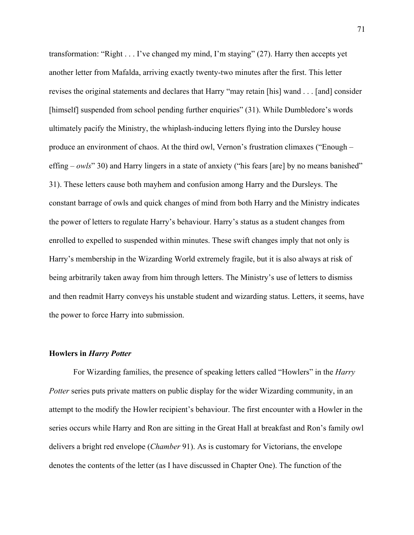transformation: "Right . . . I've changed my mind, I'm staying" (27). Harry then accepts yet another letter from Mafalda, arriving exactly twenty-two minutes after the first. This letter revises the original statements and declares that Harry "may retain [his] wand . . . [and] consider [himself] suspended from school pending further enquiries" (31). While Dumbledore's words ultimately pacify the Ministry, the whiplash-inducing letters flying into the Dursley house produce an environment of chaos. At the third owl, Vernon's frustration climaxes ("Enough – effing – *owls*" 30) and Harry lingers in a state of anxiety ("his fears [are] by no means banished" 31). These letters cause both mayhem and confusion among Harry and the Dursleys. The constant barrage of owls and quick changes of mind from both Harry and the Ministry indicates the power of letters to regulate Harry's behaviour. Harry's status as a student changes from enrolled to expelled to suspended within minutes. These swift changes imply that not only is Harry's membership in the Wizarding World extremely fragile, but it is also always at risk of being arbitrarily taken away from him through letters. The Ministry's use of letters to dismiss and then readmit Harry conveys his unstable student and wizarding status. Letters, it seems, have the power to force Harry into submission.

## **Howlers in** *Harry Potter*

For Wizarding families, the presence of speaking letters called "Howlers" in the *Harry Potter series puts private matters on public display for the wider Wizarding community, in an* attempt to the modify the Howler recipient's behaviour. The first encounter with a Howler in the series occurs while Harry and Ron are sitting in the Great Hall at breakfast and Ron's family owl delivers a bright red envelope (*Chamber* 91). As is customary for Victorians, the envelope denotes the contents of the letter (as I have discussed in Chapter One). The function of the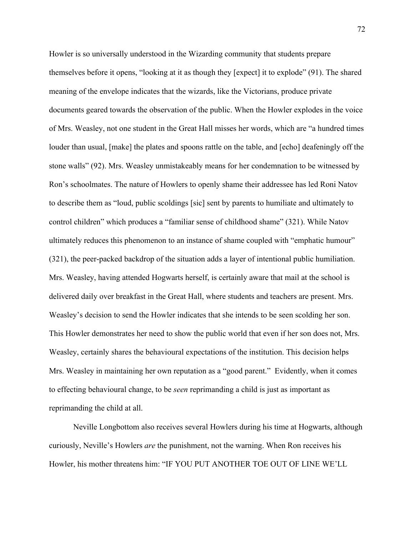Howler is so universally understood in the Wizarding community that students prepare themselves before it opens, "looking at it as though they [expect] it to explode" (91). The shared meaning of the envelope indicates that the wizards, like the Victorians, produce private documents geared towards the observation of the public. When the Howler explodes in the voice of Mrs. Weasley, not one student in the Great Hall misses her words, which are "a hundred times louder than usual, [make] the plates and spoons rattle on the table, and [echo] deafeningly off the stone walls" (92). Mrs. Weasley unmistakeably means for her condemnation to be witnessed by Ron's schoolmates. The nature of Howlers to openly shame their addressee has led Roni Natov to describe them as "loud, public scoldings [sic] sent by parents to humiliate and ultimately to control children" which produces a "familiar sense of childhood shame" (321). While Natov ultimately reduces this phenomenon to an instance of shame coupled with "emphatic humour" (321), the peer-packed backdrop of the situation adds a layer of intentional public humiliation. Mrs. Weasley, having attended Hogwarts herself, is certainly aware that mail at the school is delivered daily over breakfast in the Great Hall, where students and teachers are present. Mrs. Weasley's decision to send the Howler indicates that she intends to be seen scolding her son. This Howler demonstrates her need to show the public world that even if her son does not, Mrs. Weasley, certainly shares the behavioural expectations of the institution. This decision helps Mrs. Weasley in maintaining her own reputation as a "good parent." Evidently, when it comes to effecting behavioural change, to be *seen* reprimanding a child is just as important as reprimanding the child at all.

Neville Longbottom also receives several Howlers during his time at Hogwarts, although curiously, Neville's Howlers *are* the punishment, not the warning. When Ron receives his Howler, his mother threatens him: "IF YOU PUT ANOTHER TOE OUT OF LINE WE'LL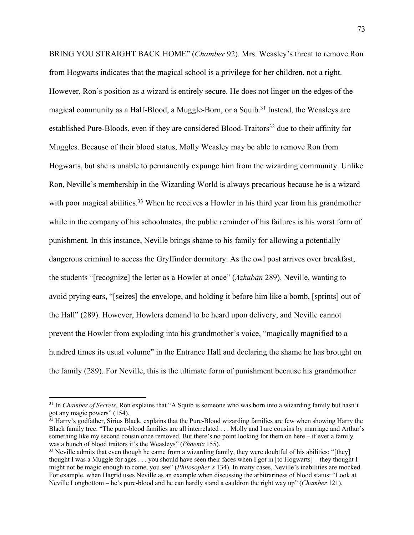BRING YOU STRAIGHT BACK HOME" (*Chamber* 92). Mrs. Weasley's threat to remove Ron from Hogwarts indicates that the magical school is a privilege for her children, not a right. However, Ron's position as a wizard is entirely secure. He does not linger on the edges of the magical community as a Half-Blood, a Muggle-Born, or a Squib. <sup>31</sup> Instead, the Weasleys are established Pure-Bloods, even if they are considered Blood-Traitors<sup>32</sup> due to their affinity for Muggles. Because of their blood status, Molly Weasley may be able to remove Ron from Hogwarts, but she is unable to permanently expunge him from the wizarding community. Unlike Ron, Neville's membership in the Wizarding World is always precarious because he is a wizard with poor magical abilities.<sup>33</sup> When he receives a Howler in his third year from his grandmother while in the company of his schoolmates, the public reminder of his failures is his worst form of punishment. In this instance, Neville brings shame to his family for allowing a potentially dangerous criminal to access the Gryffindor dormitory. As the owl post arrives over breakfast, the students "[recognize] the letter as a Howler at once" (*Azkaban* 289). Neville, wanting to avoid prying ears, "[seizes] the envelope, and holding it before him like a bomb, [sprints] out of the Hall" (289). However, Howlers demand to be heard upon delivery, and Neville cannot prevent the Howler from exploding into his grandmother's voice, "magically magnified to a hundred times its usual volume" in the Entrance Hall and declaring the shame he has brought on the family (289). For Neville, this is the ultimate form of punishment because his grandmother

<sup>31</sup> In *Chamber of Secrets*, Ron explains that "A Squib is someone who was born into a wizarding family but hasn't got any magic powers" (154).

 $\frac{32}{32}$  Harry's godfather, Sirius Black, explains that the Pure-Blood wizarding families are few when showing Harry the Black family tree: "The pure-blood families are all interrelated . . . Molly and I are cousins by marriage and Arthur's something like my second cousin once removed. But there's no point looking for them on here – if ever a family was a bunch of blood traitors it's the Weasleys" (*Phoenix* 155).

 $33$  Neville admits that even though he came from a wizarding family, they were doubtful of his abilities: "[they] thought I was a Muggle for ages . . . you should have seen their faces when I got in [to Hogwarts] – they thought I might not be magic enough to come, you see" (*Philosopher's* 134). In many cases, Neville's inabilities are mocked. For example, when Hagrid uses Neville as an example when discussing the arbitrariness of blood status: "Look at Neville Longbottom – he's pure-blood and he can hardly stand a cauldron the right way up" (*Chamber* 121).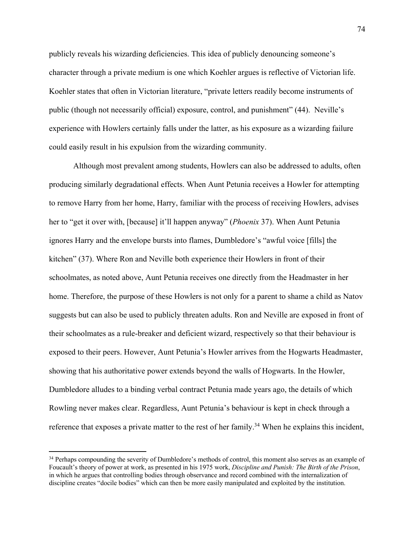publicly reveals his wizarding deficiencies. This idea of publicly denouncing someone's character through a private medium is one which Koehler argues is reflective of Victorian life. Koehler states that often in Victorian literature, "private letters readily become instruments of public (though not necessarily official) exposure, control, and punishment" (44). Neville's experience with Howlers certainly falls under the latter, as his exposure as a wizarding failure could easily result in his expulsion from the wizarding community.

Although most prevalent among students, Howlers can also be addressed to adults, often producing similarly degradational effects. When Aunt Petunia receives a Howler for attempting to remove Harry from her home, Harry, familiar with the process of receiving Howlers, advises her to "get it over with, [because] it'll happen anyway" (*Phoenix* 37). When Aunt Petunia ignores Harry and the envelope bursts into flames, Dumbledore's "awful voice [fills] the kitchen" (37). Where Ron and Neville both experience their Howlers in front of their schoolmates, as noted above, Aunt Petunia receives one directly from the Headmaster in her home. Therefore, the purpose of these Howlers is not only for a parent to shame a child as Natov suggests but can also be used to publicly threaten adults. Ron and Neville are exposed in front of their schoolmates as a rule-breaker and deficient wizard, respectively so that their behaviour is exposed to their peers. However, Aunt Petunia's Howler arrives from the Hogwarts Headmaster, showing that his authoritative power extends beyond the walls of Hogwarts. In the Howler, Dumbledore alludes to a binding verbal contract Petunia made years ago, the details of which Rowling never makes clear. Regardless, Aunt Petunia's behaviour is kept in check through a reference that exposes a private matter to the rest of her family.<sup>34</sup> When he explains this incident,

<sup>&</sup>lt;sup>34</sup> Perhaps compounding the severity of Dumbledore's methods of control, this moment also serves as an example of Foucault's theory of power at work, as presented in his 1975 work, *Discipline and Punish: The Birth of the Prison*, in which he argues that controlling bodies through observance and record combined with the internalization of discipline creates "docile bodies" which can then be more easily manipulated and exploited by the institution.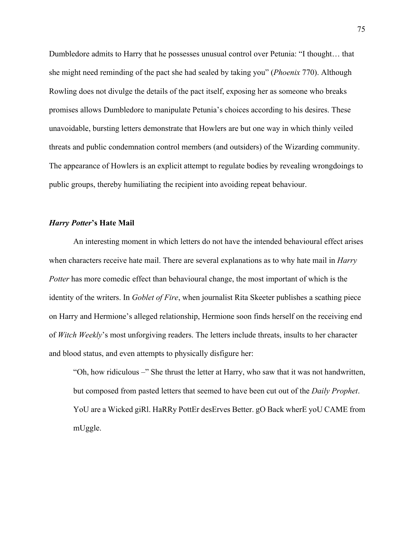Dumbledore admits to Harry that he possesses unusual control over Petunia: "I thought… that she might need reminding of the pact she had sealed by taking you" (*Phoenix* 770). Although Rowling does not divulge the details of the pact itself, exposing her as someone who breaks promises allows Dumbledore to manipulate Petunia's choices according to his desires. These unavoidable, bursting letters demonstrate that Howlers are but one way in which thinly veiled threats and public condemnation control members (and outsiders) of the Wizarding community. The appearance of Howlers is an explicit attempt to regulate bodies by revealing wrongdoings to public groups, thereby humiliating the recipient into avoiding repeat behaviour.

## *Harry Potter***'s Hate Mail**

An interesting moment in which letters do not have the intended behavioural effect arises when characters receive hate mail. There are several explanations as to why hate mail in *Harry Potter* has more comedic effect than behavioural change, the most important of which is the identity of the writers. In *Goblet of Fire*, when journalist Rita Skeeter publishes a scathing piece on Harry and Hermione's alleged relationship, Hermione soon finds herself on the receiving end of *Witch Weekly*'s most unforgiving readers. The letters include threats, insults to her character and blood status, and even attempts to physically disfigure her:

"Oh, how ridiculous –" She thrust the letter at Harry, who saw that it was not handwritten, but composed from pasted letters that seemed to have been cut out of the *Daily Prophet*. YoU are a Wicked giRl. HaRRy PottEr desErves Better. gO Back wherE yoU CAME from mUggle.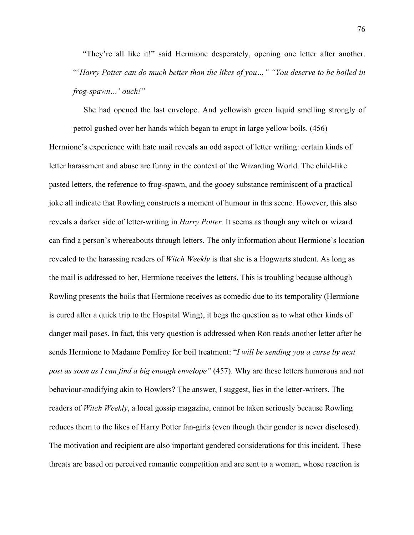"They're all like it!" said Hermione desperately, opening one letter after another. "'*Harry Potter can do much better than the likes of you…" "You deserve to be boiled in frog-spawn…' ouch!"* 

She had opened the last envelope. And yellowish green liquid smelling strongly of petrol gushed over her hands which began to erupt in large yellow boils. (456) Hermione's experience with hate mail reveals an odd aspect of letter writing: certain kinds of letter harassment and abuse are funny in the context of the Wizarding World. The child-like pasted letters, the reference to frog-spawn, and the gooey substance reminiscent of a practical joke all indicate that Rowling constructs a moment of humour in this scene. However, this also reveals a darker side of letter-writing in *Harry Potter.* It seems as though any witch or wizard can find a person's whereabouts through letters. The only information about Hermione's location revealed to the harassing readers of *Witch Weekly* is that she is a Hogwarts student. As long as the mail is addressed to her, Hermione receives the letters. This is troubling because although Rowling presents the boils that Hermione receives as comedic due to its temporality (Hermione is cured after a quick trip to the Hospital Wing), it begs the question as to what other kinds of danger mail poses. In fact, this very question is addressed when Ron reads another letter after he sends Hermione to Madame Pomfrey for boil treatment: "*I will be sending you a curse by next post as soon as I can find a big enough envelope"* (457). Why are these letters humorous and not behaviour-modifying akin to Howlers? The answer, I suggest, lies in the letter-writers. The readers of *Witch Weekly*, a local gossip magazine, cannot be taken seriously because Rowling reduces them to the likes of Harry Potter fan-girls (even though their gender is never disclosed). The motivation and recipient are also important gendered considerations for this incident. These threats are based on perceived romantic competition and are sent to a woman, whose reaction is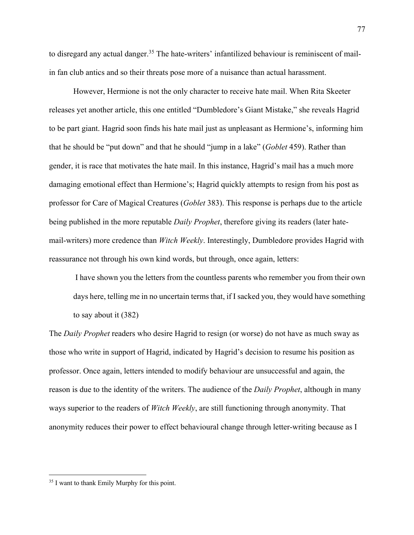to disregard any actual danger.<sup>35</sup> The hate-writers' infantilized behaviour is reminiscent of mailin fan club antics and so their threats pose more of a nuisance than actual harassment.

However, Hermione is not the only character to receive hate mail. When Rita Skeeter releases yet another article, this one entitled "Dumbledore's Giant Mistake," she reveals Hagrid to be part giant. Hagrid soon finds his hate mail just as unpleasant as Hermione's, informing him that he should be "put down" and that he should "jump in a lake" (*Goblet* 459). Rather than gender, it is race that motivates the hate mail. In this instance, Hagrid's mail has a much more damaging emotional effect than Hermione's; Hagrid quickly attempts to resign from his post as professor for Care of Magical Creatures (*Goblet* 383). This response is perhaps due to the article being published in the more reputable *Daily Prophet*, therefore giving its readers (later hatemail-writers) more credence than *Witch Weekly*. Interestingly, Dumbledore provides Hagrid with reassurance not through his own kind words, but through, once again, letters:

I have shown you the letters from the countless parents who remember you from their own days here, telling me in no uncertain terms that, if I sacked you, they would have something to say about it (382)

The *Daily Prophet* readers who desire Hagrid to resign (or worse) do not have as much sway as those who write in support of Hagrid, indicated by Hagrid's decision to resume his position as professor. Once again, letters intended to modify behaviour are unsuccessful and again, the reason is due to the identity of the writers. The audience of the *Daily Prophet*, although in many ways superior to the readers of *Witch Weekly*, are still functioning through anonymity. That anonymity reduces their power to effect behavioural change through letter-writing because as I

<sup>35</sup> I want to thank Emily Murphy for this point.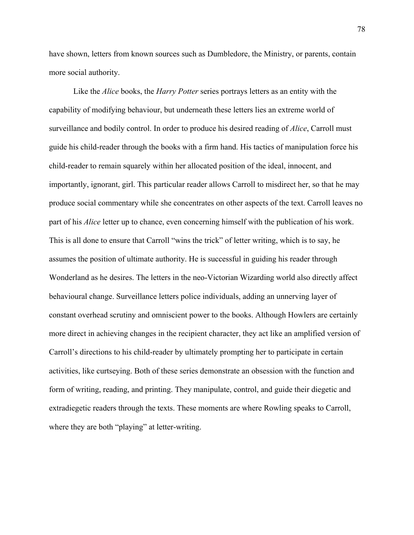have shown, letters from known sources such as Dumbledore, the Ministry, or parents, contain more social authority.

Like the *Alice* books, the *Harry Potter* series portrays letters as an entity with the capability of modifying behaviour, but underneath these letters lies an extreme world of surveillance and bodily control. In order to produce his desired reading of *Alice*, Carroll must guide his child-reader through the books with a firm hand. His tactics of manipulation force his child-reader to remain squarely within her allocated position of the ideal, innocent, and importantly, ignorant, girl. This particular reader allows Carroll to misdirect her, so that he may produce social commentary while she concentrates on other aspects of the text. Carroll leaves no part of his *Alice* letter up to chance, even concerning himself with the publication of his work. This is all done to ensure that Carroll "wins the trick" of letter writing, which is to say, he assumes the position of ultimate authority. He is successful in guiding his reader through Wonderland as he desires. The letters in the neo-Victorian Wizarding world also directly affect behavioural change. Surveillance letters police individuals, adding an unnerving layer of constant overhead scrutiny and omniscient power to the books. Although Howlers are certainly more direct in achieving changes in the recipient character, they act like an amplified version of Carroll's directions to his child-reader by ultimately prompting her to participate in certain activities, like curtseying. Both of these series demonstrate an obsession with the function and form of writing, reading, and printing. They manipulate, control, and guide their diegetic and extradiegetic readers through the texts. These moments are where Rowling speaks to Carroll, where they are both "playing" at letter-writing.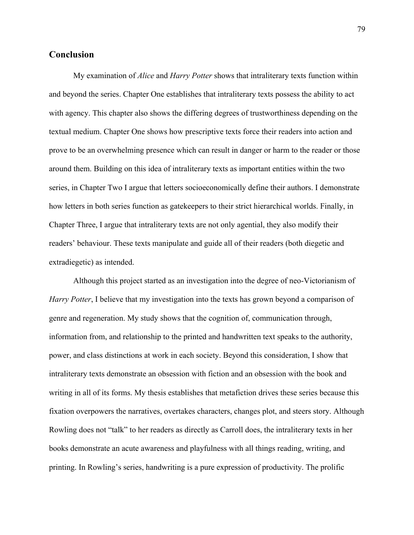# **Conclusion**

My examination of *Alice* and *Harry Potter* shows that intraliterary texts function within and beyond the series. Chapter One establishes that intraliterary texts possess the ability to act with agency. This chapter also shows the differing degrees of trustworthiness depending on the textual medium. Chapter One shows how prescriptive texts force their readers into action and prove to be an overwhelming presence which can result in danger or harm to the reader or those around them. Building on this idea of intraliterary texts as important entities within the two series, in Chapter Two I argue that letters socioeconomically define their authors. I demonstrate how letters in both series function as gatekeepers to their strict hierarchical worlds. Finally, in Chapter Three, I argue that intraliterary texts are not only agential, they also modify their readers' behaviour. These texts manipulate and guide all of their readers (both diegetic and extradiegetic) as intended.

Although this project started as an investigation into the degree of neo-Victorianism of *Harry Potter*, I believe that my investigation into the texts has grown beyond a comparison of genre and regeneration. My study shows that the cognition of, communication through, information from, and relationship to the printed and handwritten text speaks to the authority, power, and class distinctions at work in each society. Beyond this consideration, I show that intraliterary texts demonstrate an obsession with fiction and an obsession with the book and writing in all of its forms. My thesis establishes that metafiction drives these series because this fixation overpowers the narratives, overtakes characters, changes plot, and steers story. Although Rowling does not "talk" to her readers as directly as Carroll does, the intraliterary texts in her books demonstrate an acute awareness and playfulness with all things reading, writing, and printing. In Rowling's series, handwriting is a pure expression of productivity. The prolific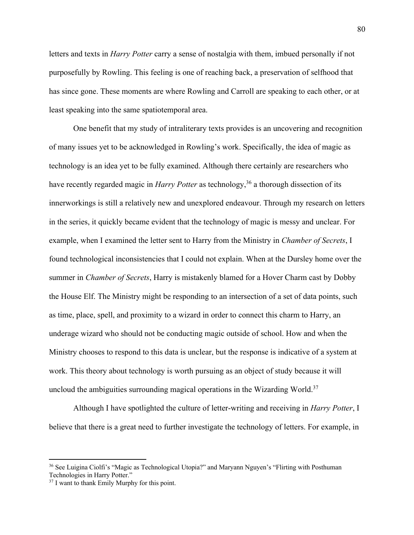letters and texts in *Harry Potter* carry a sense of nostalgia with them, imbued personally if not purposefully by Rowling. This feeling is one of reaching back, a preservation of selfhood that has since gone. These moments are where Rowling and Carroll are speaking to each other, or at least speaking into the same spatiotemporal area.

One benefit that my study of intraliterary texts provides is an uncovering and recognition of many issues yet to be acknowledged in Rowling's work. Specifically, the idea of magic as technology is an idea yet to be fully examined. Although there certainly are researchers who have recently regarded magic in *Harry Potter* as technology,<sup>36</sup> a thorough dissection of its innerworkings is still a relatively new and unexplored endeavour. Through my research on letters in the series, it quickly became evident that the technology of magic is messy and unclear. For example, when I examined the letter sent to Harry from the Ministry in *Chamber of Secrets*, I found technological inconsistencies that I could not explain. When at the Dursley home over the summer in *Chamber of Secrets*, Harry is mistakenly blamed for a Hover Charm cast by Dobby the House Elf. The Ministry might be responding to an intersection of a set of data points, such as time, place, spell, and proximity to a wizard in order to connect this charm to Harry, an underage wizard who should not be conducting magic outside of school. How and when the Ministry chooses to respond to this data is unclear, but the response is indicative of a system at work. This theory about technology is worth pursuing as an object of study because it will uncloud the ambiguities surrounding magical operations in the Wizarding World.<sup>37</sup>

Although I have spotlighted the culture of letter-writing and receiving in *Harry Potter*, I believe that there is a great need to further investigate the technology of letters. For example, in

<sup>36</sup> See Luigina Ciolfi's "Magic as Technological Utopia?" and Maryann Nguyen's "Flirting with Posthuman Technologies in Harry Potter."

<sup>&</sup>lt;sup>37</sup> I want to thank Emily Murphy for this point.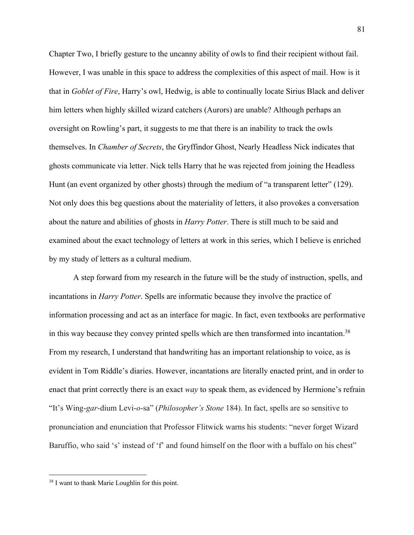Chapter Two, I briefly gesture to the uncanny ability of owls to find their recipient without fail. However, I was unable in this space to address the complexities of this aspect of mail. How is it that in *Goblet of Fire*, Harry's owl, Hedwig, is able to continually locate Sirius Black and deliver him letters when highly skilled wizard catchers (Aurors) are unable? Although perhaps an oversight on Rowling's part, it suggests to me that there is an inability to track the owls themselves. In *Chamber of Secrets*, the Gryffindor Ghost, Nearly Headless Nick indicates that ghosts communicate via letter. Nick tells Harry that he was rejected from joining the Headless Hunt (an event organized by other ghosts) through the medium of "a transparent letter" (129). Not only does this beg questions about the materiality of letters, it also provokes a conversation about the nature and abilities of ghosts in *Harry Potter*. There is still much to be said and examined about the exact technology of letters at work in this series, which I believe is enriched by my study of letters as a cultural medium.

A step forward from my research in the future will be the study of instruction, spells, and incantations in *Harry Potter*. Spells are informatic because they involve the practice of information processing and act as an interface for magic. In fact, even textbooks are performative in this way because they convey printed spells which are then transformed into incantation.<sup>38</sup> From my research, I understand that handwriting has an important relationship to voice, as is evident in Tom Riddle's diaries. However, incantations are literally enacted print, and in order to enact that print correctly there is an exact *way* to speak them, as evidenced by Hermione's refrain "It's Wing-*gar*-dium Levi-*o*-sa" (*Philosopher's Stone* 184). In fact, spells are so sensitive to pronunciation and enunciation that Professor Flitwick warns his students: "never forget Wizard Baruffio, who said 's' instead of 'f' and found himself on the floor with a buffalo on his chest"

<sup>38</sup> I want to thank Marie Loughlin for this point.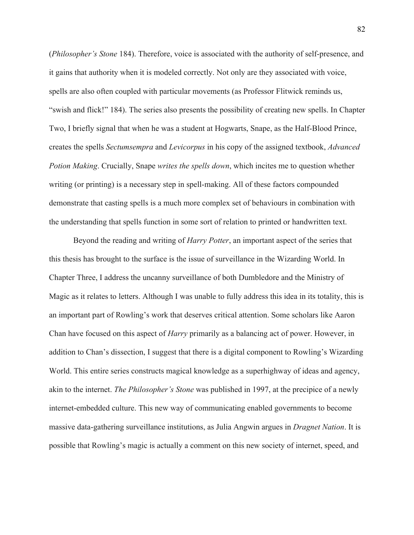(*Philosopher's Stone* 184). Therefore, voice is associated with the authority of self-presence, and it gains that authority when it is modeled correctly. Not only are they associated with voice, spells are also often coupled with particular movements (as Professor Flitwick reminds us, "swish and flick!" 184). The series also presents the possibility of creating new spells. In Chapter Two, I briefly signal that when he was a student at Hogwarts, Snape, as the Half-Blood Prince, creates the spells *Sectumsempra* and *Levicorpus* in his copy of the assigned textbook, *Advanced Potion Making*. Crucially, Snape *writes the spells down*, which incites me to question whether writing (or printing) is a necessary step in spell-making. All of these factors compounded demonstrate that casting spells is a much more complex set of behaviours in combination with the understanding that spells function in some sort of relation to printed or handwritten text.

Beyond the reading and writing of *Harry Potter*, an important aspect of the series that this thesis has brought to the surface is the issue of surveillance in the Wizarding World. In Chapter Three, I address the uncanny surveillance of both Dumbledore and the Ministry of Magic as it relates to letters. Although I was unable to fully address this idea in its totality, this is an important part of Rowling's work that deserves critical attention. Some scholars like Aaron Chan have focused on this aspect of *Harry* primarily as a balancing act of power. However, in addition to Chan's dissection, I suggest that there is a digital component to Rowling's Wizarding World. This entire series constructs magical knowledge as a superhighway of ideas and agency, akin to the internet. *The Philosopher's Stone* was published in 1997, at the precipice of a newly internet-embedded culture. This new way of communicating enabled governments to become massive data-gathering surveillance institutions, as Julia Angwin argues in *Dragnet Nation*. It is possible that Rowling's magic is actually a comment on this new society of internet, speed, and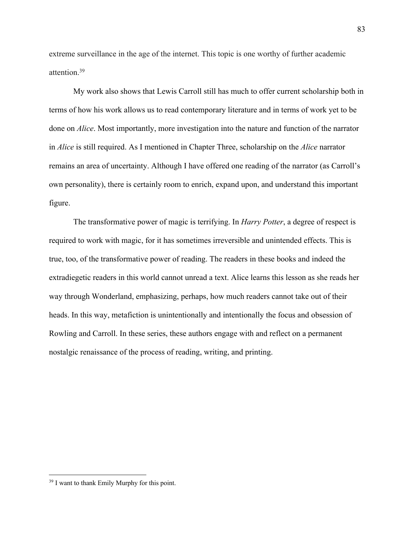extreme surveillance in the age of the internet. This topic is one worthy of further academic attention.39

My work also shows that Lewis Carroll still has much to offer current scholarship both in terms of how his work allows us to read contemporary literature and in terms of work yet to be done on *Alice*. Most importantly, more investigation into the nature and function of the narrator in *Alice* is still required. As I mentioned in Chapter Three, scholarship on the *Alice* narrator remains an area of uncertainty. Although I have offered one reading of the narrator (as Carroll's own personality), there is certainly room to enrich, expand upon, and understand this important figure.

The transformative power of magic is terrifying. In *Harry Potter*, a degree of respect is required to work with magic, for it has sometimes irreversible and unintended effects. This is true, too, of the transformative power of reading. The readers in these books and indeed the extradiegetic readers in this world cannot unread a text. Alice learns this lesson as she reads her way through Wonderland, emphasizing, perhaps, how much readers cannot take out of their heads. In this way, metafiction is unintentionally and intentionally the focus and obsession of Rowling and Carroll. In these series, these authors engage with and reflect on a permanent nostalgic renaissance of the process of reading, writing, and printing.

<sup>39</sup> I want to thank Emily Murphy for this point.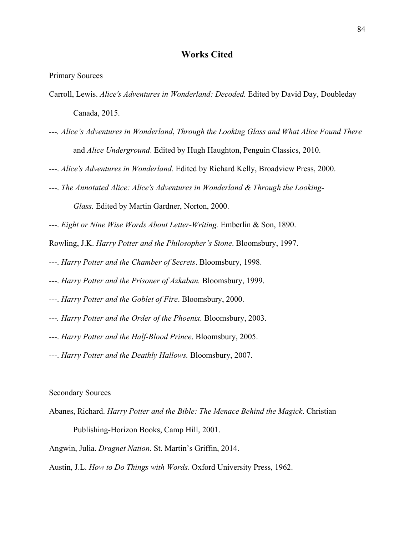# **Works Cited**

Primary Sources

- Carroll, Lewis. *Alice's Adventures in Wonderland: Decoded.* Edited by David Day, Doubleday Canada, 2015.
- *---. Alice's Adventures in Wonderland*, *Through the Looking Glass and What Alice Found There* and *Alice Underground*. Edited by Hugh Haughton, Penguin Classics, 2010.
- ---. *Alice's Adventures in Wonderland.* Edited by Richard Kelly, Broadview Press, 2000.
- ---. *The Annotated Alice: Alice's Adventures in Wonderland & Through the Looking-*

*Glass.* Edited by Martin Gardner, Norton, 2000.

---. *Eight or Nine Wise Words About Letter-Writing.* Emberlin & Son, 1890.

Rowling, J.K. *Harry Potter and the Philosopher's Stone*. Bloomsbury, 1997.

- ---. *Harry Potter and the Chamber of Secrets*. Bloomsbury, 1998.
- ---. *Harry Potter and the Prisoner of Azkaban.* Bloomsbury, 1999.
- ---. *Harry Potter and the Goblet of Fire*. Bloomsbury, 2000.
- ---*. Harry Potter and the Order of the Phoenix.* Bloomsbury, 2003.
- ---. *Harry Potter and the Half-Blood Prince*. Bloomsbury, 2005.
- ---. *Harry Potter and the Deathly Hallows.* Bloomsbury, 2007.

#### Secondary Sources

Abanes, Richard. *Harry Potter and the Bible: The Menace Behind the Magick*. Christian Publishing-Horizon Books, Camp Hill, 2001.

Angwin, Julia. *Dragnet Nation*. St. Martin's Griffin, 2014.

Austin, J.L. *How to Do Things with Words*. Oxford University Press, 1962.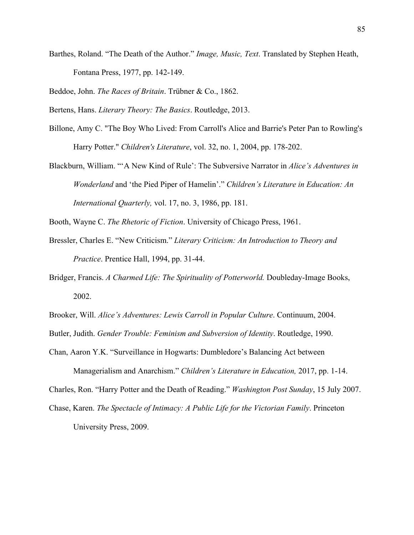Barthes, Roland. "The Death of the Author." *Image, Music, Text*. Translated by Stephen Heath, Fontana Press, 1977, pp. 142-149.

Beddoe, John. *The Races of Britain*. Trübner & Co., 1862.

Bertens, Hans. *Literary Theory: The Basics*. Routledge, 2013.

- Billone, Amy C. "The Boy Who Lived: From Carroll's Alice and Barrie's Peter Pan to Rowling's Harry Potter." *Children's Literature*, vol. 32, no. 1, 2004, pp. 178-202.
- Blackburn, William. "'A New Kind of Rule': The Subversive Narrator in *Alice's Adventures in Wonderland* and 'the Pied Piper of Hamelin'." *Children's Literature in Education: An International Quarterly,* vol. 17, no. 3, 1986, pp. 181.
- Booth, Wayne C. *The Rhetoric of Fiction*. University of Chicago Press, 1961.
- Bressler, Charles E. "New Criticism." *Literary Criticism: An Introduction to Theory and Practice*. Prentice Hall, 1994, pp. 31-44.
- Bridger, Francis. *A Charmed Life: The Spirituality of Potterworld.* Doubleday-Image Books, 2002.
- Brooker, Will. *Alice's Adventures: Lewis Carroll in Popular Culture*. Continuum, 2004.

Butler, Judith. *Gender Trouble: Feminism and Subversion of Identity*. Routledge, 1990.

Chan, Aaron Y.K. "Surveillance in Hogwarts: Dumbledore's Balancing Act between

Managerialism and Anarchism." *Children's Literature in Education,* 2017, pp. 1-14. Charles, Ron. "Harry Potter and the Death of Reading." *Washington Post Sunday*, 15 July 2007. Chase, Karen. *The Spectacle of Intimacy: A Public Life for the Victorian Family*. Princeton

University Press, 2009.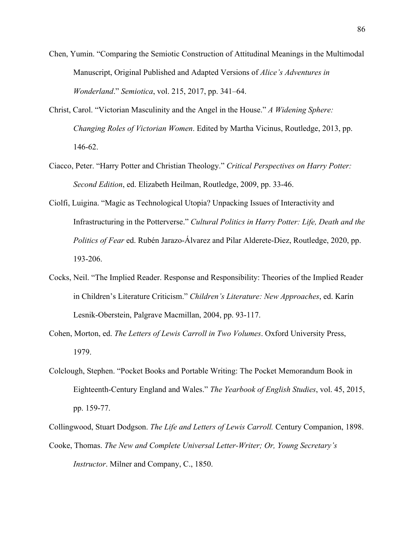- Chen, Yumin. "Comparing the Semiotic Construction of Attitudinal Meanings in the Multimodal Manuscript, Original Published and Adapted Versions of *Alice's Adventures in Wonderland*." *Semiotica*, vol. 215, 2017, pp. 341–64.
- Christ, Carol. "Victorian Masculinity and the Angel in the House." *A Widening Sphere: Changing Roles of Victorian Women*. Edited by Martha Vicinus, Routledge, 2013, pp. 146-62.
- Ciacco, Peter. "Harry Potter and Christian Theology." *Critical Perspectives on Harry Potter: Second Edition*, ed. Elizabeth Heilman, Routledge, 2009, pp. 33-46.
- Ciolfi, Luigina. "Magic as Technological Utopia? Unpacking Issues of Interactivity and Infrastructuring in the Potterverse." *Cultural Politics in Harry Potter: Life, Death and the Politics of Fear* ed. Rubén Jarazo-Álvarez and Pilar Alderete-Diez, Routledge, 2020, pp. 193-206.
- Cocks, Neil. "The Implied Reader. Response and Responsibility: Theories of the Implied Reader in Children's Literature Criticism." *Children's Literature: New Approaches*, ed. Karín Lesnik-Oberstein, Palgrave Macmillan, 2004, pp. 93-117.
- Cohen, Morton, ed. *The Letters of Lewis Carroll in Two Volumes*. Oxford University Press, 1979.
- Colclough, Stephen. "Pocket Books and Portable Writing: The Pocket Memorandum Book in Eighteenth-Century England and Wales." *The Yearbook of English Studies*, vol. 45, 2015, pp. 159-77.
- Collingwood, Stuart Dodgson. *The Life and Letters of Lewis Carroll.* Century Companion, 1898. Cooke, Thomas. *The New and Complete Universal Letter-Writer; Or, Young Secretary's Instructor*. Milner and Company, C., 1850.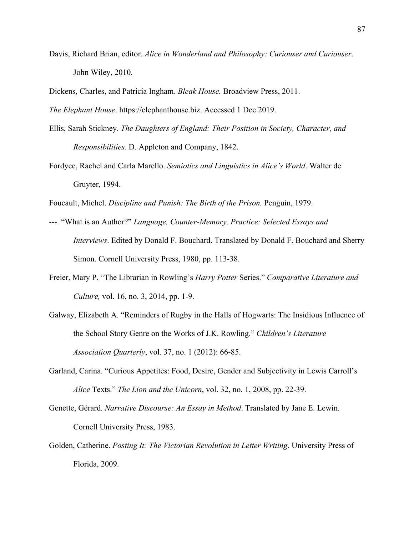Davis, Richard Brian, editor. *Alice in Wonderland and Philosophy: Curiouser and Curiouser*. John Wiley, 2010.

Dickens, Charles, and Patricia Ingham. *Bleak House.* Broadview Press, 2011.

*The Elephant House*. https://elephanthouse.biz. Accessed 1 Dec 2019.

- Ellis, Sarah Stickney. *The Daughters of England: Their Position in Society, Character, and Responsibilities.* D. Appleton and Company, 1842.
- Fordyce, Rachel and Carla Marello. *Semiotics and Linguistics in Alice's World*. Walter de Gruyter, 1994.

Foucault, Michel. *Discipline and Punish: The Birth of the Prison.* Penguin, 1979.

- ---. "What is an Author?" *Language, Counter-Memory, Practice: Selected Essays and Interviews*. Edited by Donald F. Bouchard. Translated by Donald F. Bouchard and Sherry Simon. Cornell University Press, 1980, pp. 113-38.
- Freier, Mary P. "The Librarian in Rowling's *Harry Potter* Series." *Comparative Literature and Culture,* vol. 16, no. 3, 2014, pp. 1-9.
- Galway, Elizabeth A. "Reminders of Rugby in the Halls of Hogwarts: The Insidious Influence of the School Story Genre on the Works of J.K. Rowling." *Children's Literature Association Quarterly*, vol. 37, no. 1 (2012): 66-85.
- Garland, Carina. "Curious Appetites: Food, Desire, Gender and Subjectivity in Lewis Carroll's *Alice* Texts." *The Lion and the Unicorn*, vol. 32, no. 1, 2008, pp. 22-39.
- Genette, Gérard. *Narrative Discourse: An Essay in Method*. Translated by Jane E. Lewin. Cornell University Press, 1983.
- Golden, Catherine. *Posting It: The Victorian Revolution in Letter Writing*. University Press of Florida, 2009.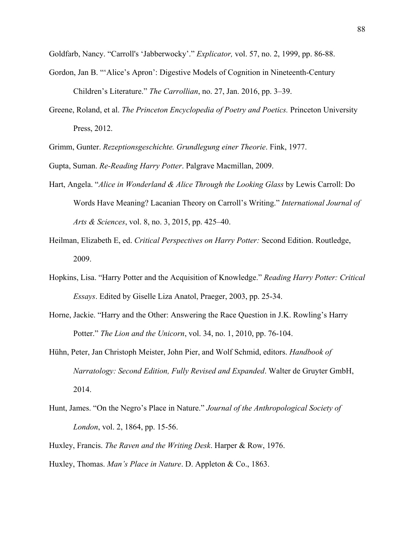Goldfarb, Nancy. "Carroll's 'Jabberwocky'." *Explicator,* vol. 57, no. 2, 1999, pp. 86-88.

- Gordon, Jan B. "'Alice's Apron': Digestive Models of Cognition in Nineteenth-Century Children's Literature." *The Carrollian*, no. 27, Jan. 2016, pp. 3–39.
- Greene, Roland, et al. *The Princeton Encyclopedia of Poetry and Poetics.* Princeton University Press, 2012.

Grimm, Gunter. *Rezeptionsgeschichte. Grundlegung einer Theorie*. Fink, 1977.

Gupta, Suman. *Re-Reading Harry Potter*. Palgrave Macmillan, 2009.

- Hart, Angela. "*Alice in Wonderland & Alice Through the Looking Glass* by Lewis Carroll: Do Words Have Meaning? Lacanian Theory on Carroll's Writing." *International Journal of Arts & Sciences*, vol. 8, no. 3, 2015, pp. 425–40.
- Heilman, Elizabeth E, ed. *Critical Perspectives on Harry Potter:* Second Edition. Routledge, 2009.
- Hopkins, Lisa. "Harry Potter and the Acquisition of Knowledge." *Reading Harry Potter: Critical Essays*. Edited by Giselle Liza Anatol, Praeger, 2003, pp. 25-34.
- Horne, Jackie. "Harry and the Other: Answering the Race Question in J.K. Rowling's Harry Potter." *The Lion and the Unicorn*, vol. 34, no. 1, 2010, pp. 76-104.
- Hühn, Peter, Jan Christoph Meister, John Pier, and Wolf Schmid, editors. *Handbook of Narratology: Second Edition, Fully Revised and Expanded*. Walter de Gruyter GmbH, 2014.
- Hunt, James. "On the Negro's Place in Nature." *Journal of the Anthropological Society of London*, vol. 2, 1864, pp. 15-56.
- Huxley, Francis. *The Raven and the Writing Desk*. Harper & Row, 1976.
- Huxley, Thomas. *Man's Place in Nature*. D. Appleton & Co., 1863.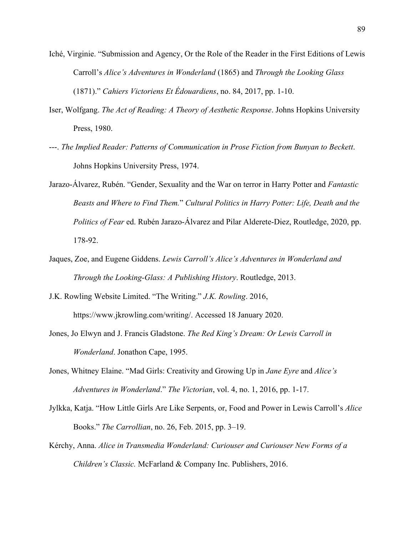- Iché, Virginie. "Submission and Agency, Or the Role of the Reader in the First Editions of Lewis Carroll's *Alice's Adventures in Wonderland* (1865) and *Through the Looking Glass*  (1871)." *Cahiers Victoriens Et Édouardiens*, no. 84, 2017, pp. 1-10.
- Iser, Wolfgang. *The Act of Reading: A Theory of Aesthetic Response*. Johns Hopkins University Press, 1980.
- ---. *The Implied Reader: Patterns of Communication in Prose Fiction from Bunyan to Beckett*. Johns Hopkins University Press, 1974.
- Jarazo-Álvarez, Rubén. "Gender, Sexuality and the War on terror in Harry Potter and *Fantastic Beasts and Where to Find Them.*" *Cultural Politics in Harry Potter: Life, Death and the Politics of Fear* ed. Rubén Jarazo-Álvarez and Pilar Alderete-Diez, Routledge, 2020, pp. 178-92.
- Jaques, Zoe, and Eugene Giddens. *Lewis Carroll's Alice's Adventures in Wonderland and Through the Looking-Glass: A Publishing History*. Routledge, 2013.
- J.K. Rowling Website Limited. "The Writing." *J.K. Rowling*. 2016, https://www.jkrowling.com/writing/. Accessed 18 January 2020.
- Jones, Jo Elwyn and J. Francis Gladstone. *The Red King's Dream: Or Lewis Carroll in Wonderland*. Jonathon Cape, 1995.
- Jones, Whitney Elaine. "Mad Girls: Creativity and Growing Up in *Jane Eyre* and *Alice's Adventures in Wonderland*." *The Victorian*, vol. 4, no. 1, 2016, pp. 1-17.
- Jylkka, Katja. "How Little Girls Are Like Serpents, or, Food and Power in Lewis Carroll's *Alice*  Books." *The Carrollian*, no. 26, Feb. 2015, pp. 3–19.
- Kérchy, Anna. *Alice in Transmedia Wonderland: Curiouser and Curiouser New Forms of a Children's Classic.* McFarland & Company Inc. Publishers, 2016.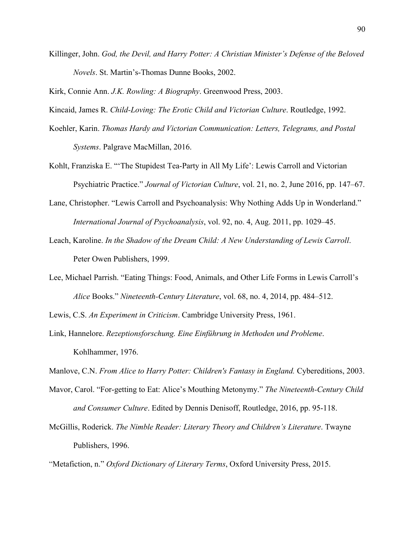Killinger, John. *God, the Devil, and Harry Potter: A Christian Minister's Defense of the Beloved Novels*. St. Martin's-Thomas Dunne Books, 2002.

Kirk, Connie Ann. *J.K. Rowling: A Biography*. Greenwood Press, 2003.

Kincaid, James R. *Child-Loving: The Erotic Child and Victorian Culture*. Routledge, 1992.

- Koehler, Karin. *Thomas Hardy and Victorian Communication: Letters, Telegrams, and Postal Systems*. Palgrave MacMillan, 2016.
- Kohlt, Franziska E. "'The Stupidest Tea-Party in All My Life': Lewis Carroll and Victorian Psychiatric Practice." *Journal of Victorian Culture*, vol. 21, no. 2, June 2016, pp. 147–67.
- Lane, Christopher. "Lewis Carroll and Psychoanalysis: Why Nothing Adds Up in Wonderland." *International Journal of Psychoanalysis*, vol. 92, no. 4, Aug. 2011, pp. 1029–45.
- Leach, Karoline. *In the Shadow of the Dream Child: A New Understanding of Lewis Carroll*. Peter Owen Publishers, 1999.
- Lee, Michael Parrish. "Eating Things: Food, Animals, and Other Life Forms in Lewis Carroll's *Alice* Books." *Nineteenth-Century Literature*, vol. 68, no. 4, 2014, pp. 484–512.

Lewis, C.S. *An Experiment in Criticism*. Cambridge University Press, 1961.

Link, Hannelore. *Rezeptionsforschung. Eine Einführung in Methoden und Probleme*. Kohlhammer, 1976.

Manlove, C.N. *From Alice to Harry Potter: Children's Fantasy in England.* Cybereditions, 2003.

- Mavor, Carol. "For-getting to Eat: Alice's Mouthing Metonymy." *The Nineteenth-Century Child and Consumer Culture*. Edited by Dennis Denisoff, Routledge, 2016, pp. 95-118.
- McGillis, Roderick. *The Nimble Reader: Literary Theory and Children's Literature*. Twayne Publishers, 1996.

"Metafiction, n." *Oxford Dictionary of Literary Terms*, Oxford University Press, 2015.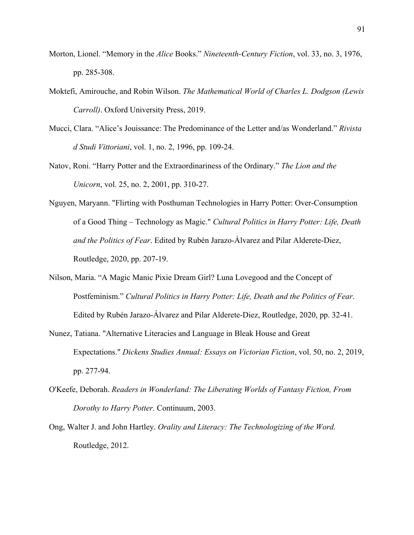- Morton, Lionel. "Memory in the *Alice* Books." *Nineteenth-Century Fiction*, vol. 33, no. 3, 1976, pp. 285-308.
- Moktefi, Amirouche, and Robin Wilson. *The Mathematical World of Charles L. Dodgson (Lewis Carroll)*. Oxford University Press, 2019.
- Mucci, Clara. "Alice's Jouissance: The Predominance of the Letter and/as Wonderland." *Rivista d Studi Vittoriani*, vol. 1, no. 2, 1996, pp. 109-24.
- Natov, Roni. "Harry Potter and the Extraordinariness of the Ordinary." *The Lion and the Unicorn*, vol. 25, no. 2, 2001, pp. 310-27.
- Nguyen, Maryann. "Flirting with Posthuman Technologies in Harry Potter: Over-Consumption of a Good Thing – Technology as Magic." *Cultural Politics in Harry Potter: Life, Death and the Politics of Fear*. Edited by Rubén Jarazo-Álvarez and Pilar Alderete-Diez, Routledge, 2020, pp. 207-19.
- Nilson, Maria. "A Magic Manic Pixie Dream Girl? Luna Lovegood and the Concept of Postfeminism." *Cultural Politics in Harry Potter: Life, Death and the Politics of Fear*. Edited by Rubén Jarazo-Álvarez and Pilar Alderete-Diez, Routledge, 2020, pp. 32-41.
- Nunez, Tatiana. "Alternative Literacies and Language in Bleak House and Great Expectations." *Dickens Studies Annual: Essays on Victorian Fiction*, vol. 50, no. 2, 2019, pp. 277-94.
- O'Keefe, Deborah. *Readers in Wonderland: The Liberating Worlds of Fantasy Fiction, From Dorothy to Harry Potter.* Continuum, 2003.
- Ong, Walter J. and John Hartley. *Orality and Literacy: The Technologizing of the Word.*  Routledge, 2012.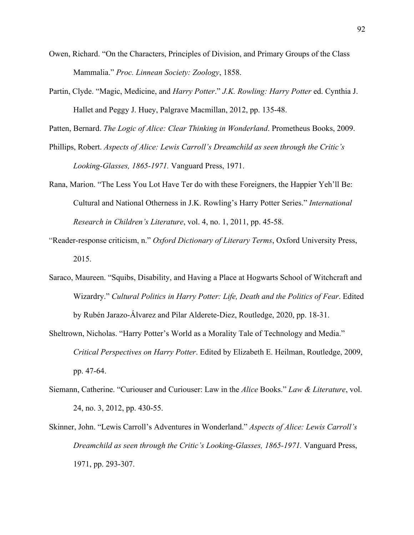- Owen, Richard. "On the Characters, Principles of Division, and Primary Groups of the Class Mammalia." *Proc. Linnean Society: Zoology*, 1858.
- Partin, Clyde. "Magic, Medicine, and *Harry Potter*." *J.K. Rowling: Harry Potter* ed. Cynthia J. Hallet and Peggy J. Huey, Palgrave Macmillan, 2012, pp. 135-48.

Patten, Bernard. *The Logic of Alice: Clear Thinking in Wonderland*. Prometheus Books, 2009.

- Phillips, Robert. *Aspects of Alice: Lewis Carroll's Dreamchild as seen through the Critic's Looking-Glasses, 1865-1971.* Vanguard Press, 1971.
- Rana, Marion. "The Less You Lot Have Ter do with these Foreigners, the Happier Yeh'll Be: Cultural and National Otherness in J.K. Rowling's Harry Potter Series." *International Research in Children's Literature*, vol. 4, no. 1, 2011, pp. 45-58.
- "Reader-response criticism, n." *Oxford Dictionary of Literary Terms*, Oxford University Press, 2015.
- Saraco, Maureen. "Squibs, Disability, and Having a Place at Hogwarts School of Witchcraft and Wizardry." *Cultural Politics in Harry Potter: Life, Death and the Politics of Fear*. Edited by Rubén Jarazo-Álvarez and Pilar Alderete-Diez, Routledge, 2020, pp. 18-31.
- Sheltrown, Nicholas. "Harry Potter's World as a Morality Tale of Technology and Media." *Critical Perspectives on Harry Potter*. Edited by Elizabeth E. Heilman, Routledge, 2009, pp. 47-64.
- Siemann, Catherine. "Curiouser and Curiouser: Law in the *Alice* Books." *Law & Literature*, vol. 24, no. 3, 2012, pp. 430-55.
- Skinner, John. "Lewis Carroll's Adventures in Wonderland." *Aspects of Alice: Lewis Carroll's Dreamchild as seen through the Critic's Looking-Glasses, 1865-1971.* Vanguard Press, 1971, pp. 293-307.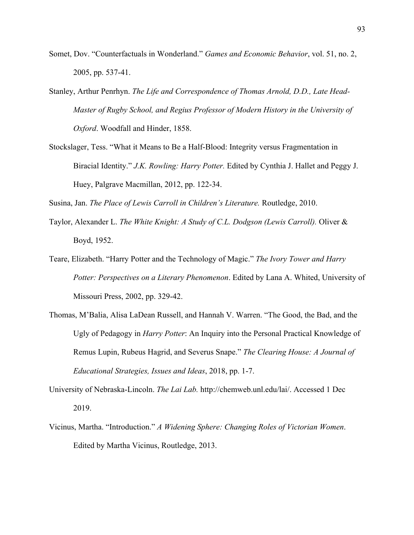- Somet, Dov. "Counterfactuals in Wonderland." *Games and Economic Behavior*, vol. 51, no. 2, 2005, pp. 537-41.
- Stanley, Arthur Penrhyn. *The Life and Correspondence of Thomas Arnold, D.D., Late Head-Master of Rugby School, and Regius Professor of Modern History in the University of Oxford*. Woodfall and Hinder, 1858.
- Stockslager, Tess. "What it Means to Be a Half-Blood: Integrity versus Fragmentation in Biracial Identity." *J.K. Rowling: Harry Potter.* Edited by Cynthia J. Hallet and Peggy J. Huey, Palgrave Macmillan, 2012, pp. 122-34.

Susina, Jan. *The Place of Lewis Carroll in Children's Literature.* Routledge, 2010.

- Taylor, Alexander L. *The White Knight: A Study of C.L. Dodgson (Lewis Carroll).* Oliver & Boyd, 1952.
- Teare, Elizabeth. "Harry Potter and the Technology of Magic." *The Ivory Tower and Harry Potter: Perspectives on a Literary Phenomenon*. Edited by Lana A. Whited, University of Missouri Press, 2002, pp. 329-42.
- Thomas, M'Balia, Alisa LaDean Russell, and Hannah V. Warren. "The Good, the Bad, and the Ugly of Pedagogy in *Harry Potter*: An Inquiry into the Personal Practical Knowledge of Remus Lupin, Rubeus Hagrid, and Severus Snape." *The Clearing House: A Journal of Educational Strategies, Issues and Ideas*, 2018, pp. 1-7.
- University of Nebraska-Lincoln. *The Lai Lab.* http://chemweb.unl.edu/lai/. Accessed 1 Dec 2019.
- Vicinus, Martha. "Introduction." *A Widening Sphere: Changing Roles of Victorian Women*. Edited by Martha Vicinus, Routledge, 2013.